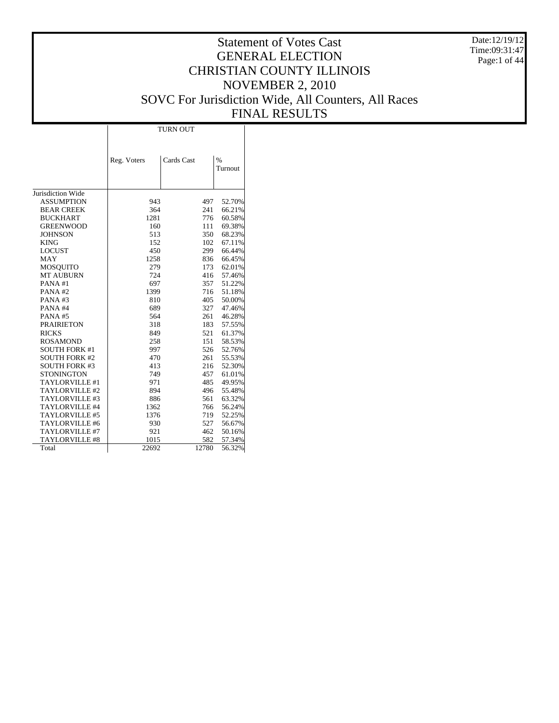Date:12/19/12 Time:09:31:47 Page:1 of 44

# Statement of Votes Cast GENERAL ELECTION CHRISTIAN COUNTY ILLINOIS NOVEMBER 2, 2010 SOVC For Jurisdiction Wide, All Counters, All Races FINAL RESULTS

Τ

|                       |             | <b>TURN OUT</b> |                          |
|-----------------------|-------------|-----------------|--------------------------|
|                       | Reg. Voters | Cards Cast      | $\frac{0}{0}$<br>Turnout |
| Jurisdiction Wide     |             |                 |                          |
| <b>ASSUMPTION</b>     | 943         | 497             | 52.70%                   |
| <b>BEAR CREEK</b>     | 364         | 241             | 66.21%                   |
| <b>BUCKHART</b>       | 1281        | 776             | 60.58%                   |
| <b>GREENWOOD</b>      | 160         | 111             | 69.38%                   |
| <b>JOHNSON</b>        | 513         | 350             | 68.23%                   |
| <b>KING</b>           | 152         | 102             | 67.11%                   |
| <b>LOCUST</b>         | 450         | 299             | 66.44%                   |
| <b>MAY</b>            | 1258        | 836             | 66.45%                   |
| <b>MOSQUITO</b>       | 279         | 173             | 62.01%                   |
| <b>MT AUBURN</b>      | 724         | 416             | 57.46%                   |
| PANA#1                | 697         | 357             | 51.22%                   |
| PANA#2                | 1399        | 716             | 51.18%                   |
| PANA#3                | 810         | 405             | 50.00%                   |
| PANA#4                | 689         | 327             | 47.46%                   |
| PANA#5                | 564         | 261             | 46.28%                   |
| <b>PRAIRIETON</b>     | 318         | 183             | 57.55%                   |
| <b>RICKS</b>          | 849         | 521             | 61.37%                   |
| <b>ROSAMOND</b>       | 258         | 151             | 58.53%                   |
| <b>SOUTH FORK #1</b>  | 997         | 526             | 52.76%                   |
| <b>SOUTH FORK #2</b>  | 470         | 261             | 55.53%                   |
| <b>SOUTH FORK #3</b>  | 413         | 216             | 52.30%                   |
| <b>STONINGTON</b>     | 749         | 457             | 61.01%                   |
| TAYLORVILLE #1        | 971         | 485             | 49.95%                   |
| TAYLORVILLE #2        | 894         | 496             | 55.48%                   |
| TAYLORVILLE #3        | 886         | 561             | 63.32%                   |
| TAYLORVILLE #4        | 1362        | 766             | 56.24%                   |
| TAYLORVILLE #5        | 1376        | 719             | 52.25%                   |
| TAYLORVILLE #6        | 930         | 527             | 56.67%                   |
| TAYLORVILLE #7        | 921         | 462             | 50.16%                   |
| <b>TAYLORVILLE #8</b> | 1015        | 582             | 57.34%                   |
| Total                 | 22692       | 12780           | 56.32%                   |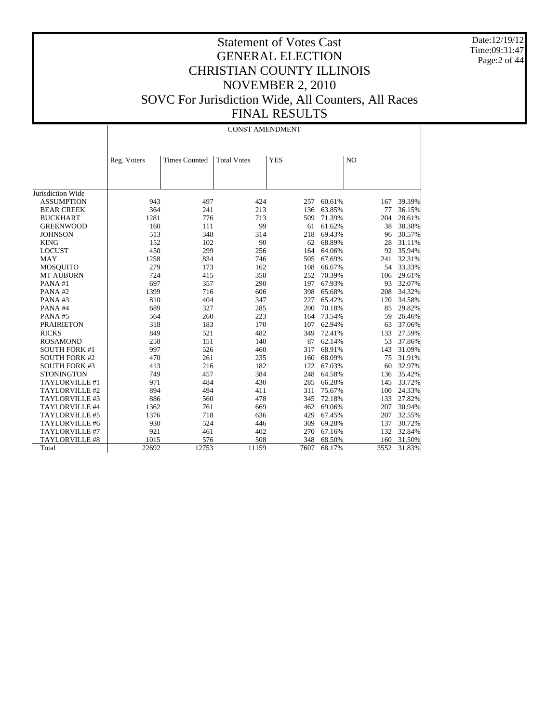Date:12/19/12 Time:09:31:47 Page:2 of 44

|                       | <b>CONST AMENDMENT</b> |                      |                    |            |        |                |        |  |  |  |  |
|-----------------------|------------------------|----------------------|--------------------|------------|--------|----------------|--------|--|--|--|--|
|                       |                        |                      |                    |            |        |                |        |  |  |  |  |
|                       | Reg. Voters            | <b>Times Counted</b> | <b>Total Votes</b> | <b>YES</b> |        | N <sub>O</sub> |        |  |  |  |  |
|                       |                        |                      |                    |            |        |                |        |  |  |  |  |
|                       |                        |                      |                    |            |        |                |        |  |  |  |  |
| Jurisdiction Wide     |                        |                      |                    |            |        |                |        |  |  |  |  |
| <b>ASSUMPTION</b>     | 943                    | 497                  | 424                | 257        | 60.61% | 167            | 39.39% |  |  |  |  |
| <b>BEAR CREEK</b>     | 364                    | 241                  | 213                | 136        | 63.85% | 77             | 36.15% |  |  |  |  |
| <b>BUCKHART</b>       | 1281                   | 776                  | 713                | 509        | 71.39% | 204            | 28.61% |  |  |  |  |
| <b>GREENWOOD</b>      | 160                    | 111                  | 99                 | 61         | 61.62% | 38             | 38.38% |  |  |  |  |
| <b>JOHNSON</b>        | 513                    | 348                  | 314                | 218        | 69.43% | 96             | 30.57% |  |  |  |  |
| <b>KING</b>           | 152                    | 102                  | 90                 | 62         | 68.89% | 28             | 31.11% |  |  |  |  |
| <b>LOCUST</b>         | 450                    | 299                  | 256                | 164        | 64.06% | 92             | 35.94% |  |  |  |  |
| <b>MAY</b>            | 1258                   | 834                  | 746                | 505        | 67.69% | 241            | 32.31% |  |  |  |  |
| <b>MOSQUITO</b>       | 279                    | 173                  | 162                | 108        | 66.67% | 54             | 33.33% |  |  |  |  |
| <b>MT AUBURN</b>      | 724                    | 415                  | 358                | 252        | 70.39% | 106            | 29.61% |  |  |  |  |
| PANA#1                | 697                    | 357                  | 290                | 197        | 67.93% | 93             | 32.07% |  |  |  |  |
| PANA#2                | 1399                   | 716                  | 606                | 398        | 65.68% | 208            | 34.32% |  |  |  |  |
| PANA#3                | 810                    | 404                  | 347                | 227        | 65.42% | 120            | 34.58% |  |  |  |  |
| PANA#4                | 689                    | 327                  | 285                | 200        | 70.18% | 85             | 29.82% |  |  |  |  |
| PANA#5                | 564                    | 260                  | 223                | 164        | 73.54% | 59             | 26.46% |  |  |  |  |
| <b>PRAIRIETON</b>     | 318                    | 183                  | 170                | 107        | 62.94% | 63             | 37.06% |  |  |  |  |
| <b>RICKS</b>          | 849                    | 521                  | 482                | 349        | 72.41% | 133            | 27.59% |  |  |  |  |
| <b>ROSAMOND</b>       | 258                    | 151                  | 140                | 87         | 62.14% | 53             | 37.86% |  |  |  |  |
| <b>SOUTH FORK #1</b>  | 997                    | 526                  | 460                | 317        | 68.91% | 143            | 31.09% |  |  |  |  |
| <b>SOUTH FORK #2</b>  | 470                    | 261                  | 235                | 160        | 68.09% | 75             | 31.91% |  |  |  |  |
| <b>SOUTH FORK #3</b>  | 413                    | 216                  | 182                | 122        | 67.03% | 60             | 32.97% |  |  |  |  |
| <b>STONINGTON</b>     | 749                    | 457                  | 384                | 248        | 64.58% | 136            | 35.42% |  |  |  |  |
| TAYLORVILLE #1        | 971                    | 484                  | 430                | 285        | 66.28% | 145            | 33.72% |  |  |  |  |
| TAYLORVILLE #2        | 894                    | 494                  | 411                | 311        | 75.67% | 100            | 24.33% |  |  |  |  |
| TAYLORVILLE #3        | 886                    | 560                  | 478                | 345        | 72.18% | 133            | 27.82% |  |  |  |  |
| TAYLORVILLE #4        | 1362                   | 761                  | 669                | 462        | 69.06% | 207            | 30.94% |  |  |  |  |
| TAYLORVILLE #5        | 1376                   | 718                  | 636                | 429        | 67.45% | 207            | 32.55% |  |  |  |  |
| TAYLORVILLE #6        | 930                    | 524                  | 446                | 309        | 69.28% | 137            | 30.72% |  |  |  |  |
| TAYLORVILLE #7        | 921                    | 461                  | 402                | 270        | 67.16% | 132            | 32.84% |  |  |  |  |
| <b>TAYLORVILLE #8</b> | 1015                   | 576                  | 508                | 348        | 68.50% | 160            | 31.50% |  |  |  |  |
| Total                 | 22692                  | 12753                | 11159              | 7607       | 68.17% | 3552           | 31.83% |  |  |  |  |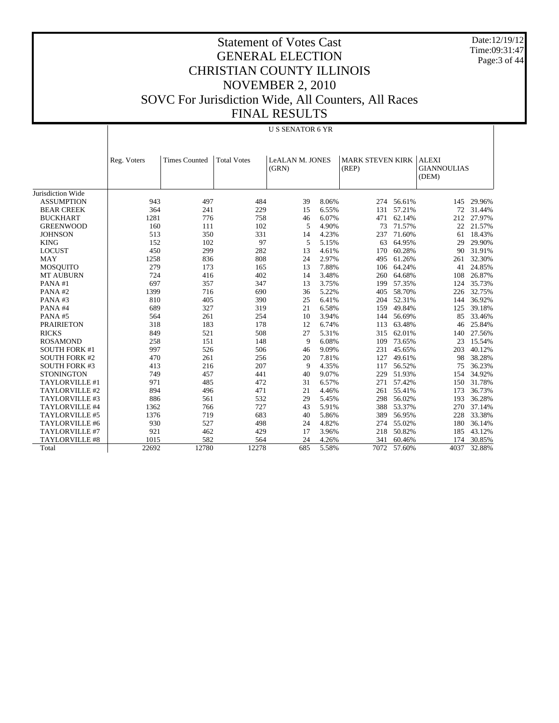Date:12/19/12 Time:09:31:47 Page:3 of 44

|                      | <b>US SENATOR 6 YR</b> |                      |                    |                 |       |                         |        |                    |        |  |  |
|----------------------|------------------------|----------------------|--------------------|-----------------|-------|-------------------------|--------|--------------------|--------|--|--|
|                      |                        |                      |                    |                 |       |                         |        |                    |        |  |  |
|                      |                        |                      |                    |                 |       |                         |        |                    |        |  |  |
|                      | Reg. Voters            | <b>Times Counted</b> | <b>Total Votes</b> | LeALAN M. JONES |       | <b>MARK STEVEN KIRK</b> |        | <b>ALEXI</b>       |        |  |  |
|                      |                        |                      |                    | (GRN)           |       | (REP)                   |        | <b>GIANNOULIAS</b> |        |  |  |
|                      |                        |                      |                    |                 |       |                         |        | (DEM)              |        |  |  |
|                      |                        |                      |                    |                 |       |                         |        |                    |        |  |  |
| Jurisdiction Wide    |                        |                      |                    |                 |       |                         |        |                    |        |  |  |
| <b>ASSUMPTION</b>    | 943                    | 497                  | 484                | 39              | 8.06% | 274                     | 56.61% | 145                | 29.96% |  |  |
| <b>BEAR CREEK</b>    | 364                    | 241                  | 229                | 15              | 6.55% | 131                     | 57.21% | 72                 | 31.44% |  |  |
| <b>BUCKHART</b>      | 1281                   | 776                  | 758                | 46              | 6.07% | 471                     | 62.14% | 212                | 27.97% |  |  |
| <b>GREENWOOD</b>     | 160                    | 111                  | 102                | 5               | 4.90% | 73                      | 71.57% | 22                 | 21.57% |  |  |
| <b>JOHNSON</b>       | 513                    | 350                  | 331                | 14              | 4.23% | 237                     | 71.60% | 61                 | 18.43% |  |  |
| <b>KING</b>          | 152                    | 102                  | 97                 | 5               | 5.15% | 63                      | 64.95% | 29                 | 29.90% |  |  |
| <b>LOCUST</b>        | 450                    | 299                  | 282                | 13              | 4.61% | 170                     | 60.28% | 90                 | 31.91% |  |  |
| <b>MAY</b>           | 1258                   | 836                  | 808                | 24              | 2.97% | 495                     | 61.26% | 261                | 32.30% |  |  |
| <b>MOSQUITO</b>      | 279                    | 173                  | 165                | 13              | 7.88% | 106                     | 64.24% | 41                 | 24.85% |  |  |
| <b>MT AUBURN</b>     | 724                    | 416                  | 402                | 14              | 3.48% | 260                     | 64.68% | 108                | 26.87% |  |  |
| PANA#1               | 697                    | 357                  | 347                | 13              | 3.75% | 199                     | 57.35% | 124                | 35.73% |  |  |
| PANA#2               | 1399                   | 716                  | 690                | 36              | 5.22% | 405                     | 58.70% | 226                | 32.75% |  |  |
| PANA#3               | 810                    | 405                  | 390                | 25              | 6.41% | 204                     | 52.31% | 144                | 36.92% |  |  |
| PANA#4               | 689                    | 327                  | 319                | 21              | 6.58% | 159                     | 49.84% | 125                | 39.18% |  |  |
| PANA#5               | 564                    | 261                  | 254                | 10              | 3.94% | 144                     | 56.69% | 85                 | 33.46% |  |  |
| <b>PRAIRIETON</b>    | 318                    | 183                  | 178                | 12              | 6.74% | 113                     | 63.48% | 46                 | 25.84% |  |  |
| <b>RICKS</b>         | 849                    | 521                  | 508                | 27              | 5.31% | 315                     | 62.01% | 140                | 27.56% |  |  |
| <b>ROSAMOND</b>      | 258                    | 151                  | 148                | 9               | 6.08% | 109                     | 73.65% | 23                 | 15.54% |  |  |
| <b>SOUTH FORK #1</b> | 997                    | 526                  | 506                | 46              | 9.09% | 231                     | 45.65% | 203                | 40.12% |  |  |
| <b>SOUTH FORK #2</b> | 470                    | 261                  | 256                | 20              | 7.81% | 127                     | 49.61% | 98                 | 38.28% |  |  |
| <b>SOUTH FORK #3</b> | 413                    | 216                  | 207                | 9               | 4.35% | 117                     | 56.52% | 75                 | 36.23% |  |  |
| <b>STONINGTON</b>    | 749                    | 457                  | 441                | 40              | 9.07% | 229                     | 51.93% | 154                | 34.92% |  |  |
| TAYLORVILLE #1       | 971                    | 485                  | 472                | 31              | 6.57% | 271                     | 57.42% | 150                | 31.78% |  |  |
| TAYLORVILLE #2       | 894                    | 496                  | 471                | 21              | 4.46% | 261                     | 55.41% | 173                | 36.73% |  |  |
| TAYLORVILLE #3       | 886                    | 561                  | 532                | 29              | 5.45% | 298                     | 56.02% | 193                | 36.28% |  |  |
| TAYLORVILLE #4       | 1362                   | 766                  | 727                | 43              | 5.91% | 388                     | 53.37% | 270                | 37.14% |  |  |
| TAYLORVILLE #5       | 1376                   | 719                  | 683                | 40              | 5.86% | 389                     | 56.95% | 228                | 33.38% |  |  |
| TAYLORVILLE #6       | 930                    | 527                  | 498                | 24              | 4.82% | 274                     | 55.02% | 180                | 36.14% |  |  |
| TAYLORVILLE #7       | 921                    | 462                  | 429                | 17              | 3.96% | 218                     | 50.82% | 185                | 43.12% |  |  |
| TAYLORVILLE #8       | 1015                   | 582                  | 564                | 24              | 4.26% | 341                     | 60.46% | 174                | 30.85% |  |  |
| Total                | 22692                  | 12780                | 12278              | 685             | 5.58% | 7072                    | 57.60% | 4037               | 32.88% |  |  |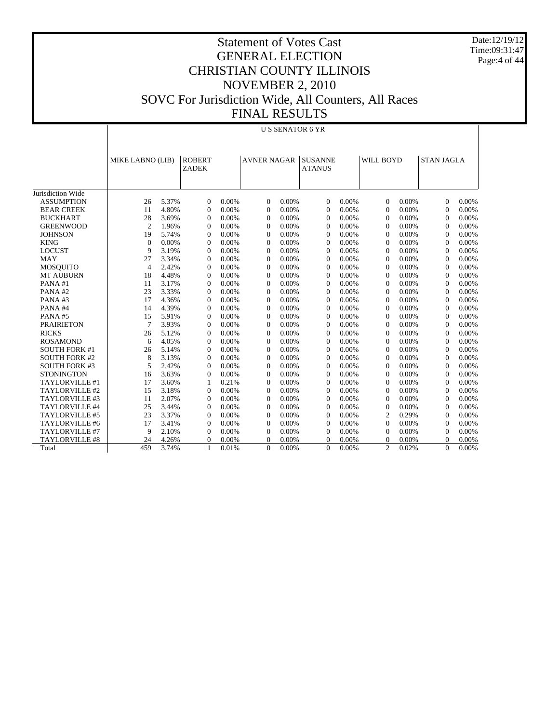Date:12/19/12 Time:09:31:47 Page:4 of 44

|                      |                  | <b>US SENATOR 6 YR</b> |                               |       |                    |       |                                 |       |                |       |                   |          |
|----------------------|------------------|------------------------|-------------------------------|-------|--------------------|-------|---------------------------------|-------|----------------|-------|-------------------|----------|
|                      | MIKE LABNO (LIB) |                        | <b>ROBERT</b><br><b>ZADEK</b> |       | <b>AVNER NAGAR</b> |       | <b>SUSANNE</b><br><b>ATANUS</b> |       | WILL BOYD      |       | <b>STAN JAGLA</b> |          |
| Jurisdiction Wide    |                  |                        |                               |       |                    |       |                                 |       |                |       |                   |          |
| <b>ASSUMPTION</b>    | 26               | 5.37%                  | $\Omega$                      | 0.00% | $\Omega$           | 0.00% | $\Omega$                        | 0.00% | $\Omega$       | 0.00% | $\Omega$          | 0.00%    |
| <b>BEAR CREEK</b>    | 11               | 4.80%                  | $\theta$                      | 0.00% | $\theta$           | 0.00% | $\overline{0}$                  | 0.00% | $\overline{0}$ | 0.00% | $\overline{0}$    | 0.00%    |
| <b>BUCKHART</b>      | 28               | 3.69%                  | $\theta$                      | 0.00% | $\theta$           | 0.00% | $\mathbf{0}$                    | 0.00% | $\overline{0}$ | 0.00% | $\overline{0}$    | 0.00%    |
| <b>GREENWOOD</b>     | $\overline{2}$   | 1.96%                  | $\overline{0}$                | 0.00% | $\theta$           | 0.00% | $\overline{0}$                  | 0.00% | $\overline{0}$ | 0.00% | $\overline{0}$    | 0.00%    |
| <b>JOHNSON</b>       | 19               | 5.74%                  | $\Omega$                      | 0.00% | $\Omega$           | 0.00% | $\overline{0}$                  | 0.00% | $\overline{0}$ | 0.00% | $\Omega$          | 0.00%    |
| <b>KING</b>          | $\overline{0}$   | 0.00%                  | $\overline{0}$                | 0.00% | $\theta$           | 0.00% | $\overline{0}$                  | 0.00% | $\overline{0}$ | 0.00% | $\overline{0}$    | 0.00%    |
| <b>LOCUST</b>        | 9                | 3.19%                  | $\overline{0}$                | 0.00% | $\mathbf{0}$       | 0.00% | $\overline{0}$                  | 0.00% | $\overline{0}$ | 0.00% | $\overline{0}$    | 0.00%    |
| <b>MAY</b>           | 27               | 3.34%                  | $\Omega$                      | 0.00% | $\theta$           | 0.00% | $\theta$                        | 0.00% | $\Omega$       | 0.00% | $\Omega$          | $0.00\%$ |
| <b>MOSQUITO</b>      | $\overline{4}$   | 2.42%                  | $\Omega$                      | 0.00% | $\Omega$           | 0.00% | $\theta$                        | 0.00% | $\Omega$       | 0.00% | $\Omega$          | 0.00%    |
| <b>MT AUBURN</b>     | 18               | 4.48%                  | $\theta$                      | 0.00% | $\theta$           | 0.00% | $\Omega$                        | 0.00% | $\Omega$       | 0.00% | $\Omega$          | 0.00%    |
| PANA#1               | 11               | 3.17%                  | $\boldsymbol{0}$              | 0.00% | $\theta$           | 0.00% | $\overline{0}$                  | 0.00% | $\overline{0}$ | 0.00% | $\overline{0}$    | 0.00%    |
| PANA#2               | 23               | 3.33%                  | $\overline{0}$                | 0.00% | $\theta$           | 0.00% | $\overline{0}$                  | 0.00% | $\overline{0}$ | 0.00% | $\overline{0}$    | 0.00%    |
| PANA#3               | 17               | 4.36%                  | $\overline{0}$                | 0.00% | $\theta$           | 0.00% | $\overline{0}$                  | 0.00% | $\overline{0}$ | 0.00% | $\overline{0}$    | 0.00%    |
| PANA#4               | 14               | 4.39%                  | $\overline{0}$                | 0.00% | $\Omega$           | 0.00% | $\overline{0}$                  | 0.00% | $\overline{0}$ | 0.00% | $\Omega$          | 0.00%    |
| PANA#5               | 15               | 5.91%                  | $\overline{0}$                | 0.00% | $\mathbf{0}$       | 0.00% | $\overline{0}$                  | 0.00% | $\overline{0}$ | 0.00% | $\overline{0}$    | 0.00%    |
| <b>PRAIRIETON</b>    | $\overline{7}$   | 3.93%                  | $\Omega$                      | 0.00% | $\Omega$           | 0.00% | $\theta$                        | 0.00% | $\Omega$       | 0.00% | $\Omega$          | 0.00%    |
| <b>RICKS</b>         | 26               | 5.12%                  | $\Omega$                      | 0.00% | $\Omega$           | 0.00% | $\Omega$                        | 0.00% | $\Omega$       | 0.00% | $\Omega$          | 0.00%    |
| <b>ROSAMOND</b>      | 6                | 4.05%                  | $\Omega$                      | 0.00% | $\Omega$           | 0.00% | $\Omega$                        | 0.00% | $\Omega$       | 0.00% | $\Omega$          | 0.00%    |
| <b>SOUTH FORK #1</b> | 26               | 5.14%                  | $\theta$                      | 0.00% | $\theta$           | 0.00% | $\overline{0}$                  | 0.00% | $\overline{0}$ | 0.00% | $\Omega$          | 0.00%    |
| <b>SOUTH FORK #2</b> | 8                | 3.13%                  | $\theta$                      | 0.00% | $\theta$           | 0.00% | $\mathbf{0}$                    | 0.00% | $\overline{0}$ | 0.00% | $\overline{0}$    | 0.00%    |
| <b>SOUTH FORK #3</b> | 5                | 2.42%                  | $\overline{0}$                | 0.00% | $\theta$           | 0.00% | $\overline{0}$                  | 0.00% | $\overline{0}$ | 0.00% | $\overline{0}$    | 0.00%    |
| <b>STONINGTON</b>    | 16               | 3.63%                  | $\overline{0}$                | 0.00% | $\Omega$           | 0.00% | $\overline{0}$                  | 0.00% | $\overline{0}$ | 0.00% | $\overline{0}$    | 0.00%    |
| TAYLORVILLE #1       | 17               | 3.60%                  | 1                             | 0.21% | $\mathbf{0}$       | 0.00% | $\overline{0}$                  | 0.00% | $\overline{0}$ | 0.00% | $\overline{0}$    | 0.00%    |
| TAYLORVILLE #2       | 15               | 3.18%                  | $\Omega$                      | 0.00% | $\Omega$           | 0.00% | $\Omega$                        | 0.00% | $\Omega$       | 0.00% | $\Omega$          | 0.00%    |
| TAYLORVILLE #3       | 11               | 2.07%                  | $\Omega$                      | 0.00% | $\Omega$           | 0.00% | $\theta$                        | 0.00% | $\Omega$       | 0.00% | $\Omega$          | 0.00%    |
| TAYLORVILLE #4       | 25               | 3.44%                  | $\Omega$                      | 0.00% | $\theta$           | 0.00% | $\Omega$                        | 0.00% | $\Omega$       | 0.00% | $\Omega$          | 0.00%    |
| TAYLORVILLE #5       | 23               | 3.37%                  | $\theta$                      | 0.00% | $\theta$           | 0.00% | $\overline{0}$                  | 0.00% | 2              | 0.29% | $\Omega$          | 0.00%    |
| TAYLORVILLE #6       | 17               | 3.41%                  | $\boldsymbol{0}$              | 0.00% | $\boldsymbol{0}$   | 0.00% | $\mathbf{0}$                    | 0.00% | $\overline{0}$ | 0.00% | $\overline{0}$    | 0.00%    |
| TAYLORVILLE #7       | 9                | 2.10%                  | $\overline{0}$                | 0.00% | $\theta$           | 0.00% | $\mathbf{0}$                    | 0.00% | $\overline{0}$ | 0.00% | $\overline{0}$    | 0.00%    |
| TAYLORVILLE #8       | 24               | 4.26%                  | $\Omega$                      | 0.00% | $\mathbf{0}$       | 0.00% | $\overline{0}$                  | 0.00% | 0              | 0.00% | $\overline{0}$    | 0.00%    |
| Total                | 459              | 3.74%                  | $\mathbf{1}$                  | 0.01% | $\Omega$           | 0.00% | $\theta$                        | 0.00% | $\overline{c}$ | 0.02% | $\Omega$          | 0.00%    |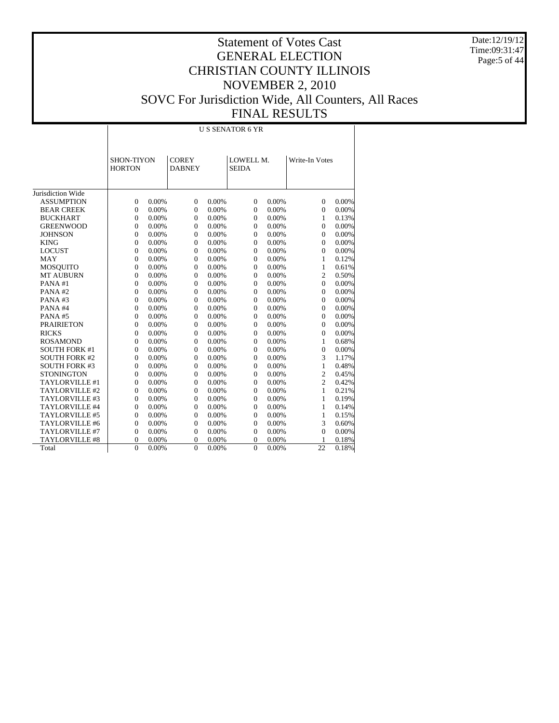Date:12/19/12 Time:09:31:47 Page:5 of 44

## Statement of Votes Cast GENERAL ELECTION CHRISTIAN COUNTY ILLINOIS NOVEMBER 2, 2010 SOVC For Jurisdiction Wide, All Counters, All Races FINAL RESULTS

Jurisdiction Wide ASSUMPTION BEAR CREEK BUCKHART GREENWOOD **JOHNSON**  KING LOCUST MAY MOSQUITO MT AUBURN PANA #1 PANA #2 PANA #3 PANA #4 PANA #5 PRAIRIETON RICKS ROSAMOND SOUTH FORK #1 SOUTH FORK #2 SOUTH FORK #3 **STONINGTON**  TAYLORVILLE #1 TAYLORVILLE #2 TAYLORVILLE #3 TAYLORVILLE #4 TAYLORVILLE #5 TAYLORVILLE #6 TAYLORVILLE #7 TAYLORVILLE #8 Total SHON-TIYON **HORTON COREY** DABNEY LOWELL M. SEIDA Write-In Votes U S SENATOR 6 YR 0 0.00% 0 0.00% 0 0.00% 0 0.00% 0 0.00% 0 0.00% 0 0.00% 0 0.00% 0 0.00% 0 0.00% 0 0.00% 1 0.13% 0 0.00% 0 0.00% 0 0.00% 0 0.00% 0 0.00% 0 0.00% 0 0.00% 0 0.00% 0 0.00% 0 0.00% 0 0.00% 0 0.00% 0 0.00% 0 0.00% 0 0.00% 0 0.00% 0 0.00% 0 0.00% 0 0.00% 1 0.12% 0 0.00% 0 0.00% 0 0.00% 1 0.61% 0 0.00% 0 0.00% 0 0.00% 2 0.50% 0 0.00% 0 0.00% 0 0.00% 0 0.00% 0 0.00% 0 0.00% 0 0.00% 0 0.00% 0 0.00% 0 0.00% 0 0.00% 0 0.00% 0 0.00% 0 0.00% 0 0.00% 0 0.00% 0 0.00% 0 0.00% 0 0.00% 0 0.00% 0 0.00% 0 0.00% 0 0.00% 0 0.00% 0 0.00% 0 0.00% 0 0.00% 0 0.00% 0 0.00% 0 0.00% 0 0.00% 1 0.68% 0 0.00% 0 0.00% 0 0.00% 0 0.00% 0 0.00% 0 0.00% 0 0.00% 3 1.17% 0 0.00% 0 0.00% 0 0.00% 1 0.48% 0 0.00% 0 0.00% 0 0.00% 2 0.45% 0 0.00% 0 0.00% 0 0.00% 2 0.42% 0 0.00% 0 0.00% 0 0.00% 1 0.21% 0 0.00% 0 0.00% 0 0.00% 1 0.19% 0 0.00% 0 0.00% 0 0.00% 1 0.14% 0 0.00% 0 0.00% 0 0.00% 1 0.15% 0 0.00% 0 0.00% 0 0.00% 3 0.60% 0 0.00% 0 0.00% 0 0.00% 0 0.00% 0 0.00% 0 0.00% 0 0.00% 1 0.18% 0 0.00% 0 0.00% 0 0.00% 22 0.18%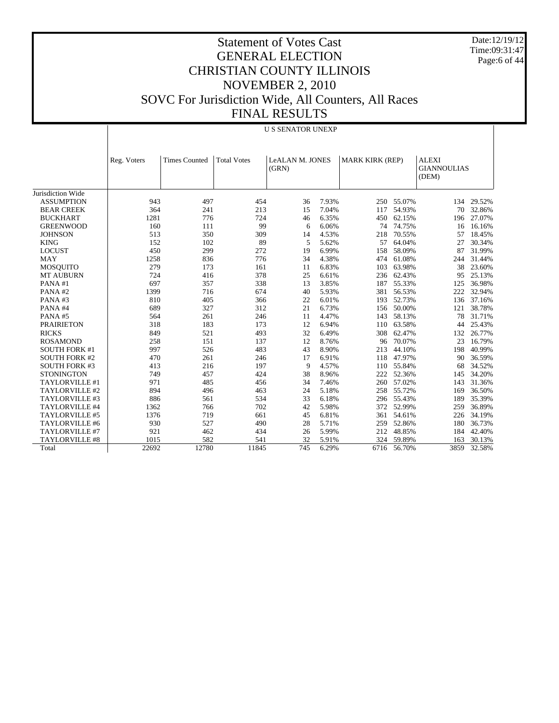Date:12/19/12 Time:09:31:47 Page:6 of 44

|                       | <b>U S SENATOR UNEXP</b> |                      |                    |                          |       |                        |            |                                             |            |  |
|-----------------------|--------------------------|----------------------|--------------------|--------------------------|-------|------------------------|------------|---------------------------------------------|------------|--|
|                       | Reg. Voters              | <b>Times Counted</b> | <b>Total Votes</b> | LeALAN M. JONES<br>(GRN) |       | <b>MARK KIRK (REP)</b> |            | <b>ALEXI</b><br><b>GIANNOULIAS</b><br>(DEM) |            |  |
| Jurisdiction Wide     |                          |                      |                    |                          |       |                        |            |                                             |            |  |
| <b>ASSUMPTION</b>     | 943                      | 497                  | 454                | 36                       | 7.93% |                        | 250 55.07% |                                             | 134 29.52% |  |
| <b>BEAR CREEK</b>     | 364                      | 241                  | 213                | 15                       | 7.04% | 117                    | 54.93%     | 70                                          | 32.86%     |  |
| <b>BUCKHART</b>       | 1281                     | 776                  | 724                | 46                       | 6.35% | 450                    | 62.15%     | 196                                         | 27.07%     |  |
| <b>GREENWOOD</b>      | 160                      | 111                  | 99                 | 6                        | 6.06% | 74                     | 74.75%     | 16                                          | 16.16%     |  |
| <b>JOHNSON</b>        | 513                      | 350                  | 309                | 14                       | 4.53% | 218                    | 70.55%     | 57                                          | 18.45%     |  |
| <b>KING</b>           | 152                      | 102                  | 89                 | 5                        | 5.62% | 57                     | 64.04%     | 27                                          | 30.34%     |  |
| <b>LOCUST</b>         | 450                      | 299                  | 272                | 19                       | 6.99% | 158                    | 58.09%     | 87                                          | 31.99%     |  |
| MAY                   | 1258                     | 836                  | 776                | 34                       | 4.38% | 474                    | 61.08%     | 244                                         | 31.44%     |  |
| <b>MOSQUITO</b>       | 279                      | 173                  | 161                | 11                       | 6.83% | 103                    | 63.98%     | 38                                          | 23.60%     |  |
| <b>MT AUBURN</b>      | 724                      | 416                  | 378                | 25                       | 6.61% | 236                    | 62.43%     | 95                                          | 25.13%     |  |
| PANA#1                | 697                      | 357                  | 338                | 13                       | 3.85% | 187                    | 55.33%     | 125                                         | 36.98%     |  |
| PANA#2                | 1399                     | 716                  | 674                | 40                       | 5.93% | 381                    | 56.53%     | 222                                         | 32.94%     |  |
| PANA#3                | 810                      | 405                  | 366                | 22                       | 6.01% | 193                    | 52.73%     | 136                                         | 37.16%     |  |
| PANA#4                | 689                      | 327                  | 312                | 21                       | 6.73% | 156                    | 50.00%     | 121                                         | 38.78%     |  |
| PANA#5                | 564                      | 261                  | 246                | 11                       | 4.47% | 143                    | 58.13%     | 78                                          | 31.71%     |  |
| <b>PRAIRIETON</b>     | 318                      | 183                  | 173                | 12                       | 6.94% | 110                    | 63.58%     | 44                                          | 25.43%     |  |
| <b>RICKS</b>          | 849                      | 521                  | 493                | 32                       | 6.49% | 308                    | 62.47%     | 132                                         | 26.77%     |  |
| <b>ROSAMOND</b>       | 258                      | 151                  | 137                | 12                       | 8.76% | 96                     | 70.07%     | 23                                          | 16.79%     |  |
| <b>SOUTH FORK #1</b>  | 997                      | 526                  | 483                | 43                       | 8.90% | 213                    | 44.10%     | 198                                         | 40.99%     |  |
| <b>SOUTH FORK #2</b>  | 470                      | 261                  | 246                | 17                       | 6.91% | 118                    | 47.97%     | 90                                          | 36.59%     |  |
| <b>SOUTH FORK #3</b>  | 413                      | 216                  | 197                | 9                        | 4.57% | 110                    | 55.84%     | 68                                          | 34.52%     |  |
| <b>STONINGTON</b>     | 749                      | 457                  | 424                | 38                       | 8.96% | 222                    | 52.36%     | 145                                         | 34.20%     |  |
| TAYLORVILLE #1        | 971                      | 485                  | 456                | 34                       | 7.46% | 260                    | 57.02%     | 143                                         | 31.36%     |  |
| TAYLORVILLE #2        | 894                      | 496                  | 463                | 24                       | 5.18% | 258                    | 55.72%     | 169                                         | 36.50%     |  |
| TAYLORVILLE #3        | 886                      | 561                  | 534                | 33                       | 6.18% | 296                    | 55.43%     | 189                                         | 35.39%     |  |
| TAYLORVILLE #4        | 1362                     | 766                  | 702                | 42                       | 5.98% | 372                    | 52.99%     | 259                                         | 36.89%     |  |
| TAYLORVILLE #5        | 1376                     | 719                  | 661                | 45                       | 6.81% | 361                    | 54.61%     | 226                                         | 34.19%     |  |
| TAYLORVILLE #6        | 930                      | 527                  | 490                | 28                       | 5.71% | 259                    | 52.86%     | 180                                         | 36.73%     |  |
| TAYLORVILLE #7        | 921                      | 462                  | 434                | 26                       | 5.99% | 212                    | 48.85%     | 184                                         | 42.40%     |  |
| <b>TAYLORVILLE #8</b> | 1015                     | 582                  | 541                | 32                       | 5.91% | 324                    | 59.89%     | 163                                         | 30.13%     |  |
| Total                 | 22692                    | 12780                | 11845              | 745                      | 6.29% | 6716                   | 56.70%     | 3859                                        | 32.58%     |  |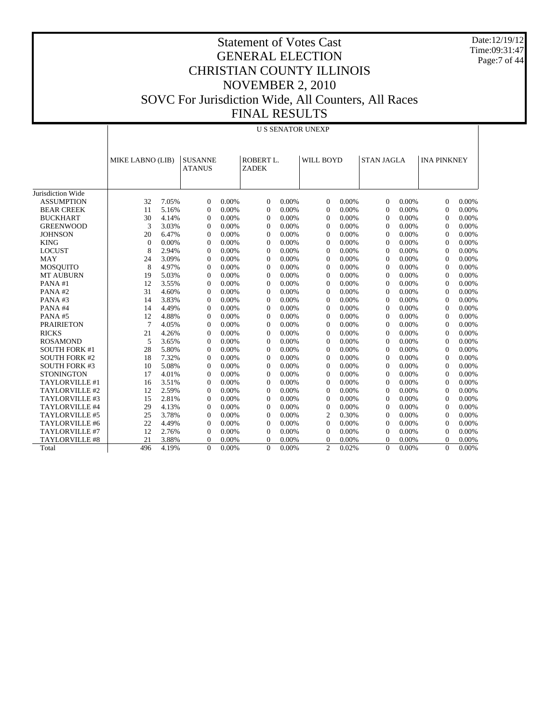Date:12/19/12 Time:09:31:47 Page:7 of 44

|                       | <b>U S SENATOR UNEXP</b> |       |                                 |       |                           |          |                |       |                   |       |                    |       |
|-----------------------|--------------------------|-------|---------------------------------|-------|---------------------------|----------|----------------|-------|-------------------|-------|--------------------|-------|
|                       | MIKE LABNO (LIB)         |       | <b>SUSANNE</b><br><b>ATANUS</b> |       | ROBERT L.<br><b>ZADEK</b> |          | WILL BOYD      |       | <b>STAN JAGLA</b> |       | <b>INA PINKNEY</b> |       |
| Jurisdiction Wide     |                          |       |                                 |       |                           |          |                |       |                   |       |                    |       |
| <b>ASSUMPTION</b>     | 32                       | 7.05% | $\Omega$                        | 0.00% | $\overline{0}$            | 0.00%    | $\Omega$       | 0.00% | $\Omega$          | 0.00% | $\Omega$           | 0.00% |
| <b>BEAR CREEK</b>     | 11                       | 5.16% | $\overline{0}$                  | 0.00% | $\theta$                  | $0.00\%$ | $\mathbf{0}$   | 0.00% | $\overline{0}$    | 0.00% | $\Omega$           | 0.00% |
| <b>BUCKHART</b>       | 30                       | 4.14% | $\overline{0}$                  | 0.00% | $\theta$                  | 0.00%    | $\Omega$       | 0.00% | $\overline{0}$    | 0.00% | $\Omega$           | 0.00% |
| <b>GREENWOOD</b>      | 3                        | 3.03% | $\mathbf{0}$                    | 0.00% | $\Omega$                  | 0.00%    | $\theta$       | 0.00% | $\overline{0}$    | 0.00% | $\theta$           | 0.00% |
| <b>JOHNSON</b>        | 20                       | 6.47% | $\Omega$                        | 0.00% | $\Omega$                  | 0.00%    | $\Omega$       | 0.00% | $\overline{0}$    | 0.00% | $\Omega$           | 0.00% |
| <b>KING</b>           | $\theta$                 | 0.00% | $\mathbf{0}$                    | 0.00% | $\Omega$                  | 0.00%    | $\theta$       | 0.00% | $\overline{0}$    | 0.00% | $\Omega$           | 0.00% |
| <b>LOCUST</b>         | 8                        | 2.94% | $\overline{0}$                  | 0.00% | $\mathbf{0}$              | 0.00%    | $\overline{0}$ | 0.00% | $\overline{0}$    | 0.00% | $\Omega$           | 0.00% |
| <b>MAY</b>            | 24                       | 3.09% | $\Omega$                        | 0.00% | $\Omega$                  | 0.00%    | $\theta$       | 0.00% | $\Omega$          | 0.00% | $\Omega$           | 0.00% |
| <b>MOSQUITO</b>       | 8                        | 4.97% | $\Omega$                        | 0.00% | $\Omega$                  | 0.00%    | $\Omega$       | 0.00% | $\Omega$          | 0.00% | $\Omega$           | 0.00% |
| <b>MT AUBURN</b>      | 19                       | 5.03% | $\Omega$                        | 0.00% | $\theta$                  | 0.00%    | $\Omega$       | 0.00% | $\Omega$          | 0.00% | $\Omega$           | 0.00% |
| PANA#1                | 12                       | 3.55% | $\mathbf{0}$                    | 0.00% | $\theta$                  | 0.00%    | $\theta$       | 0.00% | $\mathbf{0}$      | 0.00% | $\Omega$           | 0.00% |
| PANA#2                | 31                       | 4.60% | $\mathbf{0}$                    | 0.00% | $\theta$                  | 0.00%    | $\overline{0}$ | 0.00% | $\overline{0}$    | 0.00% | $\theta$           | 0.00% |
| PANA#3                | 14                       | 3.83% | $\overline{0}$                  | 0.00% | $\Omega$                  | 0.00%    | $\mathbf{0}$   | 0.00% | $\overline{0}$    | 0.00% | $\Omega$           | 0.00% |
| PANA#4                | 14                       | 4.49% | $\theta$                        | 0.00% | $\Omega$                  | 0.00%    | $\Omega$       | 0.00% | $\Omega$          | 0.00% | $\Omega$           | 0.00% |
| PANA#5                | 12                       | 4.88% | $\Omega$                        | 0.00% | $\Omega$                  | 0.00%    | $\Omega$       | 0.00% | $\overline{0}$    | 0.00% | $\Omega$           | 0.00% |
| <b>PRAIRIETON</b>     | $\tau$                   | 4.05% | $\mathbf{0}$                    | 0.00% | $\Omega$                  | 0.00%    | $\Omega$       | 0.00% | $\overline{0}$    | 0.00% | $\Omega$           | 0.00% |
| <b>RICKS</b>          | 21                       | 4.26% | $\Omega$                        | 0.00% | $\Omega$                  | 0.00%    | $\Omega$       | 0.00% | $\overline{0}$    | 0.00% | $\Omega$           | 0.00% |
| <b>ROSAMOND</b>       | 5                        | 3.65% | $\mathbf{0}$                    | 0.00% | $\theta$                  | 0.00%    | $\theta$       | 0.00% | $\overline{0}$    | 0.00% | $\Omega$           | 0.00% |
| <b>SOUTH FORK #1</b>  | 28                       | 5.80% | $\Omega$                        | 0.00% | $\Omega$                  | 0.00%    | $\Omega$       | 0.00% | $\Omega$          | 0.00% | $\Omega$           | 0.00% |
| <b>SOUTH FORK #2</b>  | 18                       | 7.32% | $\mathbf{0}$                    | 0.00% | $\Omega$                  | 0.00%    | $\Omega$       | 0.00% | $\overline{0}$    | 0.00% | $\Omega$           | 0.00% |
| <b>SOUTH FORK #3</b>  | 10                       | 5.08% | $\mathbf{0}$                    | 0.00% | $\theta$                  | 0.00%    | $\overline{0}$ | 0.00% | $\overline{0}$    | 0.00% | $\theta$           | 0.00% |
| <b>STONINGTON</b>     | 17                       | 4.01% | $\mathbf{0}$                    | 0.00% | $\theta$                  | 0.00%    | $\theta$       | 0.00% | $\mathbf{0}$      | 0.00% | $\theta$           | 0.00% |
| TAYLORVILLE #1        | 16                       | 3.51% | $\theta$                        | 0.00% | $\Omega$                  | 0.00%    | $\mathbf{0}$   | 0.00% | $\overline{0}$    | 0.00% | $\theta$           | 0.00% |
| TAYLORVILLE #2        | 12                       | 2.59% | $\Omega$                        | 0.00% | $\Omega$                  | 0.00%    | $\Omega$       | 0.00% | $\overline{0}$    | 0.00% | $\Omega$           | 0.00% |
| TAYLORVILLE #3        | 15                       | 2.81% | $\Omega$                        | 0.00% | $\Omega$                  | 0.00%    | $\theta$       | 0.00% | $\overline{0}$    | 0.00% | $\Omega$           | 0.00% |
| TAYLORVILLE #4        | 29                       | 4.13% | $\Omega$                        | 0.00% | $\Omega$                  | 0.00%    | $\overline{0}$ | 0.00% | $\Omega$          | 0.00% | $\Omega$           | 0.00% |
| TAYLORVILLE #5        | 25                       | 3.78% | $\overline{0}$                  | 0.00% | $\theta$                  | 0.00%    | 2              | 0.30% | $\Omega$          | 0.00% | $\Omega$           | 0.00% |
| TAYLORVILLE #6        | 22                       | 4.49% | $\overline{0}$                  | 0.00% | $\theta$                  | 0.00%    | $\overline{0}$ | 0.00% | $\overline{0}$    | 0.00% | $\Omega$           | 0.00% |
| TAYLORVILLE #7        | 12                       | 2.76% | $\mathbf{0}$                    | 0.00% | $\theta$                  | 0.00%    | $\Omega$       | 0.00% | $\mathbf{0}$      | 0.00% | $\Omega$           | 0.00% |
| <b>TAYLORVILLE #8</b> | 21                       | 3.88% | $\Omega$                        | 0.00% | $\Omega$                  | 0.00%    | $\overline{0}$ | 0.00% | $\Omega$          | 0.00% | $\Omega$           | 0.00% |
| Total                 | 496                      | 4.19% | $\Omega$                        | 0.00% | $\Omega$                  | 0.00%    | $\overline{c}$ | 0.02% | $\theta$          | 0.00% | $\Omega$           | 0.00% |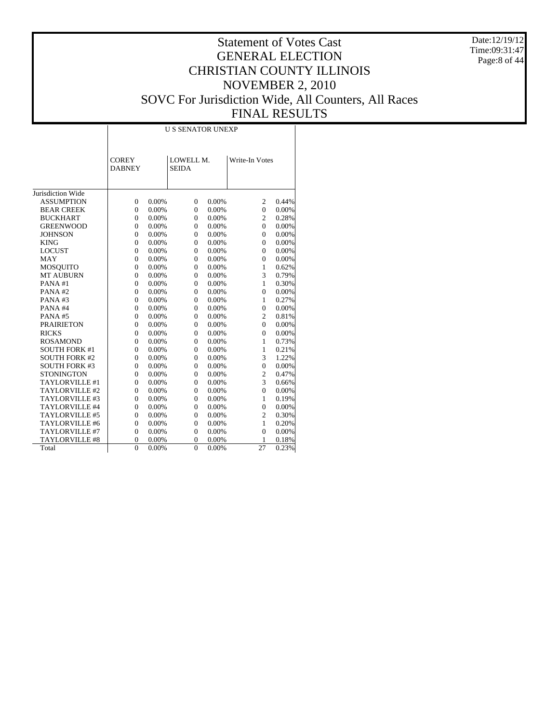Date:12/19/12 Time:09:31:47 Page:8 of 44

# Statement of Votes Cast GENERAL ELECTION CHRISTIAN COUNTY ILLINOIS NOVEMBER 2, 2010 SOVC For Jurisdiction Wide, All Counters, All Races FINAL RESULTS

Τ

|                       |                               | <b>U S SENATOR UNEXP</b> |                           |       |                |          |  |  |  |  |  |
|-----------------------|-------------------------------|--------------------------|---------------------------|-------|----------------|----------|--|--|--|--|--|
|                       | <b>COREY</b><br><b>DABNEY</b> |                          | LOWELL M.<br><b>SEIDA</b> |       | Write-In Votes |          |  |  |  |  |  |
| Jurisdiction Wide     |                               |                          |                           |       |                |          |  |  |  |  |  |
| <b>ASSUMPTION</b>     | $\overline{0}$                | 0.00%                    | $\overline{0}$            | 0.00% | $\overline{c}$ | 0.44%    |  |  |  |  |  |
| <b>BEAR CREEK</b>     | $\overline{0}$                | 0.00%                    | $\overline{0}$            | 0.00% | $\mathbf{0}$   | 0.00%    |  |  |  |  |  |
| <b>BUCKHART</b>       | $\overline{0}$                | 0.00%                    | $\overline{0}$            | 0.00% | $\overline{c}$ | 0.28%    |  |  |  |  |  |
| <b>GREENWOOD</b>      | $\overline{0}$                | 0.00%                    | $\overline{0}$            | 0.00% | $\overline{0}$ | $0.00\%$ |  |  |  |  |  |
| <b>JOHNSON</b>        | $\overline{0}$                | 0.00%                    | $\overline{0}$            | 0.00% | $\mathbf{0}$   | $0.00\%$ |  |  |  |  |  |
| <b>KING</b>           | $\overline{0}$                | 0.00%                    | $\overline{0}$            | 0.00% | $\mathbf{0}$   | $0.00\%$ |  |  |  |  |  |
| <b>LOCUST</b>         | $\overline{0}$                | 0.00%                    | $\overline{0}$            | 0.00% | $\mathbf{0}$   | $0.00\%$ |  |  |  |  |  |
| <b>MAY</b>            | $\overline{0}$                | 0.00%                    | $\overline{0}$            | 0.00% | $\mathbf{0}$   | $0.00\%$ |  |  |  |  |  |
| <b>MOSQUITO</b>       | $\overline{0}$                | 0.00%                    | $\overline{0}$            | 0.00% | $\mathbf{1}$   | 0.62%    |  |  |  |  |  |
| <b>MT AUBURN</b>      | $\overline{0}$                | 0.00%                    | $\overline{0}$            | 0.00% | 3              | 0.79%    |  |  |  |  |  |
| PANA#1                | $\overline{0}$                | 0.00%                    | $\overline{0}$            | 0.00% | $\mathbf{1}$   | 0.30%    |  |  |  |  |  |
| PANA#2                | $\overline{0}$                | 0.00%                    | $\overline{0}$            | 0.00% | $\overline{0}$ | $0.00\%$ |  |  |  |  |  |
| PANA#3                | $\overline{0}$                | 0.00%                    | $\overline{0}$            | 0.00% | $\mathbf{1}$   | 0.27%    |  |  |  |  |  |
| PANA#4                | $\overline{0}$                | 0.00%                    | $\overline{0}$            | 0.00% | $\mathbf{0}$   | $0.00\%$ |  |  |  |  |  |
| PANA#5                | $\overline{0}$                | 0.00%                    | $\overline{0}$            | 0.00% | $\overline{c}$ | 0.81%    |  |  |  |  |  |
| <b>PRAIRIETON</b>     | $\overline{0}$                | 0.00%                    | $\overline{0}$            | 0.00% | $\overline{0}$ | $0.00\%$ |  |  |  |  |  |
| <b>RICKS</b>          | $\overline{0}$                | 0.00%                    | $\overline{0}$            | 0.00% | $\overline{0}$ | $0.00\%$ |  |  |  |  |  |
| <b>ROSAMOND</b>       | $\overline{0}$                | 0.00%                    | $\overline{0}$            | 0.00% | $\mathbf{1}$   | 0.73%    |  |  |  |  |  |
| <b>SOUTH FORK #1</b>  | $\overline{0}$                | 0.00%                    | $\overline{0}$            | 0.00% | $\mathbf{1}$   | 0.21%    |  |  |  |  |  |
| <b>SOUTH FORK #2</b>  | $\overline{0}$                | 0.00%                    | $\overline{0}$            | 0.00% | 3              | 1.22%    |  |  |  |  |  |
| <b>SOUTH FORK #3</b>  | $\overline{0}$                | 0.00%                    | $\overline{0}$            | 0.00% | $\overline{0}$ | $0.00\%$ |  |  |  |  |  |
| <b>STONINGTON</b>     | $\overline{0}$                | 0.00%                    | $\overline{0}$            | 0.00% | $\mathfrak{2}$ | 0.47%    |  |  |  |  |  |
| TAYLORVILLE #1        | $\overline{0}$                | 0.00%                    | $\overline{0}$            | 0.00% | 3              | 0.66%    |  |  |  |  |  |
| TAYLORVILLE #2        | $\overline{0}$                | 0.00%                    | $\overline{0}$            | 0.00% | $\overline{0}$ | $0.00\%$ |  |  |  |  |  |
| TAYLORVILLE #3        | $\overline{0}$                | 0.00%                    | $\overline{0}$            | 0.00% | $\mathbf{1}$   | 0.19%    |  |  |  |  |  |
| TAYLORVILLE #4        | $\overline{0}$                | 0.00%                    | $\overline{0}$            | 0.00% | $\overline{0}$ | $0.00\%$ |  |  |  |  |  |
| TAYLORVILLE #5        | $\overline{0}$                | 0.00%                    | $\overline{0}$            | 0.00% | $\overline{c}$ | 0.30%    |  |  |  |  |  |
| TAYLORVILLE #6        | $\overline{0}$                | 0.00%                    | $\overline{0}$            | 0.00% | $\mathbf{1}$   | 0.20%    |  |  |  |  |  |
| TAYLORVILLE #7        | $\overline{0}$                | 0.00%                    | $\overline{0}$            | 0.00% | $\mathbf{0}$   | $0.00\%$ |  |  |  |  |  |
| <b>TAYLORVILLE #8</b> | $\overline{0}$                | 0.00%                    | $\overline{0}$            | 0.00% | 1              | 0.18%    |  |  |  |  |  |
| Total                 | $\theta$                      | 0.00%                    | $\theta$                  | 0.00% | 27             | 0.23%    |  |  |  |  |  |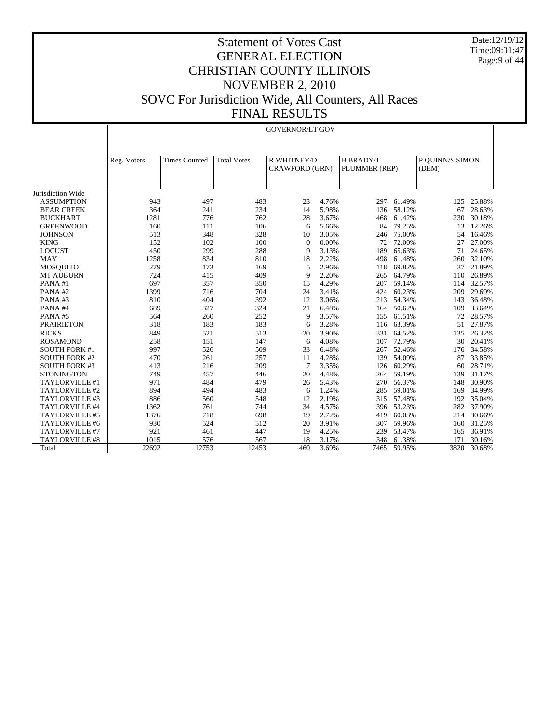Date:12/19/12 Time:09:31:47 Page:9 of 44

|                      | <b>GOVERNOR/LT GOV</b> |                      |                    |                                      |                |                                   |        |                          |        |  |
|----------------------|------------------------|----------------------|--------------------|--------------------------------------|----------------|-----------------------------------|--------|--------------------------|--------|--|
|                      |                        |                      |                    |                                      |                |                                   |        |                          |        |  |
|                      | Reg. Voters            | <b>Times Counted</b> | <b>Total Votes</b> | R WHITNEY/D<br><b>CRAWFORD (GRN)</b> |                | <b>B BRADY/J</b><br>PLUMMER (REP) |        | P QUINN/S SIMON<br>(DEM) |        |  |
| Jurisdiction Wide    |                        |                      |                    |                                      |                |                                   |        |                          |        |  |
| <b>ASSUMPTION</b>    | 943                    | 497                  | 483                | 23                                   | 4.76%          | 297                               | 61.49% |                          | 25.88% |  |
| <b>BEAR CREEK</b>    | 364                    | 241                  | 234                | 14                                   |                | 136                               | 58.12% | 125<br>67                | 28.63% |  |
|                      | 1281                   |                      |                    | 28                                   | 5.98%<br>3.67% |                                   |        |                          |        |  |
| <b>BUCKHART</b>      |                        | 776                  | 762                |                                      |                | 468                               | 61.42% | 230                      | 30.18% |  |
| <b>GREENWOOD</b>     | 160                    | 111                  | 106                | 6                                    | 5.66%          | 84                                | 79.25% | 13                       | 12.26% |  |
| <b>JOHNSON</b>       | 513<br>152             | 348                  | 328                | 10                                   | 3.05%          | 246                               | 75.00% | 54                       | 16.46% |  |
| <b>KING</b>          |                        | 102                  | 100                | $\Omega$                             | 0.00%          | 72                                | 72.00% | 27                       | 27.00% |  |
| <b>LOCUST</b>        | 450                    | 299                  | 288                | 9                                    | 3.13%          | 189                               | 65.63% | 71                       | 24.65% |  |
| <b>MAY</b>           | 1258                   | 834                  | 810                | 18                                   | 2.22%          | 498                               | 61.48% | 260                      | 32.10% |  |
| <b>MOSQUITO</b>      | 279                    | 173                  | 169                | 5                                    | 2.96%          | 118                               | 69.82% | 37                       | 21.89% |  |
| <b>MT AUBURN</b>     | 724                    | 415                  | 409                | 9                                    | 2.20%          | 265                               | 64.79% | 110                      | 26.89% |  |
| PANA#1               | 697                    | 357                  | 350                | 15                                   | 4.29%          | 207                               | 59.14% | 114                      | 32.57% |  |
| PANA#2               | 1399                   | 716                  | 704                | 24                                   | 3.41%          | 424                               | 60.23% | 209                      | 29.69% |  |
| PANA#3               | 810                    | 404                  | 392                | 12                                   | 3.06%          | 213                               | 54.34% | 143                      | 36.48% |  |
| PANA#4               | 689                    | 327                  | 324                | 21                                   | 6.48%          | 164                               | 50.62% | 109                      | 33.64% |  |
| PANA#5               | 564                    | 260                  | 252                | 9                                    | 3.57%          | 155                               | 61.51% | 72                       | 28.57% |  |
| <b>PRAIRIETON</b>    | 318                    | 183                  | 183                | 6                                    | 3.28%          | 116                               | 63.39% | 51                       | 27.87% |  |
| <b>RICKS</b>         | 849                    | 521                  | 513                | 20                                   | 3.90%          | 331                               | 64.52% | 135                      | 26.32% |  |
| <b>ROSAMOND</b>      | 258                    | 151                  | 147                | 6                                    | 4.08%          | 107                               | 72.79% | 30                       | 20.41% |  |
| <b>SOUTH FORK #1</b> | 997                    | 526                  | 509                | 33                                   | 6.48%          | 267                               | 52.46% | 176                      | 34.58% |  |
| <b>SOUTH FORK #2</b> | 470                    | 261                  | 257                | 11                                   | 4.28%          | 139                               | 54.09% | 87                       | 33.85% |  |
| <b>SOUTH FORK #3</b> | 413                    | 216                  | 209                | 7                                    | 3.35%          | 126                               | 60.29% | 60                       | 28.71% |  |
| <b>STONINGTON</b>    | 749                    | 457                  | 446                | 20                                   | 4.48%          | 264                               | 59.19% | 139                      | 31.17% |  |
| TAYLORVILLE #1       | 971                    | 484                  | 479                | 26                                   | 5.43%          | 270                               | 56.37% | 148                      | 30.90% |  |
| TAYLORVILLE #2       | 894                    | 494                  | 483                | 6                                    | 1.24%          | 285                               | 59.01% | 169                      | 34.99% |  |
| TAYLORVILLE #3       | 886                    | 560                  | 548                | 12                                   | 2.19%          | 315                               | 57.48% | 192                      | 35.04% |  |
| TAYLORVILLE #4       | 1362                   | 761                  | 744                | 34                                   | 4.57%          | 396                               | 53.23% | 282                      | 37.90% |  |
| TAYLORVILLE #5       | 1376                   | 718                  | 698                | 19                                   | 2.72%          | 419                               | 60.03% | 214                      | 30.66% |  |
| TAYLORVILLE #6       | 930                    | 524                  | 512                | 20                                   | 3.91%          | 307                               | 59.96% | 160                      | 31.25% |  |
| TAYLORVILLE #7       | 921                    | 461                  | 447                | 19                                   | 4.25%          | 239                               | 53.47% | 165                      | 36.91% |  |
| TAYLORVILLE #8       | 1015                   | 576                  | 567                | 18                                   | 3.17%          | 348                               | 61.38% | 171                      | 30.16% |  |
| Total                | 22692                  | 12753                | 12453              | 460                                  | 3.69%          | 7465                              | 59.95% | 3820                     | 30.68% |  |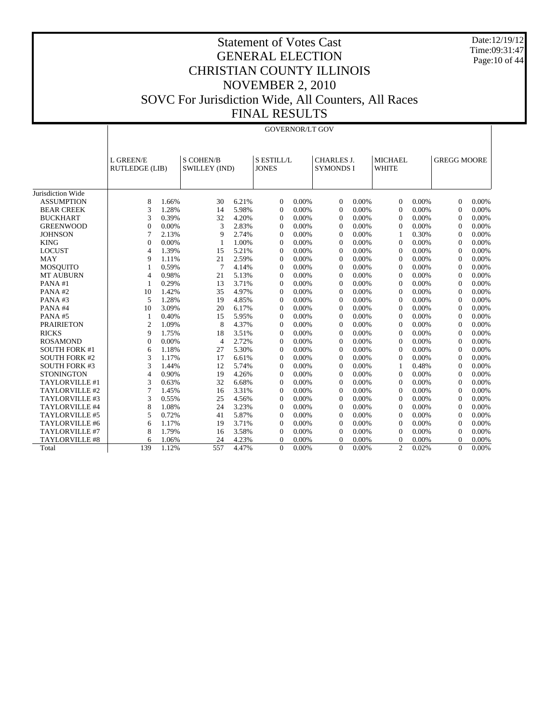Date:12/19/12 Time:09:31:47 Page:10 of 44

|                       |                                    | <b>GOVERNOR/LT GOV</b>            |                |       |                |                                                                            |                |       |                                |       |                    |       |
|-----------------------|------------------------------------|-----------------------------------|----------------|-------|----------------|----------------------------------------------------------------------------|----------------|-------|--------------------------------|-------|--------------------|-------|
|                       | L GREEN/E<br><b>RUTLEDGE (LIB)</b> | <b>S COHEN/B</b><br>SWILLEY (IND) |                |       |                | <b>S ESTILL/L</b><br><b>CHARLES J.</b><br><b>JONES</b><br><b>SYMONDS I</b> |                |       | <b>MICHAEL</b><br><b>WHITE</b> |       | <b>GREGG MOORE</b> |       |
| Jurisdiction Wide     |                                    |                                   |                |       |                |                                                                            |                |       |                                |       |                    |       |
| <b>ASSUMPTION</b>     | 8                                  | 1.66%                             | 30             | 6.21% | $\theta$       | 0.00%                                                                      | $\Omega$       | 0.00% | $\overline{0}$                 | 0.00% | $\Omega$           | 0.00% |
| <b>BEAR CREEK</b>     | 3                                  | 1.28%                             | 14             | 5.98% | $\theta$       | 0.00%                                                                      | $\theta$       | 0.00% | $\overline{0}$                 | 0.00% | $\overline{0}$     | 0.00% |
| <b>BUCKHART</b>       | 3                                  | 0.39%                             | 32             | 4.20% | $\theta$       | 0.00%                                                                      | $\Omega$       | 0.00% | $\overline{0}$                 | 0.00% | $\overline{0}$     | 0.00% |
| <b>GREENWOOD</b>      | $\overline{0}$                     | 0.00%                             | 3              | 2.83% | $\theta$       | 0.00%                                                                      | $\Omega$       | 0.00% | $\Omega$                       | 0.00% | $\overline{0}$     | 0.00% |
| <b>JOHNSON</b>        | 7                                  | 2.13%                             | 9              | 2.74% | $\theta$       | 0.00%                                                                      | $\Omega$       | 0.00% | 1                              | 0.30% | $\Omega$           | 0.00% |
| <b>KING</b>           | $\overline{0}$                     | 0.00%                             | $\mathbf{1}$   | 1.00% | $\theta$       | 0.00%                                                                      | $\overline{0}$ | 0.00% | $\Omega$                       | 0.00% | $\theta$           | 0.00% |
| <b>LOCUST</b>         | 4                                  | 1.39%                             | 15             | 5.21% | $\overline{0}$ | 0.00%                                                                      | $\theta$       | 0.00% | $\overline{0}$                 | 0.00% | $\overline{0}$     | 0.00% |
| <b>MAY</b>            | 9                                  | 1.11%                             | 21             | 2.59% | $\overline{0}$ | 0.00%                                                                      | $\Omega$       | 0.00% | $\Omega$                       | 0.00% | $\theta$           | 0.00% |
| <b>MOSOUITO</b>       |                                    | 0.59%                             | $\overline{7}$ | 4.14% | $\theta$       | 0.00%                                                                      | $\Omega$       | 0.00% | $\Omega$                       | 0.00% | $\theta$           | 0.00% |
| <b>MT AUBURN</b>      | $\overline{4}$                     | 0.98%                             | 21             | 5.13% | $\theta$       | 0.00%                                                                      | $\Omega$       | 0.00% | $\Omega$                       | 0.00% | $\Omega$           | 0.00% |
| PANA#1                | 1                                  | 0.29%                             | 13             | 3.71% | $\theta$       | 0.00%                                                                      | $\theta$       | 0.00% | $\overline{0}$                 | 0.00% | $\overline{0}$     | 0.00% |
| PANA#2                | 10                                 | 1.42%                             | 35             | 4.97% | $\theta$       | 0.00%                                                                      | $\theta$       | 0.00% | $\overline{0}$                 | 0.00% | $\overline{0}$     | 0.00% |
| PANA#3                | 5                                  | 1.28%                             | 19             | 4.85% | $\overline{0}$ | 0.00%                                                                      | $\Omega$       | 0.00% | $\overline{0}$                 | 0.00% | $\overline{0}$     | 0.00% |
| PANA#4                | 10                                 | 3.09%                             | 20             | 6.17% | $\theta$       | 0.00%                                                                      | $\Omega$       | 0.00% | $\Omega$                       | 0.00% | $\Omega$           | 0.00% |
| PANA#5                | -1                                 | 0.40%                             | 15             | 5.95% | $\Omega$       | 0.00%                                                                      | $\theta$       | 0.00% | $\Omega$                       | 0.00% | $\Omega$           | 0.00% |
| <b>PRAIRIETON</b>     | $\overline{2}$                     | 1.09%                             | 8              | 4.37% | $\theta$       | 0.00%                                                                      | $\Omega$       | 0.00% | $\Omega$                       | 0.00% | $\Omega$           | 0.00% |
| <b>RICKS</b>          | 9                                  | 1.75%                             | 18             | 3.51% | $\theta$       | 0.00%                                                                      | $\Omega$       | 0.00% | $\Omega$                       | 0.00% | $\overline{0}$     | 0.00% |
| <b>ROSAMOND</b>       | $\overline{0}$                     | 0.00%                             | $\overline{4}$ | 2.72% | $\overline{0}$ | 0.00%                                                                      | $\Omega$       | 0.00% | $\overline{0}$                 | 0.00% | $\overline{0}$     | 0.00% |
| <b>SOUTH FORK #1</b>  | 6                                  | 1.18%                             | 27             | 5.30% | $\Omega$       | 0.00%                                                                      | $\Omega$       | 0.00% | $\Omega$                       | 0.00% | $\Omega$           | 0.00% |
| <b>SOUTH FORK #2</b>  | 3                                  | 1.17%                             | 17             | 6.61% | $\theta$       | 0.00%                                                                      | $\Omega$       | 0.00% | $\Omega$                       | 0.00% | $\overline{0}$     | 0.00% |
| <b>SOUTH FORK #3</b>  | 3                                  | 1.44%                             | 12             | 5.74% | $\theta$       | 0.00%                                                                      | $\theta$       | 0.00% | 1                              | 0.48% | $\overline{0}$     | 0.00% |
| <b>STONINGTON</b>     | 4                                  | 0.90%                             | 19             | 4.26% | $\theta$       | 0.00%                                                                      | $\overline{0}$ | 0.00% | $\overline{0}$                 | 0.00% | $\overline{0}$     | 0.00% |
| TAYLORVILLE #1        | 3                                  | 0.63%                             | 32             | 6.68% | $\overline{0}$ | 0.00%                                                                      | $\overline{0}$ | 0.00% | $\Omega$                       | 0.00% | $\overline{0}$     | 0.00% |
| TAYLORVILLE #2        | 7                                  | 1.45%                             | 16             | 3.31% | $\Omega$       | 0.00%                                                                      | $\Omega$       | 0.00% | $\Omega$                       | 0.00% | $\Omega$           | 0.00% |
| TAYLORVILLE #3        | 3                                  | 0.55%                             | 25             | 4.56% | $\theta$       | 0.00%                                                                      | $\Omega$       | 0.00% | $\Omega$                       | 0.00% | $\Omega$           | 0.00% |
| TAYLORVILLE #4        | 8                                  | 1.08%                             | 24             | 3.23% | $\theta$       | 0.00%                                                                      | $\Omega$       | 0.00% | $\Omega$                       | 0.00% | $\theta$           | 0.00% |
| TAYLORVILLE #5        | 5                                  | 0.72%                             | 41             | 5.87% | $\theta$       | 0.00%                                                                      | $\Omega$       | 0.00% | $\overline{0}$                 | 0.00% | $\Omega$           | 0.00% |
| TAYLORVILLE #6        | 6                                  | 1.17%                             | 19             | 3.71% | $\theta$       | 0.00%                                                                      | $\theta$       | 0.00% | $\overline{0}$                 | 0.00% | $\overline{0}$     | 0.00% |
| TAYLORVILLE #7        | 8                                  | 1.79%                             | 16             | 3.58% | $\theta$       | 0.00%                                                                      | $\Omega$       | 0.00% | $\overline{0}$                 | 0.00% | $\overline{0}$     | 0.00% |
| <b>TAYLORVILLE #8</b> | 6                                  | 1.06%                             | 24             | 4.23% | $\theta$       | 0.00%                                                                      | $\Omega$       | 0.00% | $\Omega$                       | 0.00% | 0                  | 0.00% |
| Total                 | 139                                | 1.12%                             | 557            | 4.47% | $\Omega$       | 0.00%                                                                      | $\Omega$       | 0.00% | $\overline{2}$                 | 0.02% | $\theta$           | 0.00% |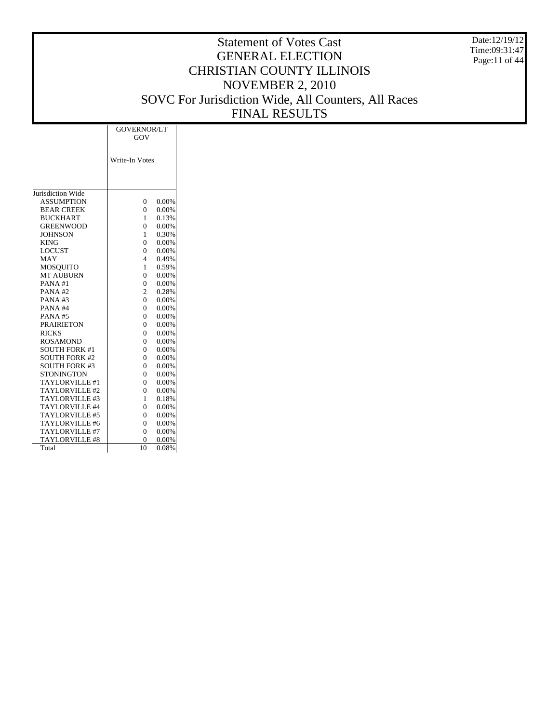Date:12/19/12 Time:09:31:47 Page:11 of 44

# Statement of Votes Cast GENERAL ELECTION CHRISTIAN COUNTY ILLINOIS NOVEMBER 2, 2010 SOVC For Jurisdiction Wide, All Counters, All Races FINAL RESULTS

|                       | GOVERNOR/LT    |          |  |  |  |  |
|-----------------------|----------------|----------|--|--|--|--|
|                       | GOV            |          |  |  |  |  |
|                       |                |          |  |  |  |  |
|                       |                |          |  |  |  |  |
|                       | Write-In Votes |          |  |  |  |  |
|                       |                |          |  |  |  |  |
|                       |                |          |  |  |  |  |
|                       |                |          |  |  |  |  |
| Jurisdiction Wide     |                |          |  |  |  |  |
| <b>ASSUMPTION</b>     | $\Omega$       | 0.00%    |  |  |  |  |
| <b>BEAR CREEK</b>     | $\Omega$       | 0.00%    |  |  |  |  |
| <b>BUCKHART</b>       | 1              | 0.13%    |  |  |  |  |
| <b>GREENWOOD</b>      | $\Omega$       | 0.00%    |  |  |  |  |
| <b>JOHNSON</b>        | 1              | 0.30%    |  |  |  |  |
| <b>KING</b>           | $\Omega$       | 0.00%    |  |  |  |  |
| <b>LOCUST</b>         | $\Omega$       | 0.00%    |  |  |  |  |
| <b>MAY</b>            | 4              | 0.49%    |  |  |  |  |
| <b>MOSOUITO</b>       | 1              | 0.59%    |  |  |  |  |
| <b>MT AUBURN</b>      | $\theta$       | 0.00%    |  |  |  |  |
| PANA#1                | $\theta$       | 0.00%    |  |  |  |  |
| PANA#2                | 2              | 0.28%    |  |  |  |  |
| PANA#3                | $\Omega$       | 0.00%    |  |  |  |  |
| PANA#4                | $\Omega$       | 0.00%    |  |  |  |  |
| PANA#5                | $\Omega$       | 0.00%    |  |  |  |  |
| <b>PRAIRIETON</b>     | 0              | 0.00%    |  |  |  |  |
| <b>RICKS</b>          | 0              | 0.00%    |  |  |  |  |
| <b>ROSAMOND</b>       | $\theta$       | 0.00%    |  |  |  |  |
| <b>SOUTH FORK #1</b>  | $\Omega$       | 0.00%    |  |  |  |  |
| <b>SOUTH FORK #2</b>  | 0              | 0.00%    |  |  |  |  |
| <b>SOUTH FORK #3</b>  | $\Omega$       | $0.00\%$ |  |  |  |  |
| <b>STONINGTON</b>     | $\Omega$       | 0.00%    |  |  |  |  |
| TAYLORVILLE #1        | $\Omega$       | 0.00%    |  |  |  |  |
| TAYLORVILLE#2         | 0              | 0.00%    |  |  |  |  |
| TAYLORVILLE#3         | 1              | 0.18%    |  |  |  |  |
| TAYLORVILLE #4        | $\Omega$       | 0.00%    |  |  |  |  |
| TAYLORVILLE #5        | $\Omega$       | 0.00%    |  |  |  |  |
| TAYLORVILLE #6        | 0              | 0.00%    |  |  |  |  |
| TAYLORVILLE #7        | $\theta$       | $0.00\%$ |  |  |  |  |
| <b>TAYLORVILLE #8</b> |                | 0.00%    |  |  |  |  |
|                       | 0              |          |  |  |  |  |
| Total                 | 10             | 0.08%    |  |  |  |  |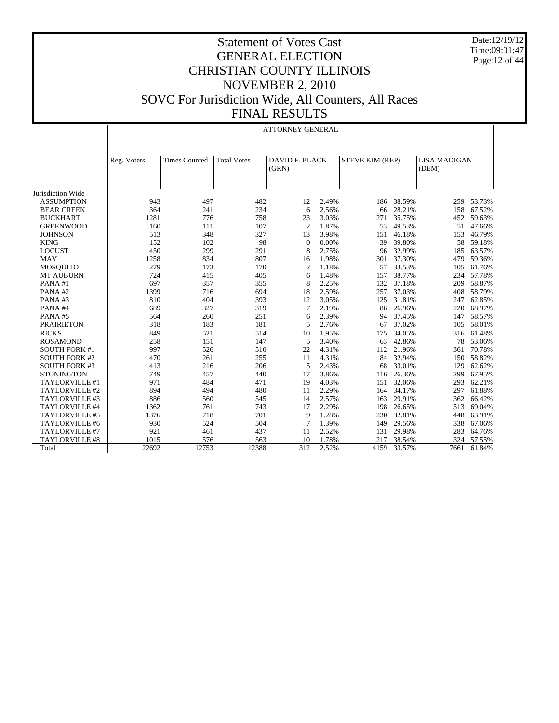Date:12/19/12 Time:09:31:47 Page:12 of 44

|                       | <b>ATTORNEY GENERAL</b> |                      |                    |                                |       |                        |            |                              |            |  |
|-----------------------|-------------------------|----------------------|--------------------|--------------------------------|-------|------------------------|------------|------------------------------|------------|--|
|                       | Reg. Voters             | <b>Times Counted</b> | <b>Total Votes</b> | <b>DAVID F. BLACK</b><br>(GRN) |       | <b>STEVE KIM (REP)</b> |            | <b>LISA MADIGAN</b><br>(DEM) |            |  |
| Jurisdiction Wide     |                         |                      |                    |                                |       |                        |            |                              |            |  |
| <b>ASSUMPTION</b>     | 943                     | 497                  | 482                | 12                             | 2.49% |                        | 186 38.59% | 259                          | 53.73%     |  |
| <b>BEAR CREEK</b>     | 364                     | 241                  | 234                | 6                              | 2.56% | 66                     | 28.21%     | 158                          | 67.52%     |  |
| <b>BUCKHART</b>       | 1281                    | 776                  | 758                | 23                             | 3.03% | 271                    | 35.75%     | 452                          | 59.63%     |  |
| <b>GREENWOOD</b>      | 160                     | 111                  | 107                | $\overline{c}$                 | 1.87% | 53                     | 49.53%     | 51                           | 47.66%     |  |
| <b>JOHNSON</b>        | 513                     | 348                  | 327                | 13                             | 3.98% | 151                    | 46.18%     | 153                          | 46.79%     |  |
| <b>KING</b>           | 152                     | 102                  | 98                 | $\overline{0}$                 | 0.00% | 39                     | 39.80%     | 58                           | 59.18%     |  |
| <b>LOCUST</b>         | 450                     | 299                  | 291                | 8                              | 2.75% | 96                     | 32.99%     | 185                          | 63.57%     |  |
| <b>MAY</b>            | 1258                    | 834                  | 807                | 16                             | 1.98% | 301                    | 37.30%     | 479                          | 59.36%     |  |
| <b>MOSQUITO</b>       | 279                     | 173                  | 170                | $\overline{c}$                 | 1.18% | 57                     | 33.53%     | 105                          | 61.76%     |  |
| <b>MT AUBURN</b>      | 724                     | 415                  | 405                | 6                              | 1.48% | 157                    | 38.77%     | 234                          | 57.78%     |  |
| PANA#1                | 697                     | 357                  | 355                | 8                              | 2.25% | 132                    | 37.18%     | 209                          | 58.87%     |  |
| PANA#2                | 1399                    | 716                  | 694                | 18                             | 2.59% | 257                    | 37.03%     | 408                          | 58.79%     |  |
| PANA#3                | 810                     | 404                  | 393                | 12                             | 3.05% | 125                    | 31.81%     | 247                          | 62.85%     |  |
| PANA#4                | 689                     | 327                  | 319                | 7                              | 2.19% | 86                     | 26.96%     | 220                          | 68.97%     |  |
| PANA#5                | 564                     | 260                  | 251                | 6                              | 2.39% | 94                     | 37.45%     | 147                          | 58.57%     |  |
| <b>PRAIRIETON</b>     | 318                     | 183                  | 181                | 5                              | 2.76% | 67                     | 37.02%     | 105                          | 58.01%     |  |
| <b>RICKS</b>          | 849                     | 521                  | 514                | 10                             | 1.95% | 175                    | 34.05%     | 316                          | 61.48%     |  |
| <b>ROSAMOND</b>       | 258                     | 151                  | 147                | 5                              | 3.40% | 63                     | 42.86%     | 78                           | 53.06%     |  |
| <b>SOUTH FORK #1</b>  | 997                     | 526                  | 510                | 22                             | 4.31% | 112                    | 21.96%     | 361                          | 70.78%     |  |
| <b>SOUTH FORK #2</b>  | 470                     | 261                  | 255                | 11                             | 4.31% | 84                     | 32.94%     | 150                          | 58.82%     |  |
| <b>SOUTH FORK #3</b>  | 413                     | 216                  | 206                | 5                              | 2.43% | 68                     | 33.01%     | 129                          | 62.62%     |  |
| <b>STONINGTON</b>     | 749                     | 457                  | 440                | 17                             | 3.86% | 116                    | 26.36%     | 299                          | 67.95%     |  |
| TAYLORVILLE #1        | 971                     | 484                  | 471                | 19                             | 4.03% | 151                    | 32.06%     | 293                          | 62.21%     |  |
| TAYLORVILLE #2        | 894                     | 494                  | 480                | 11                             | 2.29% | 164                    | 34.17%     | 297                          | 61.88%     |  |
| TAYLORVILLE #3        | 886                     | 560                  | 545                | 14                             | 2.57% | 163                    | 29.91%     | 362                          | 66.42%     |  |
| TAYLORVILLE #4        | 1362                    | 761                  | 743                | 17                             | 2.29% | 198                    | 26.65%     | 513                          | 69.04%     |  |
| TAYLORVILLE #5        | 1376                    | 718                  | 701                | 9                              | 1.28% | 230                    | 32.81%     | 448                          | 63.91%     |  |
| TAYLORVILLE #6        | 930                     | 524                  | 504                | $\overline{7}$                 | 1.39% | 149                    | 29.56%     | 338                          | 67.06%     |  |
| TAYLORVILLE #7        | 921                     | 461                  | 437                | 11                             | 2.52% | 131                    | 29.98%     | 283                          | 64.76%     |  |
| <b>TAYLORVILLE #8</b> | 1015                    | 576                  | 563                | 10                             | 1.78% | 217                    | 38.54%     |                              | 324 57.55% |  |
| Total                 | 22692                   | 12753                | 12388              | 312                            | 2.52% | 4159                   | 33.57%     | 7661                         | 61.84%     |  |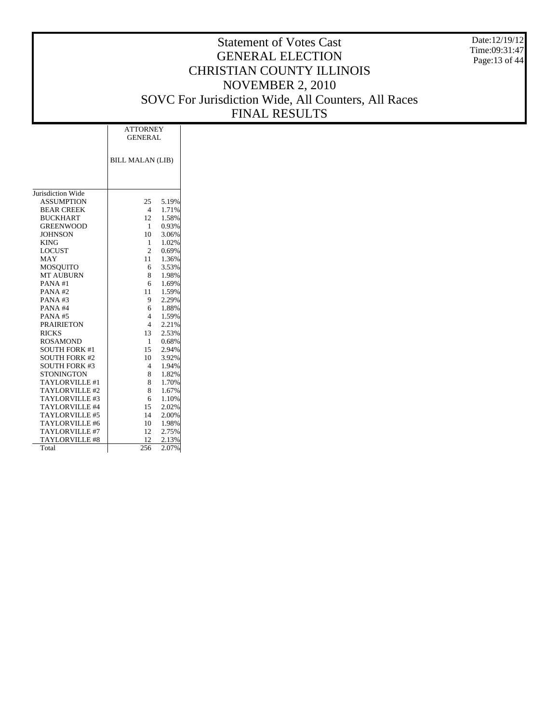Date:12/19/12 Time:09:31:47 Page:13 of 44

|                       | <b>ATTORNEY</b>         |       |  |  |  |  |  |
|-----------------------|-------------------------|-------|--|--|--|--|--|
|                       | <b>GENERAL</b>          |       |  |  |  |  |  |
|                       |                         |       |  |  |  |  |  |
|                       | <b>BILL MALAN (LIB)</b> |       |  |  |  |  |  |
|                       |                         |       |  |  |  |  |  |
|                       |                         |       |  |  |  |  |  |
|                       |                         |       |  |  |  |  |  |
| Jurisdiction Wide     |                         |       |  |  |  |  |  |
| <b>ASSUMPTION</b>     | 25                      | 5.19% |  |  |  |  |  |
| <b>BEAR CREEK</b>     | $\overline{4}$          | 1.71% |  |  |  |  |  |
| <b>BUCKHART</b>       | 12                      | 1.58% |  |  |  |  |  |
| <b>GREENWOOD</b>      | $\mathbf{1}$            | 0.93% |  |  |  |  |  |
| <b>JOHNSON</b>        | 10                      | 3.06% |  |  |  |  |  |
| <b>KING</b>           | $\mathbf{1}$            | 1.02% |  |  |  |  |  |
| <b>LOCUST</b>         | $\overline{2}$          | 0.69% |  |  |  |  |  |
| MAY                   | 11                      | 1.36% |  |  |  |  |  |
| <b>MOSQUITO</b>       | 6                       | 3.53% |  |  |  |  |  |
| <b>MT AUBURN</b>      | 8                       | 1.98% |  |  |  |  |  |
| PANA#1                | 6                       | 1.69% |  |  |  |  |  |
| PANA#2                | 11                      | 1.59% |  |  |  |  |  |
| PANA# $3$             | 9                       | 2.29% |  |  |  |  |  |
| PANA#4                | 6                       | 1.88% |  |  |  |  |  |
| PANA#5                | $\overline{4}$          | 1.59% |  |  |  |  |  |
| <b>PRAIRIETON</b>     | $\overline{4}$          | 2.21% |  |  |  |  |  |
| <b>RICKS</b>          | 13                      | 2.53% |  |  |  |  |  |
| <b>ROSAMOND</b>       | $\mathbf{1}$            | 0.68% |  |  |  |  |  |
| <b>SOUTH FORK #1</b>  | 15                      | 2.94% |  |  |  |  |  |
| <b>SOUTH FORK #2</b>  | 10                      | 3.92% |  |  |  |  |  |
| <b>SOUTH FORK #3</b>  | $\overline{4}$          | 1.94% |  |  |  |  |  |
| <b>STONINGTON</b>     | 8                       | 1.82% |  |  |  |  |  |
| TAYLORVILLE #1        | 8                       | 1.70% |  |  |  |  |  |
| TAYLORVILLE#2         | 8                       | 1.67% |  |  |  |  |  |
| TAYLORVILLE#3         | 6                       | 1.10% |  |  |  |  |  |
| TAYLORVILLE #4        | 15                      | 2.02% |  |  |  |  |  |
| TAYLORVILLE #5        | 14                      | 2.00% |  |  |  |  |  |
| TAYLORVILLE #6        | 10                      | 1.98% |  |  |  |  |  |
| TAYLORVILLE #7        | 12                      | 2.75% |  |  |  |  |  |
| <b>TAYLORVILLE #8</b> | 12                      | 2.13% |  |  |  |  |  |
| Total                 | 256                     | 2.07% |  |  |  |  |  |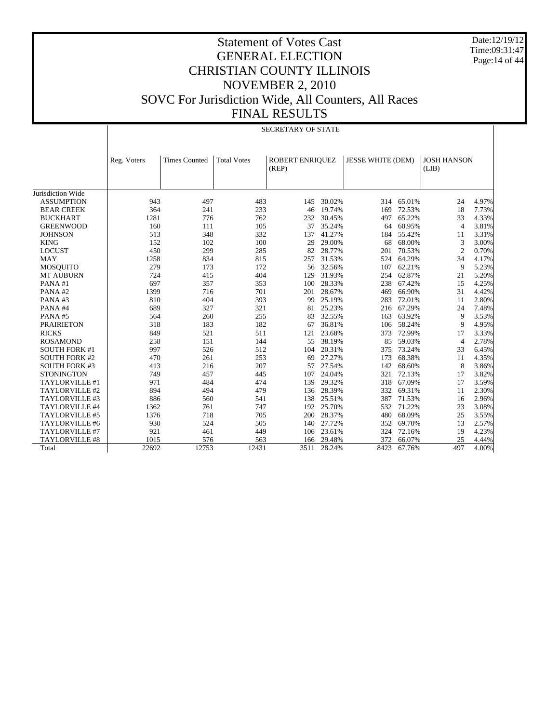Date:12/19/12 Time:09:31:47 Page:14 of 44

|                       |             | <b>SECRETARY OF STATE</b> |                    |                          |        |                          |            |                             |       |  |
|-----------------------|-------------|---------------------------|--------------------|--------------------------|--------|--------------------------|------------|-----------------------------|-------|--|
|                       | Reg. Voters | <b>Times Counted</b>      | <b>Total Votes</b> | ROBERT ENRIQUEZ<br>(REP) |        | <b>JESSE WHITE (DEM)</b> |            | <b>JOSH HANSON</b><br>(LIB) |       |  |
| Jurisdiction Wide     |             |                           |                    |                          |        |                          |            |                             |       |  |
| <b>ASSUMPTION</b>     | 943         | 497                       | 483                | 145                      | 30.02% |                          | 314 65.01% | 24                          | 4.97% |  |
| <b>BEAR CREEK</b>     | 364         | 241                       | 233                | 46                       | 19.74% | 169                      | 72.53%     | 18                          | 7.73% |  |
| <b>BUCKHART</b>       | 1281        | 776                       | 762                | 232                      | 30.45% | 497                      | 65.22%     | 33                          | 4.33% |  |
| <b>GREENWOOD</b>      | 160         | 111                       | 105                | 37                       | 35.24% | 64                       | 60.95%     | $\overline{4}$              | 3.81% |  |
| <b>JOHNSON</b>        | 513         | 348                       | 332                | 137                      | 41.27% | 184                      | 55.42%     | 11                          | 3.31% |  |
| <b>KING</b>           | 152         | 102                       | 100                | 29                       | 29.00% | 68                       | 68.00%     | 3                           | 3.00% |  |
| <b>LOCUST</b>         | 450         | 299                       | 285                | 82                       | 28.77% | 201                      | 70.53%     | $\overline{c}$              | 0.70% |  |
| <b>MAY</b>            | 1258        | 834                       | 815                | 257                      | 31.53% | 524                      | 64.29%     | 34                          | 4.17% |  |
| <b>MOSQUITO</b>       | 279         | 173                       | 172                | 56                       | 32.56% | 107                      | 62.21%     | 9                           | 5.23% |  |
| <b>MT AUBURN</b>      | 724         | 415                       | 404                | 129                      | 31.93% | 254                      | 62.87%     | 21                          | 5.20% |  |
| PANA#1                | 697         | 357                       | 353                | 100                      | 28.33% | 238                      | 67.42%     | 15                          | 4.25% |  |
| PANA#2                | 1399        | 716                       | 701                | 201                      | 28.67% | 469                      | 66.90%     | 31                          | 4.42% |  |
| PANA#3                | 810         | 404                       | 393                | 99                       | 25.19% | 283                      | 72.01%     | 11                          | 2.80% |  |
| PANA#4                | 689         | 327                       | 321                | 81                       | 25.23% | 216                      | 67.29%     | 24                          | 7.48% |  |
| PANA#5                | 564         | 260                       | 255                | 83                       | 32.55% | 163                      | 63.92%     | 9                           | 3.53% |  |
| <b>PRAIRIETON</b>     | 318         | 183                       | 182                | 67                       | 36.81% | 106                      | 58.24%     | 9                           | 4.95% |  |
| <b>RICKS</b>          | 849         | 521                       | 511                | 121                      | 23.68% | 373                      | 72.99%     | 17                          | 3.33% |  |
| <b>ROSAMOND</b>       | 258         | 151                       | 144                | 55                       | 38.19% | 85                       | 59.03%     | $\overline{4}$              | 2.78% |  |
| <b>SOUTH FORK #1</b>  | 997         | 526                       | 512                | 104                      | 20.31% | 375                      | 73.24%     | 33                          | 6.45% |  |
| <b>SOUTH FORK #2</b>  | 470         | 261                       | 253                | 69                       | 27.27% | 173                      | 68.38%     | 11                          | 4.35% |  |
| <b>SOUTH FORK #3</b>  | 413         | 216                       | 207                | 57                       | 27.54% | 142                      | 68.60%     | 8                           | 3.86% |  |
| <b>STONINGTON</b>     | 749         | 457                       | 445                | 107                      | 24.04% | 321                      | 72.13%     | 17                          | 3.82% |  |
| TAYLORVILLE #1        | 971         | 484                       | 474                | 139                      | 29.32% | 318                      | 67.09%     | 17                          | 3.59% |  |
| TAYLORVILLE #2        | 894         | 494                       | 479                | 136                      | 28.39% | 332                      | 69.31%     | 11                          | 2.30% |  |
| TAYLORVILLE #3        | 886         | 560                       | 541                | 138                      | 25.51% | 387                      | 71.53%     | 16                          | 2.96% |  |
| TAYLORVILLE #4        | 1362        | 761                       | 747                | 192                      | 25.70% | 532                      | 71.22%     | 23                          | 3.08% |  |
| TAYLORVILLE #5        | 1376        | 718                       | 705                | 200                      | 28.37% | 480                      | 68.09%     | 25                          | 3.55% |  |
| TAYLORVILLE #6        | 930         | 524                       | 505                | 140                      | 27.72% | 352                      | 69.70%     | 13                          | 2.57% |  |
| TAYLORVILLE #7        | 921         | 461                       | 449                | 106                      | 23.61% | 324                      | 72.16%     | 19                          | 4.23% |  |
| <b>TAYLORVILLE #8</b> | 1015        | 576                       | 563                | 166                      | 29.48% | 372                      | 66.07%     | 25                          | 4.44% |  |
| Total                 | 22692       | 12753                     | 12431              | 3511                     | 28.24% | 8423                     | 67.76%     | 497                         | 4.00% |  |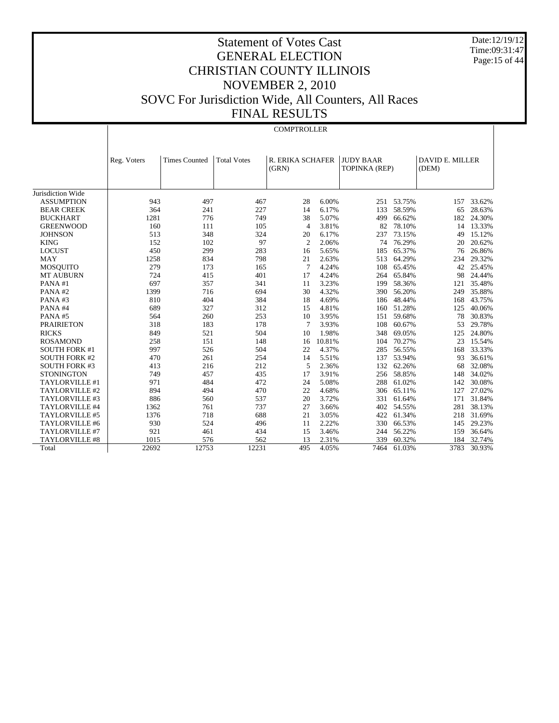Date:12/19/12 Time:09:31:47 Page:15 of 44

# Statement of Votes Cast GENERAL ELECTION CHRISTIAN COUNTY ILLINOIS NOVEMBER 2, 2010 SOVC For Jurisdiction Wide, All Counters, All Races FINAL RESULTS

#### **COMPTROLLER**

|                       | Reg. Voters | <b>Times Counted</b> | <b>Total Votes</b> | R. ERIKA SCHAFER |        | <b>JUDY BAAR</b> |        | <b>DAVID E. MILLER</b> |        |
|-----------------------|-------------|----------------------|--------------------|------------------|--------|------------------|--------|------------------------|--------|
|                       |             |                      |                    | (GRN)            |        | TOPINKA (REP)    |        | (DEM)                  |        |
|                       |             |                      |                    |                  |        |                  |        |                        |        |
| Jurisdiction Wide     |             |                      |                    |                  |        |                  |        |                        |        |
| <b>ASSUMPTION</b>     | 943         | 497                  | 467                | 28               | 6.00%  | 251              | 53.75% | 157                    | 33.62% |
| <b>BEAR CREEK</b>     | 364         | 241                  | 227                | 14               | 6.17%  | 133              | 58.59% | 65                     | 28.63% |
| <b>BUCKHART</b>       | 1281        | 776                  | 749                | 38               | 5.07%  | 499              | 66.62% | 182                    | 24.30% |
| <b>GREENWOOD</b>      | 160         | 111                  | 105                | $\overline{4}$   | 3.81%  | 82               | 78.10% | 14                     | 13.33% |
| <b>JOHNSON</b>        | 513         | 348                  | 324                | 20               | 6.17%  | 237              | 73.15% | 49                     | 15.12% |
| <b>KING</b>           | 152         | 102                  | 97                 | $\overline{2}$   | 2.06%  | 74               | 76.29% | 20                     | 20.62% |
| <b>LOCUST</b>         | 450         | 299                  | 283                | 16               | 5.65%  | 185              | 65.37% | 76                     | 26.86% |
| <b>MAY</b>            | 1258        | 834                  | 798                | 21               | 2.63%  | 513              | 64.29% | 234                    | 29.32% |
| <b>MOSQUITO</b>       | 279         | 173                  | 165                | 7                | 4.24%  | 108              | 65.45% | 42                     | 25.45% |
| <b>MT AUBURN</b>      | 724         | 415                  | 401                | 17               | 4.24%  | 264              | 65.84% | 98                     | 24.44% |
| PANA#1                | 697         | 357                  | 341                | 11               | 3.23%  | 199              | 58.36% | 121                    | 35.48% |
| PANA#2                | 1399        | 716                  | 694                | 30               | 4.32%  | 390              | 56.20% | 249                    | 35.88% |
| PANA#3                | 810         | 404                  | 384                | 18               | 4.69%  | 186              | 48.44% | 168                    | 43.75% |
| PANA#4                | 689         | 327                  | 312                | 15               | 4.81%  | 160              | 51.28% | 125                    | 40.06% |
| PANA#5                | 564         | 260                  | 253                | 10               | 3.95%  | 151              | 59.68% | 78                     | 30.83% |
| <b>PRAIRIETON</b>     | 318         | 183                  | 178                | 7                | 3.93%  | 108              | 60.67% | 53                     | 29.78% |
| <b>RICKS</b>          | 849         | 521                  | 504                | 10               | 1.98%  | 348              | 69.05% | 125                    | 24.80% |
| <b>ROSAMOND</b>       | 258         | 151                  | 148                | 16               | 10.81% | 104              | 70.27% | 23                     | 15.54% |
| <b>SOUTH FORK #1</b>  | 997         | 526                  | 504                | 22               | 4.37%  | 285              | 56.55% | 168                    | 33.33% |
| <b>SOUTH FORK #2</b>  | 470         | 261                  | 254                | 14               | 5.51%  | 137              | 53.94% | 93                     | 36.61% |
| <b>SOUTH FORK #3</b>  | 413         | 216                  | 212                | 5                | 2.36%  | 132              | 62.26% | 68                     | 32.08% |
| <b>STONINGTON</b>     | 749         | 457                  | 435                | 17               | 3.91%  | 256              | 58.85% | 148                    | 34.02% |
| TAYLORVILLE #1        | 971         | 484                  | 472                | 24               | 5.08%  | 288              | 61.02% | 142                    | 30.08% |
| TAYLORVILLE #2        | 894         | 494                  | 470                | 22               | 4.68%  | 306              | 65.11% | 127                    | 27.02% |
| TAYLORVILLE #3        | 886         | 560                  | 537                | 20               | 3.72%  | 331              | 61.64% | 171                    | 31.84% |
| TAYLORVILLE #4        | 1362        | 761                  | 737                | 27               | 3.66%  | 402              | 54.55% | 281                    | 38.13% |
| TAYLORVILLE #5        | 1376        | 718                  | 688                | 21               | 3.05%  | 422              | 61.34% | 218                    | 31.69% |
| TAYLORVILLE #6        | 930         | 524                  | 496                | 11               | 2.22%  | 330              | 66.53% | 145                    | 29.23% |
| TAYLORVILLE #7        | 921         | 461                  | 434                | 15               | 3.46%  | 244              | 56.22% | 159                    | 36.64% |
| <b>TAYLORVILLE #8</b> | 1015        | 576                  | 562                | 13               | 2.31%  | 339              | 60.32% | 184                    | 32.74% |
| Total                 | 22692       | 12753                | 12231              | 495              | 4.05%  | 7464             | 61.03% | 3783                   | 30.93% |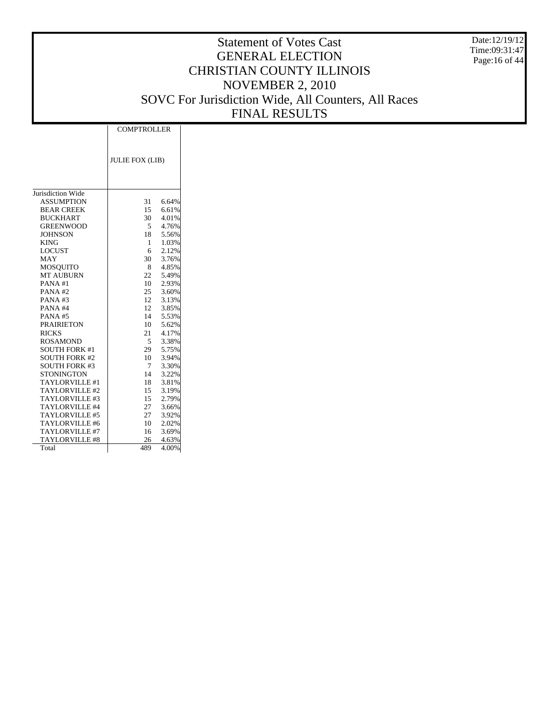Date:12/19/12 Time:09:31:47 Page:16 of 44

|                      | <b>COMPTROLLER</b>     |       |  |  |  |
|----------------------|------------------------|-------|--|--|--|
|                      | <b>JULIE FOX (LIB)</b> |       |  |  |  |
|                      |                        |       |  |  |  |
| Jurisdiction Wide    |                        |       |  |  |  |
| <b>ASSUMPTION</b>    | 31                     | 6.64% |  |  |  |
| <b>BEAR CREEK</b>    | 15                     | 6.61% |  |  |  |
| <b>BUCKHART</b>      | 30                     | 4.01% |  |  |  |
| <b>GREENWOOD</b>     | 5                      | 4.76% |  |  |  |
| <b>JOHNSON</b>       | 18                     | 5.56% |  |  |  |
| <b>KING</b>          | $\mathbf{1}$           | 1.03% |  |  |  |
| <b>LOCUST</b>        | 6                      | 2.12% |  |  |  |
| MAY                  | 30                     | 3.76% |  |  |  |
| <b>MOSQUITO</b>      | 8                      | 4.85% |  |  |  |
| <b>MT AUBURN</b>     | 22                     | 5.49% |  |  |  |
| PANA#1               | 10 <sup>1</sup>        | 2.93% |  |  |  |
| PANA#2               | 25                     | 3.60% |  |  |  |
| PANA#3               | 12                     | 3.13% |  |  |  |
| PANA#4               | 12                     | 3.85% |  |  |  |
| <b>PANA#5</b>        | 14                     | 5.53% |  |  |  |
| <b>PRAIRIETON</b>    | 10                     | 5.62% |  |  |  |
| <b>RICKS</b>         | 21                     | 4.17% |  |  |  |
| <b>ROSAMOND</b>      | 5                      | 3.38% |  |  |  |
| <b>SOUTH FORK #1</b> | 29                     | 5.75% |  |  |  |
| <b>SOUTH FORK #2</b> | 10                     | 3.94% |  |  |  |
| <b>SOUTH FORK #3</b> | 7                      | 3.30% |  |  |  |
| <b>STONINGTON</b>    | 14                     | 3.22% |  |  |  |
| TAYLORVILLE #1       | 18                     | 3.81% |  |  |  |
| TAYLORVILLE#2        | 15                     | 3.19% |  |  |  |
| TAYLORVILLE#3        | 15                     | 2.79% |  |  |  |
| TAYLORVILLE #4       | 27                     | 3.66% |  |  |  |
| TAYLORVILLE #5       | 27                     | 3.92% |  |  |  |
| TAYLORVILLE #6       | 10                     | 2.02% |  |  |  |
| TAYLORVILLE #7       | 16                     | 3.69% |  |  |  |
| TAYLORVILLE #8       | 26                     | 4.63% |  |  |  |
| Total                | 489                    | 4.00% |  |  |  |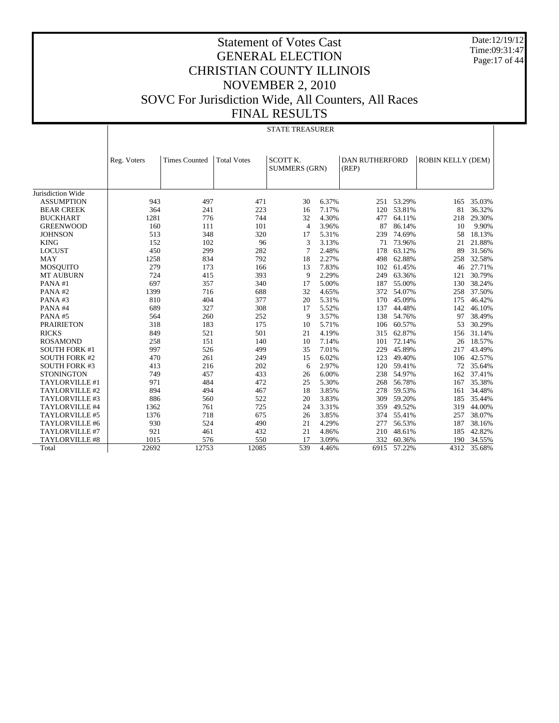Date:12/19/12 Time:09:31:47 Page:17 of 44

|                                              | <b>STATE TREASURER</b> |                      |                    |                                  |                |                                |                  |                   |                  |
|----------------------------------------------|------------------------|----------------------|--------------------|----------------------------------|----------------|--------------------------------|------------------|-------------------|------------------|
|                                              |                        |                      |                    |                                  |                |                                |                  |                   |                  |
|                                              | Reg. Voters            | <b>Times Counted</b> | <b>Total Votes</b> | SCOTT K.<br><b>SUMMERS (GRN)</b> |                | <b>DAN RUTHERFORD</b><br>(REP) |                  | ROBIN KELLY (DEM) |                  |
| Jurisdiction Wide                            |                        |                      |                    |                                  |                |                                |                  |                   |                  |
| <b>ASSUMPTION</b>                            | 943                    | 497                  | 471                | 30                               | 6.37%          |                                | 251 53.29%       | 165               | 35.03%           |
| <b>BEAR CREEK</b>                            | 364                    | 241                  | 223                | 16                               | 7.17%          | 120                            | 53.81%           | 81                | 36.32%           |
| <b>BUCKHART</b>                              | 1281                   | 776                  | 744                | 32                               | 4.30%          | 477                            | 64.11%           | 218               | 29.30%           |
| <b>GREENWOOD</b>                             | 160                    | 111                  | 101                | $\overline{4}$                   | 3.96%          | 87                             | 86.14%           | 10                | 9.90%            |
| <b>JOHNSON</b>                               | 513                    | 348                  | 320                | 17                               | 5.31%          | 239                            | 74.69%           | 58                | 18.13%           |
| <b>KING</b>                                  | 152                    | 102                  | 96                 | 3                                | 3.13%          | 71                             | 73.96%           | 21                | 21.88%           |
| <b>LOCUST</b>                                | 450                    | 299                  | 282                | $\overline{7}$                   | 2.48%          | 178                            | 63.12%           | 89                | 31.56%           |
| <b>MAY</b>                                   | 1258                   | 834                  | 792                | 18                               | 2.27%          | 498                            | 62.88%           | 258               | 32.58%           |
| <b>MOSQUITO</b>                              | 279                    | 173                  | 166                | 13                               | 7.83%          | 102                            | 61.45%           | 46                | 27.71%           |
| <b>MT AUBURN</b>                             | 724                    | 415                  | 393                | 9                                | 2.29%          | 249                            | 63.36%           | 121               | 30.79%           |
| PANA#1                                       | 697                    | 357                  | 340                | 17                               | 5.00%          | 187                            | 55.00%           | 130               | 38.24%           |
| PANA#2                                       | 1399                   | 716                  | 688                | 32                               | 4.65%          | 372                            | 54.07%           | 258               | 37.50%           |
| PANA#3                                       | 810                    | 404                  | 377                | 20                               | 5.31%          | 170                            | 45.09%           | 175               | 46.42%           |
| PANA#4                                       | 689                    | 327                  | 308                | 17                               | 5.52%          | 137                            | 44.48%           | 142               | 46.10%           |
| PANA#5                                       | 564                    | 260                  | 252                | 9                                | 3.57%          | 138                            | 54.76%           | 97                | 38.49%           |
| <b>PRAIRIETON</b>                            | 318                    | 183                  | 175                | 10                               | 5.71%          |                                | 60.57%           | 53                | 30.29%           |
|                                              |                        |                      |                    | 21                               |                | 106                            |                  |                   |                  |
| <b>RICKS</b>                                 | 849<br>258             | 521<br>151           | 501<br>140         | 10                               | 4.19%          | 315                            | 62.87%           | 156<br>26         | 31.14%<br>18.57% |
| <b>ROSAMOND</b>                              | 997                    |                      |                    |                                  | 7.14%          | 101                            | 72.14%           |                   |                  |
| <b>SOUTH FORK #1</b><br><b>SOUTH FORK #2</b> | 470                    | 526                  | 499                | 35<br>15                         | 7.01%          | 229<br>123                     | 45.89%<br>49.40% | 217               | 43.49%<br>42.57% |
|                                              | 413                    | 261                  | 249                |                                  | 6.02%<br>2.97% |                                | 59.41%           | 106               |                  |
| <b>SOUTH FORK #3</b><br><b>STONINGTON</b>    | 749                    | 216<br>457           | 202<br>433         | 6<br>26                          | 6.00%          | 120<br>238                     | 54.97%           | 72<br>162         | 35.64%<br>37.41% |
| TAYLORVILLE #1                               | 971                    |                      | 472                | 25                               |                |                                |                  |                   | 35.38%           |
| TAYLORVILLE #2                               | 894                    | 484<br>494           | 467                | 18                               | 5.30%<br>3.85% | 268                            | 56.78%<br>59.53% | 167               | 34.48%           |
|                                              |                        |                      |                    |                                  |                | 278                            |                  | 161               |                  |
| TAYLORVILLE #3                               | 886                    | 560                  | 522                | 20                               | 3.83%          | 309                            | 59.20%           | 185               | 35.44%           |
| TAYLORVILLE #4                               | 1362                   | 761                  | 725                | 24                               | 3.31%          | 359                            | 49.52%           | 319               | 44.00%           |
| TAYLORVILLE #5                               | 1376                   | 718                  | 675                | 26                               | 3.85%          | 374                            | 55.41%           | 257               | 38.07%           |
| TAYLORVILLE #6                               | 930                    | 524                  | 490                | 21                               | 4.29%          | 277                            | 56.53%           | 187               | 38.16%           |
| TAYLORVILLE #7                               | 921                    | 461                  | 432                | 21                               | 4.86%          | 210                            | 48.61%           | 185               | 42.82%           |
| <b>TAYLORVILLE #8</b>                        | 1015                   | 576                  | 550                | 17                               | 3.09%          | 332                            | 60.36%           | 190               | 34.55%           |
| Total                                        | 22692                  | 12753                | 12085              | 539                              | 4.46%          | 6915                           | 57.22%           | 4312              | 35.68%           |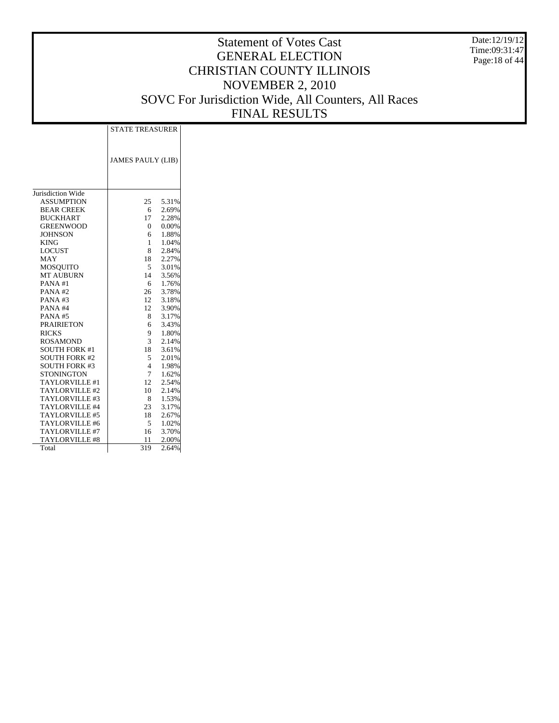Date:12/19/12 Time:09:31:47 Page:18 of 44

|                       | <b>STATE TREASURER</b>   |       |  |  |  |
|-----------------------|--------------------------|-------|--|--|--|
|                       |                          |       |  |  |  |
|                       |                          |       |  |  |  |
|                       | <b>JAMES PAULY (LIB)</b> |       |  |  |  |
|                       |                          |       |  |  |  |
|                       |                          |       |  |  |  |
|                       |                          |       |  |  |  |
| Jurisdiction Wide     |                          |       |  |  |  |
| <b>ASSUMPTION</b>     | 25                       | 5.31% |  |  |  |
| <b>BEAR CREEK</b>     | 6                        | 2.69% |  |  |  |
| <b>BUCKHART</b>       | 17                       | 2.28% |  |  |  |
| <b>GREENWOOD</b>      | 0                        | 0.00% |  |  |  |
| <b>JOHNSON</b>        | 6                        | 1.88% |  |  |  |
| <b>KING</b>           | 1                        | 1.04% |  |  |  |
| <b>LOCUST</b>         | 8                        | 2.84% |  |  |  |
| MAY                   | 18                       | 2.27% |  |  |  |
| <b>MOSQUITO</b>       | 5                        | 3.01% |  |  |  |
| <b>MT AUBURN</b>      | 14                       | 3.56% |  |  |  |
| PANA#1                | 6                        | 1.76% |  |  |  |
| PANA#2                | 26                       | 3.78% |  |  |  |
| PANA#3                | 12                       | 3.18% |  |  |  |
| PANA#4                | 12                       | 3.90% |  |  |  |
| <b>PANA#5</b>         | 8                        | 3.17% |  |  |  |
| <b>PRAIRIETON</b>     | 6                        | 3.43% |  |  |  |
| <b>RICKS</b>          | 9.                       | 1.80% |  |  |  |
| <b>ROSAMOND</b>       | 3                        | 2.14% |  |  |  |
| <b>SOUTH FORK #1</b>  | 18                       | 3.61% |  |  |  |
| <b>SOUTH FORK #2</b>  | 5                        | 2.01% |  |  |  |
| <b>SOUTH FORK #3</b>  | $\overline{4}$           | 1.98% |  |  |  |
| <b>STONINGTON</b>     | $\tau$                   | 1.62% |  |  |  |
| TAYLORVILLE #1        | 12                       | 2.54% |  |  |  |
| TAYLORVILLE#2         | 10                       | 2.14% |  |  |  |
| TAYLORVILLE#3         | 8                        | 1.53% |  |  |  |
| TAYLORVILLE #4        | 23                       | 3.17% |  |  |  |
| TAYLORVILLE #5        | 18                       | 2.67% |  |  |  |
| TAYLORVILLE #6        | 5                        | 1.02% |  |  |  |
| TAYLORVILLE #7        | 16                       | 3.70% |  |  |  |
|                       |                          |       |  |  |  |
| <b>TAYLORVILLE #8</b> | 11                       | 2.00% |  |  |  |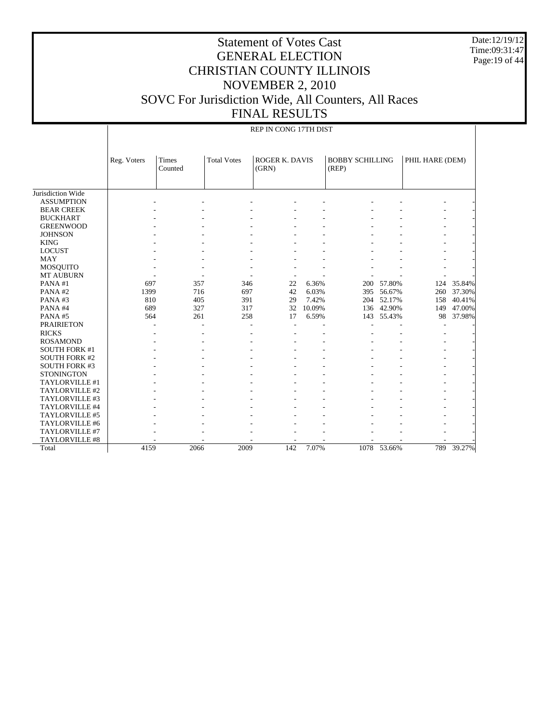Date:12/19/12 Time:09:31:47 Page:19 of 44

| REP IN CONG 17TH DIST |  |
|-----------------------|--|

|                      | Reg. Voters | <b>Times</b><br>Counted | <b>Total Votes</b> | <b>ROGER K. DAVIS</b><br>(GRN) |        | <b>BOBBY SCHILLING</b><br>(REP) |             | PHIL HARE (DEM) |        |
|----------------------|-------------|-------------------------|--------------------|--------------------------------|--------|---------------------------------|-------------|-----------------|--------|
|                      |             |                         |                    |                                |        |                                 |             |                 |        |
|                      |             |                         |                    |                                |        |                                 |             |                 |        |
| Jurisdiction Wide    |             |                         |                    |                                |        |                                 |             |                 |        |
| <b>ASSUMPTION</b>    |             |                         |                    |                                |        |                                 |             |                 |        |
| <b>BEAR CREEK</b>    |             |                         |                    |                                |        |                                 |             |                 |        |
| <b>BUCKHART</b>      |             |                         |                    |                                |        |                                 |             |                 |        |
| <b>GREENWOOD</b>     |             |                         |                    |                                |        |                                 |             |                 |        |
| <b>JOHNSON</b>       |             |                         |                    |                                |        |                                 |             |                 |        |
| <b>KING</b>          |             |                         |                    |                                |        |                                 |             |                 |        |
| <b>LOCUST</b>        |             |                         |                    |                                |        |                                 |             |                 |        |
| <b>MAY</b>           |             |                         |                    |                                |        |                                 |             |                 |        |
| <b>MOSQUITO</b>      |             |                         |                    |                                |        |                                 |             |                 |        |
| <b>MT AUBURN</b>     |             |                         |                    |                                |        |                                 |             |                 |        |
| PANA#1               | 697         | 357                     | 346                | 22                             | 6.36%  | 200                             | 57.80%      | 124             | 35.84% |
| PANA#2               | 1399        | 716                     | 697                | 42                             | 6.03%  | 395                             | 56.67%      | 260             | 37.30% |
| PANA#3               | 810         | 405                     | 391                | 29                             | 7.42%  | 204                             | 52.17%      | 158             | 40.41% |
| PANA#4               | 689         | 327                     | 317                | 32                             | 10.09% | 136                             | 42.90%      | 149             | 47.00% |
| PANA#5               | 564         | 261                     | 258                | 17                             | 6.59%  | 143                             | 55.43%      | 98              | 37.98% |
| <b>PRAIRIETON</b>    |             |                         | $\overline{a}$     |                                |        |                                 |             |                 |        |
| <b>RICKS</b>         |             |                         |                    |                                |        |                                 |             |                 |        |
| <b>ROSAMOND</b>      |             |                         |                    |                                |        |                                 |             |                 |        |
| <b>SOUTH FORK #1</b> |             |                         |                    |                                |        |                                 |             |                 |        |
| <b>SOUTH FORK #2</b> |             |                         |                    |                                |        |                                 |             |                 |        |
| <b>SOUTH FORK #3</b> |             |                         |                    |                                |        |                                 |             |                 |        |
| <b>STONINGTON</b>    |             |                         |                    |                                |        |                                 |             |                 |        |
| TAYLORVILLE #1       |             |                         |                    |                                |        |                                 |             |                 |        |
| TAYLORVILLE #2       |             |                         |                    |                                |        |                                 |             |                 |        |
| TAYLORVILLE #3       |             |                         |                    |                                |        |                                 |             |                 |        |
| TAYLORVILLE #4       |             |                         |                    |                                |        |                                 |             |                 |        |
| TAYLORVILLE #5       |             |                         |                    |                                |        |                                 |             |                 |        |
| TAYLORVILLE #6       |             |                         |                    |                                |        |                                 |             |                 |        |
| TAYLORVILLE #7       |             |                         |                    |                                |        |                                 |             |                 |        |
| TAYLORVILLE #8       |             |                         |                    |                                |        |                                 |             |                 |        |
| Total                | 4159        | 2066                    | 2009               | 142                            | 7.07%  |                                 | 1078 53.66% | 789             | 39.27% |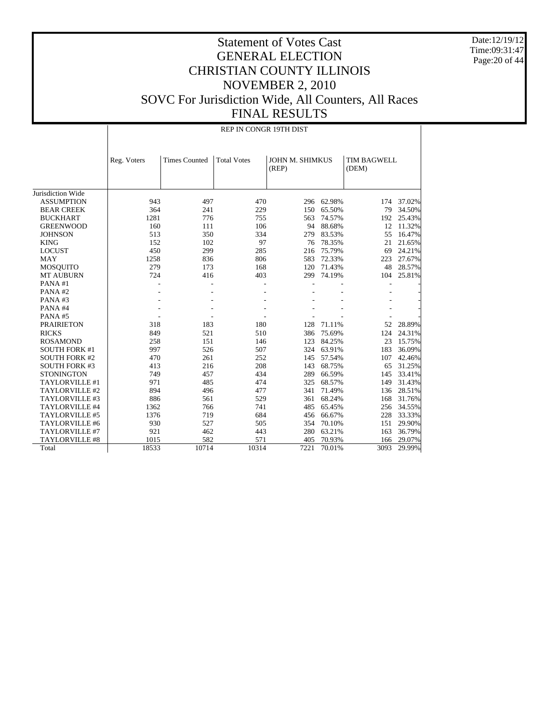Date:12/19/12 Time:09:31:47 Page:20 of 44

|                      | REP IN CONGR 19TH DIST |                      |                    |                          |            |                             |        |  |  |  |
|----------------------|------------------------|----------------------|--------------------|--------------------------|------------|-----------------------------|--------|--|--|--|
|                      | Reg. Voters            | <b>Times Counted</b> | <b>Total Votes</b> | JOHN M. SHIMKUS<br>(REP) |            | <b>TIM BAGWELL</b><br>(DEM) |        |  |  |  |
| Jurisdiction Wide    |                        |                      |                    |                          |            |                             |        |  |  |  |
| <b>ASSUMPTION</b>    | 943                    | 497                  | 470                |                          | 296 62.98% | 174                         | 37.02% |  |  |  |
| <b>BEAR CREEK</b>    | 364                    | 241                  | 229                | 150                      | 65.50%     | 79                          | 34.50% |  |  |  |
| <b>BUCKHART</b>      | 1281                   | 776                  | 755                | 563                      | 74.57%     | 192                         | 25.43% |  |  |  |
| <b>GREENWOOD</b>     | 160                    | 111                  | 106                | 94                       | 88.68%     | 12                          | 11.32% |  |  |  |
| <b>JOHNSON</b>       | 513                    | 350                  | 334                | 279                      | 83.53%     | 55                          | 16.47% |  |  |  |
| <b>KING</b>          | 152                    | 102                  | 97                 |                          | 76 78.35%  | 21                          | 21.65% |  |  |  |
| <b>LOCUST</b>        | 450                    | 299                  | 285                | 216                      | 75.79%     | 69                          | 24.21% |  |  |  |
| <b>MAY</b>           | 1258                   | 836                  | 806                | 583                      | 72.33%     | 223                         | 27.67% |  |  |  |
| <b>MOSQUITO</b>      | 279                    | 173                  | 168                | 120                      | 71.43%     | 48                          | 28.57% |  |  |  |
| <b>MT AUBURN</b>     | 724                    | 416                  | 403                | 299                      | 74.19%     | 104                         | 25.81% |  |  |  |
| PANA#1               |                        |                      |                    | ä,                       |            |                             |        |  |  |  |
| PANA#2               |                        |                      |                    |                          |            |                             |        |  |  |  |
| PANA#3               |                        |                      |                    |                          |            |                             |        |  |  |  |
| PANA#4               |                        |                      |                    |                          |            |                             |        |  |  |  |
| PANA#5               |                        |                      |                    |                          |            |                             |        |  |  |  |
| <b>PRAIRIETON</b>    | 318                    | 183                  | 180                | 128                      | 71.11%     | 52                          | 28.89% |  |  |  |
| <b>RICKS</b>         | 849                    | 521                  | 510                | 386                      | 75.69%     | 124                         | 24.31% |  |  |  |
| <b>ROSAMOND</b>      | 258                    | 151                  | 146                | 123                      | 84.25%     | 23                          | 15.75% |  |  |  |
| <b>SOUTH FORK #1</b> | 997                    | 526                  | 507                |                          | 324 63.91% | 183                         | 36.09% |  |  |  |
| <b>SOUTH FORK #2</b> | 470                    | 261                  | 252                | 145                      | 57.54%     | 107                         | 42.46% |  |  |  |
| <b>SOUTH FORK #3</b> | 413                    | 216                  | 208                | 143                      | 68.75%     | 65                          | 31.25% |  |  |  |
| <b>STONINGTON</b>    | 749                    | 457                  | 434                | 289                      | 66.59%     | 145                         | 33.41% |  |  |  |
| TAYLORVILLE #1       | 971                    | 485                  | 474                | 325                      | 68.57%     | 149                         | 31.43% |  |  |  |
| TAYLORVILLE #2       | 894                    | 496                  | 477                | 341                      | 71.49%     | 136                         | 28.51% |  |  |  |
| TAYLORVILLE #3       | 886                    | 561                  | 529                |                          | 361 68.24% | 168                         | 31.76% |  |  |  |
| TAYLORVILLE #4       | 1362                   | 766                  | 741                | 485                      | 65.45%     | 256                         | 34.55% |  |  |  |
| TAYLORVILLE #5       | 1376                   | 719                  | 684                | 456                      | 66.67%     | 228                         | 33.33% |  |  |  |
| TAYLORVILLE #6       | 930                    | 527                  | 505                | 354                      | 70.10%     | 151                         | 29.90% |  |  |  |
| TAYLORVILLE #7       | 921                    | 462                  | 443                | 280                      | 63.21%     | 163                         | 36.79% |  |  |  |
| TAYLORVILLE #8       | 1015                   | 582                  | 571                | 405                      | 70.93%     | 166                         | 29.07% |  |  |  |
| Total                | 18533                  | 10714                | 10314              | 7221                     | 70.01%     | 3093                        | 29.99% |  |  |  |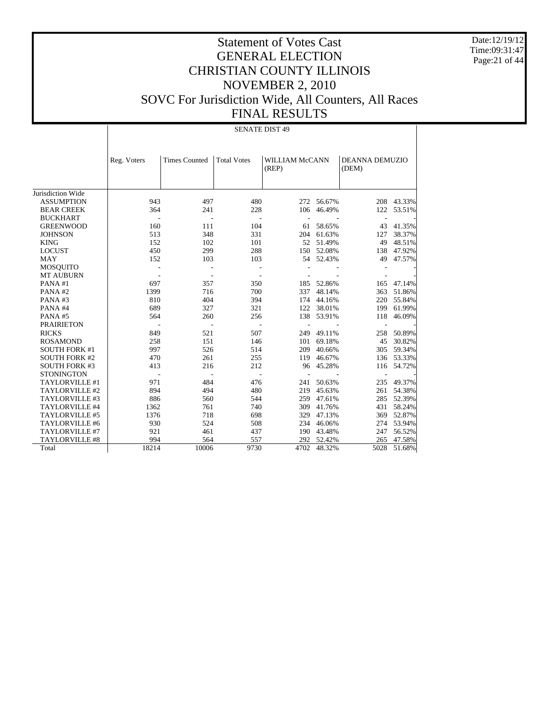Date:12/19/12 Time:09:31:47 Page:21 of 44

## Statement of Votes Cast GENERAL ELECTION CHRISTIAN COUNTY ILLINOIS NOVEMBER 2, 2010 SOVC For Jurisdiction Wide, All Counters, All Races FINAL RESULTS

Jurisdiction Wide ASSUMPTION BEAR CREEK BUCKHART GREENWOOD **JOHNSON**  KING LOCUST MAY MOSQUITO MT AUBURN PANA #1 PANA #2 PANA #3 PANA #4 PANA #5 PRAIRIETON RICKS ROSAMOND SOUTH FORK #1 SOUTH FORK #2 SOUTH FORK #3 **STONINGTON**  TAYLORVILLE #1 TAYLORVILLE #2 TAYLORVILLE #3 TAYLORVILLE #4 TAYLORVILLE #5 TAYLORVILLE #6 TAYLORVILLE #7 TAYLORVILLE #8 Total Reg. Voters | Times Counted | Total Votes | WILLIAM McCANN (REP) DEANNA DEMUZIO (DEM) SENATE DIST 49 943 497 480 272 56.67% 208 43.33% 106 46.49% - - - - - - - 160 111 104 61 58.65% 43 41.35%<br>513 348 331 204 61.63% 127 38.37% 204 61.63% 152 102 101 52 51.49% 49 48.51%<br>450 299 288 150 52.08% 138 47.92% 450 299 288 150 52.08% 138 47.92% 152 103 103 54 52.43% 49 47.57% - - - - - - - - - - - - - - 697 357 350 185 52.86% 165 47.14% 1399 716 700 337 48.14% 363 51.86% 810 404 394 174 44.16% 220 55.84%<br>689 327 321 122 38.01% 199 61.99% 689 327 321 122 38.01% 199 61.99% 564 260 256 138 53.91% 118 46.09% - - - - - - - 849 521 507 249 49.11% 258 50.89% 258 151 146 101 69.18% 45 30.82% 997 526 514 209 40.66% 305 59.34% 410 261 255 119 46.67% 136 53.33% 413 216 212 96 45.28% 116 54.72% 413 216 212 96 45.28% 116 54.72% - - - - - - - 971 484 476 241 50.63% 235 49.37% 894 494 480 219 45.63% 261 54.38% 886 560 544 259 47.61% 285 52.39% 1362 761 740 309 41.76% 431 58.24%<br>1376 718 698 329 47.13% 369 52.87% 1376 718 698 329 47.13% 369 52.87% 930 524 508 234 46.06% 274 53.94% 190 43.48% 994 564 557 292 52.42% 265 47.58% 18214 10006 9730 4702 48.32% 5028 51.68%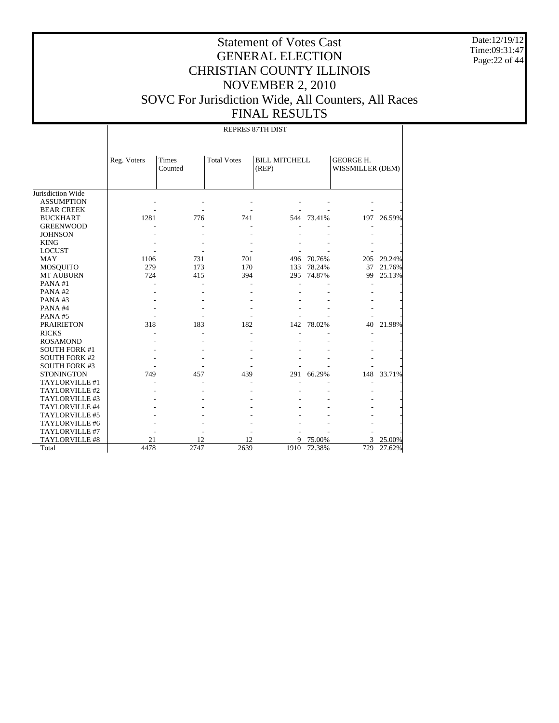Date:12/19/12 Time:09:31:47 Page:22 of 44

## Statement of Votes Cast GENERAL ELECTION CHRISTIAN COUNTY ILLINOIS NOVEMBER 2, 2010 SOVC For Jurisdiction Wide, All Counters, All Races FINAL RESULTS

Jurisdiction Wide ASSUMPTION BEAR CREEK BUCKHART GREENWOOD **JOHNSON**  KING LOCUST MAY MOSQUITO MT AUBURN PANA #1 PANA #2 PANA #3 PANA #4 PANA #5 PRAIRIETON RICKS ROSAMOND SOUTH FORK #1 SOUTH FORK #2 SOUTH FORK #3 **STONINGTON**  TAYLORVILLE #1 TAYLORVILLE #2 TAYLORVILLE #3 TAYLORVILLE #4 TAYLORVILLE #5 TAYLORVILLE #6 TAYLORVILLE #7 TAYLORVILLE #8 Total Reg. Voters Times Counted Total Votes | BILL MITCHELL (REP) GEORGE H. WISSMILLER (DEM) REPRES 87TH DIST - - - - - - - - - - - - - - 1281 776 741 544 73.41% 197 26.59% - - - - - - - - - - - - - - - - - - - - - - - - - - - - 1106 731 701 496 70.76% 205 29.24%<br>279 173 170 133 78.24% 37 21.76% 279 173 170 133 78.24% 37 21.76%<br>
295 74.87% 99 25.13% 295 74.87% - - - - - - - - - - - - - - - - - - - - - - - - - - - - - - - - - - - 318 183 182 142 78.02% 40 21.98% - - - - - - - - - - - - - - - - - - - - - - - - - - - - - - - - - - - 749 457 439 291 66.29% 148 33.71% - - - - - - - - - - - - - - - - - - - - - - - - - - - - - - - - - - - - - - - - - - - - - - - - - 21 12 12 9 75.00% 3 25.00%<br>4478 2747 2639 1910 72.38% 729 27.62% 4478 2747 2639 1910 72.38% 729 27.62%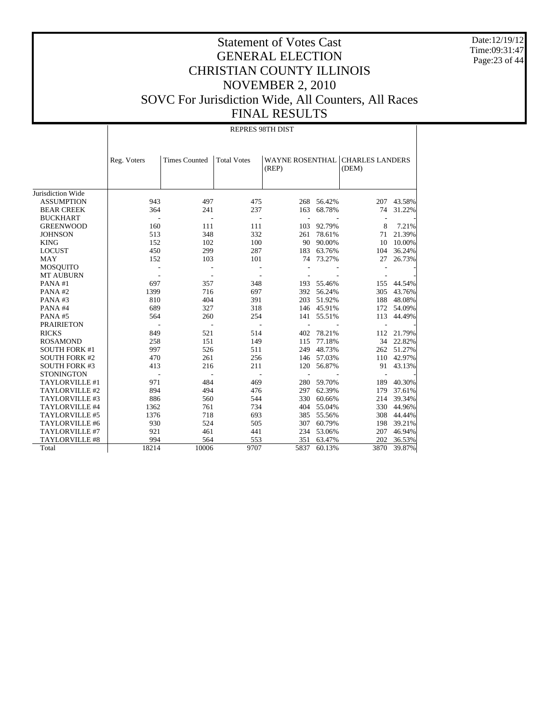Date:12/19/12 Time:09:31:47 Page:23 of 44

## Statement of Votes Cast GENERAL ELECTION CHRISTIAN COUNTY ILLINOIS NOVEMBER 2, 2010 SOVC For Jurisdiction Wide, All Counters, All Races FINAL RESULTS

Jurisdiction Wide ASSUMPTION BEAR CREEK BUCKHART GREENWOOD **JOHNSON**  KING LOCUST MAY MOSQUITO MT AUBURN PANA #1 PANA #2 PANA #3 PANA #4 PANA #5 PRAIRIETON RICKS ROSAMOND SOUTH FORK #1 SOUTH FORK #2 SOUTH FORK #3 **STONINGTON**  TAYLORVILLE #1 TAYLORVILLE #2 TAYLORVILLE #3 TAYLORVILLE #4 TAYLORVILLE #5 TAYLORVILLE #6 TAYLORVILLE #7 TAYLORVILLE #8 Total Reg. Voters Times Counted | Total Votes | WAYNE ROSENTHAL | CHARLES LANDERS (REP) (DEM) REPRES 98TH DIST 943 497 475 268 56.42% 207 43.58% 163 68.78% - - - - - - - 160 111 111 103 92.79% 8 7.21%<br>513 348 332 261 78.61% 71 21.39% 332 261 78.61% 152 102 100 90.00% 10 10.00%<br>450 299 287 183 63.76% 104 36.24% 450 299 287 183 63.76% 104 36.24% 152 103 101 74 73.27% 27 26.73% - - - - - - - - - - - - - - 697 357 348 193 55.46% 155 44.54% 014 697 392 56.24% 305 43.76%<br>404 391 203 51.92% 188 48.08% 810 404 391 203 51.92% 188 48.08% 689 327 318 146 45.91% 172 54.09% 689 327 318 146 45.91% 172 54.09% 564 260 254 141 55.51% 113 44.49% - - - - - - - 849 521 514 402 78.21% 112 21.79% 534 551 112 115 1149 115 77.18% 54 22.82% 258 151 149 115 77.18% 34 22.82% 997 526 511 249 48.73% 262 51.27% 410 261 256 146 57.03% 110 42.97%<br>413 216 211 120 56.87% 91 43.13% 413 216 211 120 56.87% 91 43.13% - - - - - - - 971 484 469 280 59.70% 189 40.30%<br>894 494 476 297 62.39% 179 37.61% 894 494 476 297 62.39% 179 37.61% 886 560 544 330 60.66% 214 39.34% 1362 761 734 404 55.04% 330 44.96% 1376 718 693 385 55.56% 308 44.44% 930 524 505 307 60.79% 198 39.21% 921 461 441 234 53.06% 207 46.94% 994 564 553 351 63.47% 202 36.53% 18214 10006 9707 5837 60.13% 3870 39.87%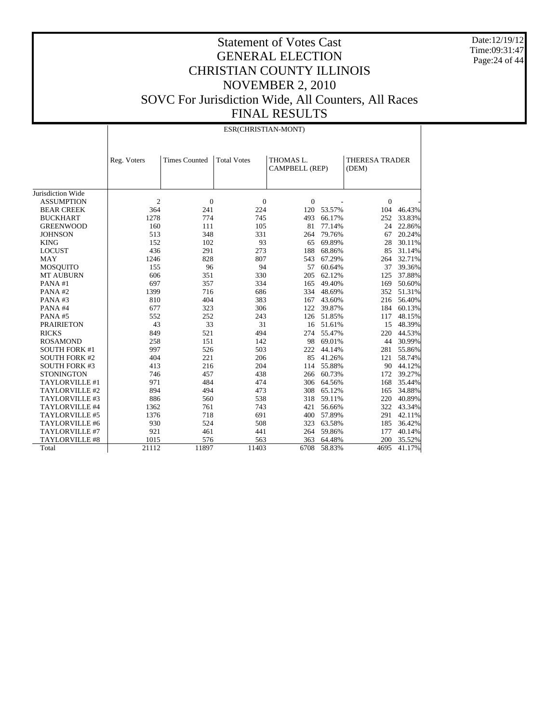Date:12/19/12 Time:09:31:47 Page:24 of 44

|                       |                | ESR(CHRISTIAN-MONT)  |                    |                                    |            |                                |            |  |  |  |
|-----------------------|----------------|----------------------|--------------------|------------------------------------|------------|--------------------------------|------------|--|--|--|
|                       | Reg. Voters    | <b>Times Counted</b> | <b>Total Votes</b> | THOMAS L.<br><b>CAMPBELL (REP)</b> |            | <b>THERESA TRADER</b><br>(DEM) |            |  |  |  |
| Jurisdiction Wide     |                |                      |                    |                                    |            |                                |            |  |  |  |
| <b>ASSUMPTION</b>     | $\overline{c}$ | $\theta$             | $\overline{0}$     | $\Omega$                           |            | $\mathbf{0}$                   |            |  |  |  |
| <b>BEAR CREEK</b>     | 364            | 241                  | 224                | 120                                | 53.57%     | 104                            | 46.43%     |  |  |  |
| <b>BUCKHART</b>       | 1278           | 774                  | 745                | 493                                | 66.17%     | 252                            | 33.83%     |  |  |  |
| <b>GREENWOOD</b>      | 160            | 111                  | 105                | 81                                 | 77.14%     | 24                             | 22.86%     |  |  |  |
| <b>JOHNSON</b>        | 513            | 348                  | 331                | 264                                | 79.76%     | 67                             | 20.24%     |  |  |  |
| <b>KING</b>           | 152            | 102                  | 93                 |                                    | 65 69.89%  | 28                             | 30.11%     |  |  |  |
| <b>LOCUST</b>         | 436            | 291                  | 273                | 188                                | 68.86%     | 85                             | 31.14%     |  |  |  |
| <b>MAY</b>            | 1246           | 828                  | 807                | 543                                | 67.29%     | 264                            | 32.71%     |  |  |  |
| <b>MOSQUITO</b>       | 155            | 96                   | 94                 | 57                                 | 60.64%     | 37                             | 39.36%     |  |  |  |
| <b>MT AUBURN</b>      | 606            | 351                  | 330                | 205                                | 62.12%     | 125                            | 37.88%     |  |  |  |
| PANA#1                | 697            | 357                  | 334                | 165                                | 49.40%     | 169                            | 50.60%     |  |  |  |
| PANA#2                | 1399           | 716                  | 686                | 334                                | 48.69%     | 352                            | 51.31%     |  |  |  |
| PANA#3                | 810            | 404                  | 383                | 167                                | 43.60%     | 216                            | 56.40%     |  |  |  |
| PANA#4                | 677            | 323                  | 306                | 122                                | 39.87%     |                                | 184 60.13% |  |  |  |
| PANA#5                | 552            | 252                  | 243                |                                    | 126 51.85% | 117                            | 48.15%     |  |  |  |
| <b>PRAIRIETON</b>     | 43             | 33                   | 31                 |                                    | 16 51.61%  | 15                             | 48.39%     |  |  |  |
| <b>RICKS</b>          | 849            | 521                  | 494                | 274                                | 55.47%     | 220                            | 44.53%     |  |  |  |
| <b>ROSAMOND</b>       | 258            | 151                  | 142                | 98                                 | 69.01%     | 44                             | 30.99%     |  |  |  |
| <b>SOUTH FORK #1</b>  | 997            | 526                  | 503                | 222                                | 44.14%     | 281                            | 55.86%     |  |  |  |
| <b>SOUTH FORK #2</b>  | 404            | 221                  | 206                | 85                                 | 41.26%     | 121                            | 58.74%     |  |  |  |
| <b>SOUTH FORK #3</b>  | 413            | 216                  | 204                |                                    | 114 55.88% | 90                             | 44.12%     |  |  |  |
| <b>STONINGTON</b>     | 746            | 457                  | 438                |                                    | 266 60.73% | 172                            | 39.27%     |  |  |  |
| TAYLORVILLE #1        | 971            | 484                  | 474                |                                    | 306 64.56% | 168                            | 35.44%     |  |  |  |
| TAYLORVILLE #2        | 894            | 494                  | 473                |                                    | 308 65.12% | 165                            | 34.88%     |  |  |  |
| TAYLORVILLE #3        | 886            | 560                  | 538                | 318                                | 59.11%     | 220                            | 40.89%     |  |  |  |
| TAYLORVILLE #4        | 1362           | 761                  | 743                | 421                                | 56.66%     | 322                            | 43.34%     |  |  |  |
| TAYLORVILLE #5        | 1376           | 718                  | 691                | 400                                | 57.89%     | 291                            | 42.11%     |  |  |  |
| TAYLORVILLE #6        | 930            | 524                  | 508                | 323                                | 63.58%     | 185                            | 36.42%     |  |  |  |
| TAYLORVILLE #7        | 921            | 461                  | 441                | 264                                | 59.86%     | 177                            | 40.14%     |  |  |  |
| <b>TAYLORVILLE #8</b> | 1015           | 576                  | 563                | 363                                | 64.48%     | 200                            | 35.52%     |  |  |  |
| Total                 | 21112          | 11897                | 11403              | 6708                               | 58.83%     | 4695                           | 41.17%     |  |  |  |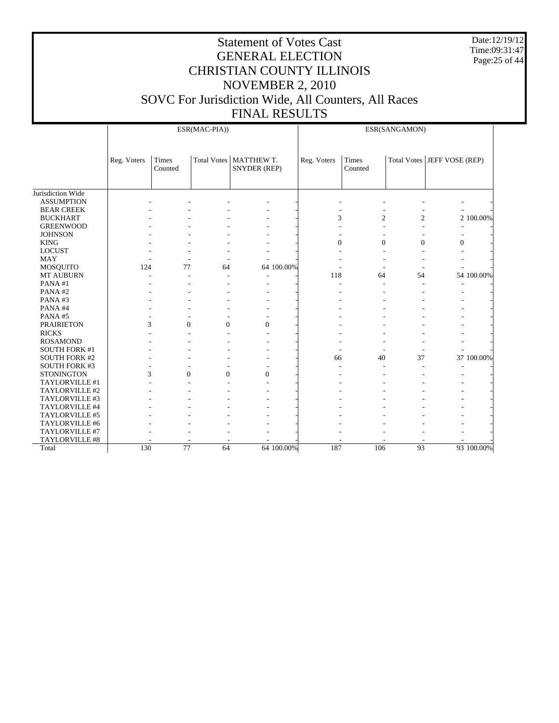Date:12/19/12 Time:09:31:47 Page:25 of 44

|                      |             | ESR(MAC-PIA))       |                  |                                          |            | ESR(SANGAMON)  |                  |                |                               |            |
|----------------------|-------------|---------------------|------------------|------------------------------------------|------------|----------------|------------------|----------------|-------------------------------|------------|
|                      | Reg. Voters | Times<br>Counted    |                  | Total Votes   MATTHEW T.<br>SNYDER (REP) |            | Reg. Voters    | Times<br>Counted |                | Total Votes   JEFF VOSE (REP) |            |
| Jurisdiction Wide    |             |                     |                  |                                          |            |                |                  |                |                               |            |
| <b>ASSUMPTION</b>    |             |                     |                  |                                          |            |                |                  |                |                               |            |
| <b>BEAR CREEK</b>    |             |                     |                  |                                          |            |                |                  |                |                               |            |
| <b>BUCKHART</b>      |             |                     |                  |                                          |            | 3              | $\overline{c}$   | $\overline{c}$ |                               | 2 100.00%  |
| <b>GREENWOOD</b>     |             |                     |                  |                                          |            |                |                  |                |                               |            |
| <b>JOHNSON</b>       |             |                     |                  |                                          |            |                |                  |                |                               |            |
| <b>KING</b>          |             |                     |                  |                                          |            | $\overline{0}$ | $\overline{0}$   | $\mathbf{0}$   | $\mathbf{0}$                  |            |
| <b>LOCUST</b>        |             |                     |                  |                                          |            |                |                  |                |                               |            |
| <b>MAY</b>           |             |                     |                  |                                          |            |                |                  |                |                               |            |
| MOSQUITO             | 124         | 77                  | 64               |                                          | 64 100.00% |                |                  |                |                               |            |
| MT AUBURN            |             |                     |                  |                                          |            | 118            | 64               | 54             |                               | 54 100.00% |
| PANA#1               |             |                     |                  |                                          |            |                |                  |                |                               |            |
| PANA#2               |             |                     |                  |                                          |            |                |                  |                |                               |            |
| PANA#3               |             |                     |                  |                                          |            |                |                  |                |                               |            |
| PANA#4               |             |                     |                  |                                          |            |                |                  |                |                               |            |
| PANA#5               |             |                     |                  |                                          |            |                |                  |                |                               |            |
| <b>PRAIRIETON</b>    |             | 3<br>$\overline{0}$ | $\boldsymbol{0}$ | $\overline{0}$                           |            |                |                  |                |                               |            |
| <b>RICKS</b>         |             |                     |                  |                                          |            |                |                  |                |                               |            |
| <b>ROSAMOND</b>      |             |                     |                  |                                          |            |                |                  |                |                               |            |
| <b>SOUTH FORK #1</b> |             |                     |                  |                                          |            |                |                  |                |                               |            |
| <b>SOUTH FORK #2</b> |             |                     |                  |                                          |            | 66             | 40               | 37             |                               | 37 100.00% |
| <b>SOUTH FORK #3</b> |             |                     |                  |                                          |            |                |                  |                |                               |            |
| <b>STONINGTON</b>    |             | 3<br>$\overline{0}$ | $\overline{0}$   | $\overline{0}$                           |            |                |                  |                |                               |            |
| TAYLORVILLE #1       |             |                     |                  |                                          |            |                |                  |                |                               |            |
| TAYLORVILLE #2       |             |                     |                  |                                          |            |                |                  |                |                               |            |
| TAYLORVILLE #3       |             |                     |                  |                                          |            |                |                  |                |                               |            |
| TAYLORVILLE #4       |             |                     |                  |                                          |            |                |                  |                |                               |            |
| TAYLORVILLE #5       |             |                     |                  |                                          |            |                |                  |                |                               |            |
| TAYLORVILLE #6       |             |                     |                  |                                          |            |                |                  |                |                               |            |
| TAYLORVILLE #7       |             |                     |                  |                                          |            |                |                  |                |                               |            |
| TAYLORVILLE #8       |             |                     |                  |                                          |            |                |                  |                |                               |            |
| Total                | 130         | 77                  | 64               |                                          | 64 100.00% | 187            | 106              | 93             |                               | 93 100.00% |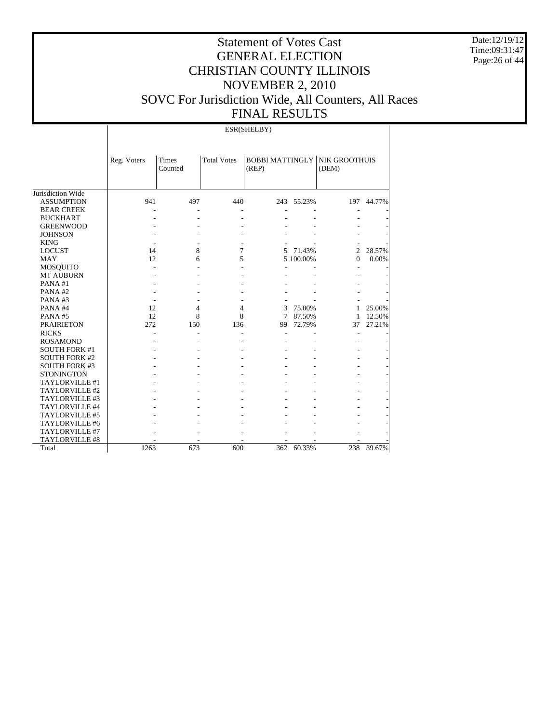Date:12/19/12 Time:09:31:47 Page:26 of 44

## Statement of Votes Cast GENERAL ELECTION CHRISTIAN COUNTY ILLINOIS NOVEMBER 2, 2010 SOVC For Jurisdiction Wide, All Counters, All Races FINAL RESULTS

Jurisdiction Wide ASSUMPTION BEAR CREEK BUCKHART GREENWOOD **JOHNSON**  KING LOCUST MAY MOSQUITO MT AUBURN PANA #1 PANA #2 PANA #3 PANA #4 PANA #5 PRAIRIETON RICKS ROSAMOND SOUTH FORK #1 SOUTH FORK #2 SOUTH FORK #3 **STONINGTON**  TAYLORVILLE #1 TAYLORVILLE #2 TAYLORVILLE #3 TAYLORVILLE #4 TAYLORVILLE #5 TAYLORVILLE #6 TAYLORVILLE #7 TAYLORVILLE #8 Total Reg. Voters Times Counted Total Votes | BOBBI MATTINGLY | NIK GROOTHUIS (REP) (DEM) ESR(SHELBY) 941 497 440 243 55.23% 197 44.77% - - - - - - - - - - - - - - - - - - - - - - - - - - - - - - - - - - -  $\begin{array}{ccccccccc}\n 14 & & & 8 & & 7 & & 5 & 71.43\% & & & 2 & 28.57\% \\
 12 & & & 6 & & 5 & & 5 & 100.00\% & & & 0 & 0.00\% \\
 \end{array}$ 12 6 5 5 100.00% 0 - - - - - - - - - - - - - - - - - - - - - - - - - - - - - - - - - - - 12 4 4 3 75.00% 1 25.00%<br>12 8 8 7 87.50% 1 12.50% 12 8 8 7 87.50% 1 12.50%<br>272 150 136 99 72.79% 37 27.21% 99 72.79% - - - - - - - - - - - - - - - - - - - - - - - - - - - - - - - - - - - - - - - - - - - - - - - - - - - - - - - - - - - - - - - - - - - - - - - - - - - - - - - - - - - - - - - - - - - - - - - - - - 1263 673 600 362 60.33% 238 39.67%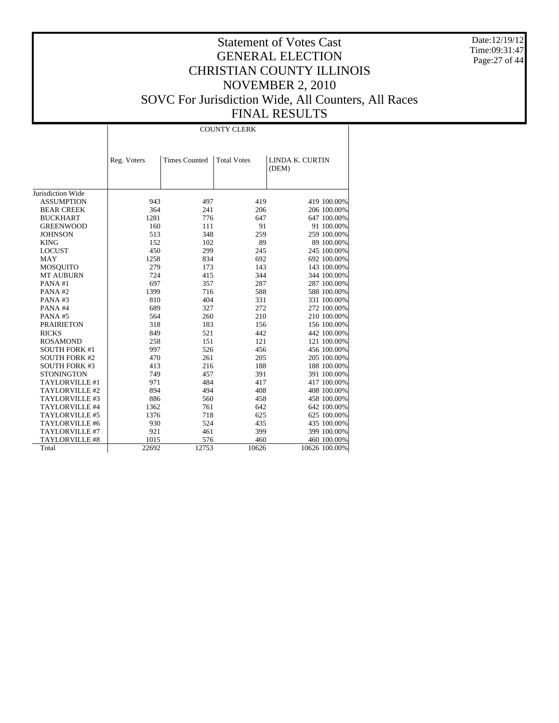Date:12/19/12 Time:09:31:47 Page:27 of 44

|                      | <b>COUNTY CLERK</b> |                      |                    |                 |  |  |  |  |
|----------------------|---------------------|----------------------|--------------------|-----------------|--|--|--|--|
|                      |                     |                      |                    |                 |  |  |  |  |
|                      |                     |                      |                    |                 |  |  |  |  |
|                      | Reg. Voters         | <b>Times Counted</b> | <b>Total Votes</b> | LINDA K. CURTIN |  |  |  |  |
|                      |                     |                      |                    | (DEM)           |  |  |  |  |
|                      |                     |                      |                    |                 |  |  |  |  |
| Jurisdiction Wide    |                     |                      |                    |                 |  |  |  |  |
| <b>ASSUMPTION</b>    | 943                 | 497                  | 419                | 419 100.00%     |  |  |  |  |
| <b>BEAR CREEK</b>    | 364                 | 241                  | 206                | 206 100.00%     |  |  |  |  |
| <b>BUCKHART</b>      | 1281                | 776                  | 647                | 647 100.00%     |  |  |  |  |
| <b>GREENWOOD</b>     | 160                 | 111                  | 91                 | 91 100.00%      |  |  |  |  |
| <b>JOHNSON</b>       | 513                 | 348                  | 259                | 259 100.00%     |  |  |  |  |
| <b>KING</b>          | 152                 | 102                  | 89                 | 89 100.00%      |  |  |  |  |
| <b>LOCUST</b>        | 450                 | 299                  | 245                | 245 100.00%     |  |  |  |  |
| MAY                  | 1258                | 834                  | 692                | 692 100.00%     |  |  |  |  |
| <b>MOSQUITO</b>      | 279                 | 173                  | 143                | 143 100.00%     |  |  |  |  |
| <b>MT AUBURN</b>     | 724                 | 415                  | 344                | 344 100.00%     |  |  |  |  |
| PANA#1               | 697                 | 357                  | 287                | 287 100.00%     |  |  |  |  |
| PANA#2               | 1399                | 716                  | 588                | 588 100.00%     |  |  |  |  |
| PANA#3               | 810                 | 404                  | 331                | 331 100.00%     |  |  |  |  |
| PANA#4               | 689                 | 327                  | 272                | 272 100.00%     |  |  |  |  |
| PANA#5               | 564                 | 260                  | 210                | 210 100.00%     |  |  |  |  |
| <b>PRAIRIETON</b>    | 318                 | 183                  | 156                | 156 100.00%     |  |  |  |  |
| <b>RICKS</b>         | 849                 | 521                  | 442                | 442 100.00%     |  |  |  |  |
| <b>ROSAMOND</b>      | 258                 | 151                  | 121                | 121 100.00%     |  |  |  |  |
| <b>SOUTH FORK #1</b> | 997                 | 526                  | 456                | 456 100.00%     |  |  |  |  |
| <b>SOUTH FORK #2</b> | 470                 | 261                  | 205                | 205 100.00%     |  |  |  |  |
| <b>SOUTH FORK #3</b> | 413                 | 216                  | 188                | 188 100.00%     |  |  |  |  |
| <b>STONINGTON</b>    | 749                 | 457                  | 391                | 391 100.00%     |  |  |  |  |
| TAYLORVILLE #1       | 971                 | 484                  | 417                | 417 100.00%     |  |  |  |  |
| TAYLORVILLE #2       | 894                 | 494                  | 408                | 408 100.00%     |  |  |  |  |
| TAYLORVILLE #3       | 886                 | 560                  | 458                | 458 100.00%     |  |  |  |  |
| TAYLORVILLE #4       | 1362                | 761                  | 642                | 642 100.00%     |  |  |  |  |
| TAYLORVILLE #5       | 1376                | 718                  | 625                | 625 100.00%     |  |  |  |  |
| TAYLORVILLE #6       | 930                 | 524                  | 435                | 435 100.00%     |  |  |  |  |
| TAYLORVILLE #7       | 921                 | 461                  | 399                | 399 100.00%     |  |  |  |  |
| TAYLORVILLE #8       | 1015                | 576                  | 460                | 460 100.00%     |  |  |  |  |
| Total                | 22692               | 12753                | 10626              | 10626 100.00%   |  |  |  |  |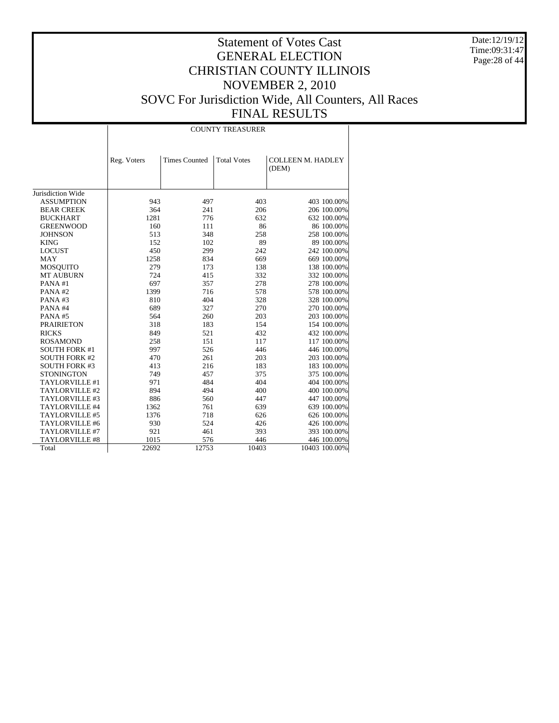Date:12/19/12 Time:09:31:47 Page:28 of 44

|                      | <b>COUNTY TREASURER</b> |                      |                    |                                   |  |  |  |  |
|----------------------|-------------------------|----------------------|--------------------|-----------------------------------|--|--|--|--|
|                      |                         |                      |                    |                                   |  |  |  |  |
|                      | Reg. Voters             | <b>Times Counted</b> | <b>Total Votes</b> | <b>COLLEEN M. HADLEY</b><br>(DEM) |  |  |  |  |
| Jurisdiction Wide    |                         |                      |                    |                                   |  |  |  |  |
| <b>ASSUMPTION</b>    | 943                     | 497                  | 403                | 403 100.00%                       |  |  |  |  |
| <b>BEAR CREEK</b>    | 364                     | 241                  | 206                | 206 100.00%                       |  |  |  |  |
| <b>BUCKHART</b>      | 1281                    | 776                  | 632                | 632 100.00%                       |  |  |  |  |
| <b>GREENWOOD</b>     | 160                     | 111                  | 86                 | 86 100.00%                        |  |  |  |  |
| <b>JOHNSON</b>       | 513                     | 348                  | 258                | 258 100.00%                       |  |  |  |  |
| <b>KING</b>          | 152                     | 102                  | 89                 | 89 100.00%                        |  |  |  |  |
| <b>LOCUST</b>        | 450                     | 299                  | 242                | 242 100.00%                       |  |  |  |  |
| <b>MAY</b>           | 1258                    | 834                  | 669                | 669 100.00%                       |  |  |  |  |
| <b>MOSQUITO</b>      | 279                     | 173                  | 138                | 138 100.00%                       |  |  |  |  |
| <b>MT AUBURN</b>     | 724                     | 415                  | 332                | 332 100.00%                       |  |  |  |  |
| PANA#1               | 697                     | 357                  | 278                | 278 100.00%                       |  |  |  |  |
| PANA#2               | 1399                    | 716                  | 578                | 578 100.00%                       |  |  |  |  |
| PANA#3               | 810                     | 404                  | 328                | 328 100.00%                       |  |  |  |  |
| PANA#4               | 689                     | 327                  | 270                | 270 100.00%                       |  |  |  |  |
| PANA#5               | 564                     | 260                  | 203                | 203 100.00%                       |  |  |  |  |
| <b>PRAIRIETON</b>    | 318                     | 183                  | 154                | 154 100.00%                       |  |  |  |  |
| <b>RICKS</b>         | 849                     | 521                  | 432                | 432 100.00%                       |  |  |  |  |
| <b>ROSAMOND</b>      | 258                     | 151                  | 117                | 117 100.00%                       |  |  |  |  |
| <b>SOUTH FORK #1</b> | 997                     | 526                  | 446                | 446 100.00%                       |  |  |  |  |
| <b>SOUTH FORK #2</b> | 470                     | 261                  | 203                | 203 100.00%                       |  |  |  |  |
| <b>SOUTH FORK #3</b> | 413                     | 216                  | 183                | 183 100.00%                       |  |  |  |  |
| <b>STONINGTON</b>    | 749                     | 457                  | 375                | 375 100.00%                       |  |  |  |  |
| TAYLORVILLE #1       | 971                     | 484                  | 404                | 404 100.00%                       |  |  |  |  |
| TAYLORVILLE #2       | 894                     | 494                  | 400                | 400 100.00%                       |  |  |  |  |
| TAYLORVILLE #3       | 886                     | 560                  | 447                | 447 100.00%                       |  |  |  |  |
| TAYLORVILLE #4       | 1362                    | 761                  | 639                | 639 100.00%                       |  |  |  |  |
| TAYLORVILLE #5       | 1376                    | 718                  | 626                | 626 100.00%                       |  |  |  |  |
| TAYLORVILLE #6       | 930                     | 524                  | 426                | 426 100.00%                       |  |  |  |  |
| TAYLORVILLE #7       | 921                     | 461                  | 393                | 393 100.00%                       |  |  |  |  |
| TAYLORVILLE #8       | 1015                    | 576                  | 446                | 446 100.00%                       |  |  |  |  |
| Total                | 22692                   | 12753                | 10403              | 10403 100.00%                     |  |  |  |  |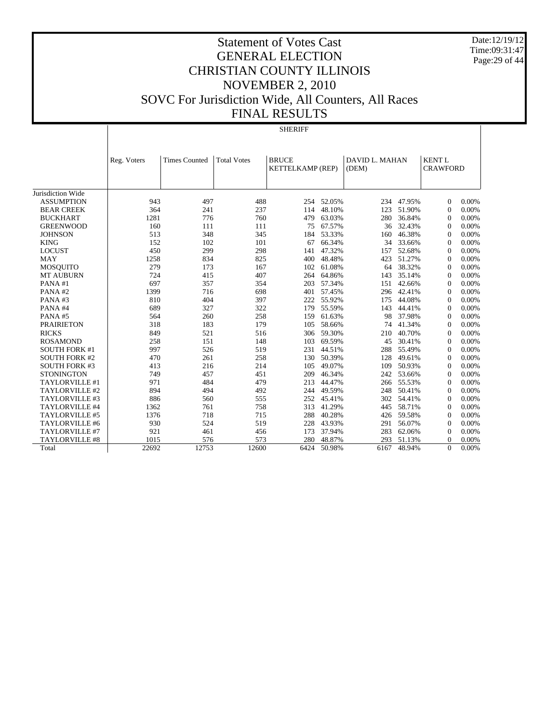Date:12/19/12 Time:09:31:47 Page:29 of 44

# Statement of Votes Cast GENERAL ELECTION CHRISTIAN COUNTY ILLINOIS NOVEMBER 2, 2010 SOVC For Jurisdiction Wide, All Counters, All Races FINAL RESULTS

#### SHERIFF

|                       | Reg. Voters | <b>Times Counted</b> | <b>Total Votes</b> | <b>BRUCE</b><br>KETTELKAMP (REP) |            | DAVID L. MAHAN<br>(DEM) |        | <b>KENTL</b><br><b>CRAWFORD</b> |       |
|-----------------------|-------------|----------------------|--------------------|----------------------------------|------------|-------------------------|--------|---------------------------------|-------|
|                       |             |                      |                    |                                  |            |                         |        |                                 |       |
| Jurisdiction Wide     |             |                      |                    |                                  |            |                         |        |                                 |       |
| <b>ASSUMPTION</b>     | 943         | 497                  | 488                |                                  | 254 52.05% | 234                     | 47.95% | $\mathbf{0}$                    | 0.00% |
| <b>BEAR CREEK</b>     | 364         | 241                  | 237                | 114                              | 48.10%     | 123                     | 51.90% | $\mathbf{0}$                    | 0.00% |
| <b>BUCKHART</b>       | 1281        | 776                  | 760                | 479                              | 63.03%     | 280                     | 36.84% | $\mathbf{0}$                    | 0.00% |
| <b>GREENWOOD</b>      | 160         | 111                  | 111                | 75                               | 67.57%     | 36                      | 32.43% | $\mathbf{0}$                    | 0.00% |
| <b>JOHNSON</b>        | 513         | 348                  | 345                | 184                              | 53.33%     | 160                     | 46.38% | $\Omega$                        | 0.00% |
| <b>KING</b>           | 152         | 102                  | 101                | 67                               | 66.34%     | 34                      | 33.66% | $\Omega$                        | 0.00% |
| <b>LOCUST</b>         | 450         | 299                  | 298                | 141                              | 47.32%     | 157                     | 52.68% | $\Omega$                        | 0.00% |
| <b>MAY</b>            | 1258        | 834                  | 825                | 400                              | 48.48%     | 423                     | 51.27% | $\Omega$                        | 0.00% |
| <b>MOSOUITO</b>       | 279         | 173                  | 167                | 102                              | 61.08%     | 64                      | 38.32% | $\Omega$                        | 0.00% |
| <b>MT AUBURN</b>      | 724         | 415                  | 407                | 264                              | 64.86%     | 143                     | 35.14% | $\Omega$                        | 0.00% |
| PANA#1                | 697         | 357                  | 354                | 203                              | 57.34%     | 151                     | 42.66% | $\Omega$                        | 0.00% |
| PANA#2                | 1399        | 716                  | 698                | 401                              | 57.45%     | 296                     | 42.41% | $\Omega$                        | 0.00% |
| PANA#3                | 810         | 404                  | 397                | 222                              | 55.92%     | 175                     | 44.08% | $\Omega$                        | 0.00% |
| PANA#4                | 689         | 327                  | 322                | 179                              | 55.59%     | 143                     | 44.41% | $\Omega$                        | 0.00% |
| PANA#5                | 564         | 260                  | 258                | 159                              | 61.63%     | 98                      | 37.98% | $\Omega$                        | 0.00% |
| <b>PRAIRIETON</b>     | 318         | 183                  | 179                | 105                              | 58.66%     | 74                      | 41.34% | $\Omega$                        | 0.00% |
| <b>RICKS</b>          | 849         | 521                  | 516                | 306                              | 59.30%     | 210                     | 40.70% | $\Omega$                        | 0.00% |
| <b>ROSAMOND</b>       | 258         | 151                  | 148                | 103                              | 69.59%     | 45                      | 30.41% | $\Omega$                        | 0.00% |
| <b>SOUTH FORK #1</b>  | 997         | 526                  | 519                | 231                              | 44.51%     | 288                     | 55.49% | $\Omega$                        | 0.00% |
| <b>SOUTH FORK #2</b>  | 470         | 261                  | 258                | 130                              | 50.39%     | 128                     | 49.61% | $\Omega$                        | 0.00% |
| <b>SOUTH FORK #3</b>  | 413         | 216                  | 214                | 105                              | 49.07%     | 109                     | 50.93% | $\Omega$                        | 0.00% |
| <b>STONINGTON</b>     | 749         | 457                  | 451                | 209                              | 46.34%     | 242                     | 53.66% | $\Omega$                        | 0.00% |
| TAYLORVILLE #1        | 971         | 484                  | 479                | 213                              | 44.47%     | 266                     | 55.53% | $\Omega$                        | 0.00% |
| TAYLORVILLE #2        | 894         | 494                  | 492                | 244                              | 49.59%     | 248                     | 50.41% | $\Omega$                        | 0.00% |
| TAYLORVILLE #3        | 886         | 560                  | 555                | 252                              | 45.41%     | 302                     | 54.41% | $\mathbf{0}$                    | 0.00% |
| TAYLORVILLE #4        | 1362        | 761                  | 758                | 313                              | 41.29%     | 445                     | 58.71% | $\Omega$                        | 0.00% |
| TAYLORVILLE #5        | 1376        | 718                  | 715                | 288                              | 40.28%     | 426                     | 59.58% | $\mathbf{0}$                    | 0.00% |
| TAYLORVILLE #6        | 930         | 524                  | 519                | 228                              | 43.93%     | 291                     | 56.07% | $\mathbf{0}$                    | 0.00% |
| TAYLORVILLE #7        | 921         | 461                  | 456                | 173                              | 37.94%     | 283                     | 62.06% | $\mathbf{0}$                    | 0.00% |
| <b>TAYLORVILLE #8</b> | 1015        | 576                  | 573                | 280                              | 48.87%     | 293                     | 51.13% | $\Omega$                        | 0.00% |
| Total                 | 22692       | 12753                | 12600              | 6424                             | 50.98%     | 6167                    | 48.94% | $\Omega$                        | 0.00% |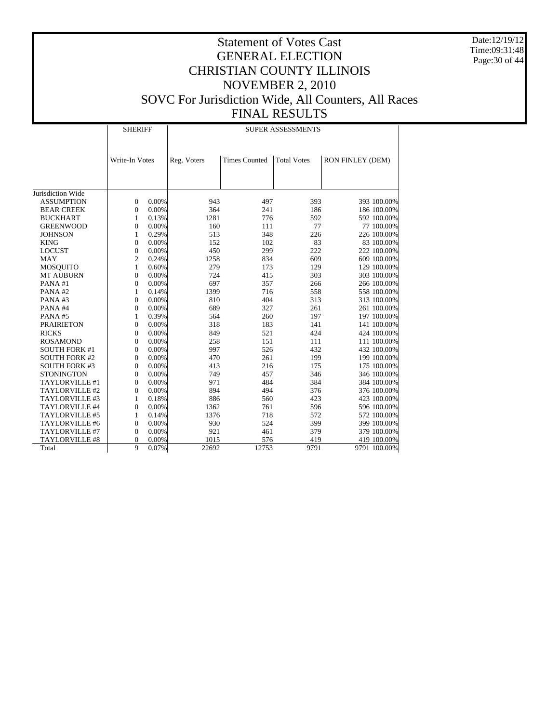Date:12/19/12 Time:09:31:48 Page:30 of 44

|                       | <b>SHERIFF</b> |       | <b>SUPER ASSESSMENTS</b> |                      |                    |                  |  |  |
|-----------------------|----------------|-------|--------------------------|----------------------|--------------------|------------------|--|--|
|                       | Write-In Votes |       | Reg. Voters              | <b>Times Counted</b> | <b>Total Votes</b> | RON FINLEY (DEM) |  |  |
|                       |                |       |                          |                      |                    |                  |  |  |
| Jurisdiction Wide     |                |       |                          |                      |                    |                  |  |  |
| <b>ASSUMPTION</b>     | $\mathbf{0}$   | 0.00% | 943                      | 497                  | 393                | 393 100.00%      |  |  |
| <b>BEAR CREEK</b>     | $\overline{0}$ | 0.00% | 364                      | 241                  | 186                | 186 100.00%      |  |  |
| <b>BUCKHART</b>       | 1              | 0.13% | 1281                     | 776                  | 592                | 592 100.00%      |  |  |
| <b>GREENWOOD</b>      | $\overline{0}$ | 0.00% | 160                      | 111                  | 77                 | 77 100.00%       |  |  |
| <b>JOHNSON</b>        | 1              | 0.29% | 513                      | 348                  | 226                | 226 100.00%      |  |  |
| <b>KING</b>           | $\overline{0}$ | 0.00% | 152                      | 102                  | 83                 | 83 100.00%       |  |  |
| <b>LOCUST</b>         | $\overline{0}$ | 0.00% | 450                      | 299                  | 222                | 222 100.00%      |  |  |
| <b>MAY</b>            | $\overline{2}$ | 0.24% | 1258                     | 834                  | 609                | 609 100.00%      |  |  |
| <b>MOSQUITO</b>       | $\mathbf{1}$   | 0.60% | 279                      | 173                  | 129                | 129 100.00%      |  |  |
| <b>MT AUBURN</b>      | $\overline{0}$ | 0.00% | 724                      | 415                  | 303                | 303 100.00%      |  |  |
| PANA#1                | $\overline{0}$ | 0.00% | 697                      | 357                  | 266                | 266 100.00%      |  |  |
| PANA#2                | 1              | 0.14% | 1399                     | 716                  | 558                | 558 100.00%      |  |  |
| PANA#3                | $\overline{0}$ | 0.00% | 810                      | 404                  | 313                | 313 100.00%      |  |  |
| PANA#4                | $\overline{0}$ | 0.00% | 689                      | 327                  | 261                | 261 100.00%      |  |  |
| PANA#5                | 1              | 0.39% | 564                      | 260                  | 197                | 197 100.00%      |  |  |
| <b>PRAIRIETON</b>     | $\overline{0}$ | 0.00% | 318                      | 183                  | 141                | 141 100.00%      |  |  |
| <b>RICKS</b>          | $\overline{0}$ | 0.00% | 849                      | 521                  | 424                | 424 100.00%      |  |  |
| <b>ROSAMOND</b>       | $\overline{0}$ | 0.00% | 258                      | 151                  | 111                | 111 100.00%      |  |  |
| <b>SOUTH FORK #1</b>  | $\overline{0}$ | 0.00% | 997                      | 526                  | 432                | 432 100.00%      |  |  |
| <b>SOUTH FORK #2</b>  | $\overline{0}$ | 0.00% | 470                      | 261                  | 199                | 199 100.00%      |  |  |
| <b>SOUTH FORK #3</b>  | $\overline{0}$ | 0.00% | 413                      | 216                  | 175                | 175 100.00%      |  |  |
| <b>STONINGTON</b>     | $\overline{0}$ | 0.00% | 749                      | 457                  | 346                | 346 100.00%      |  |  |
| TAYLORVILLE #1        | $\overline{0}$ | 0.00% | 971                      | 484                  | 384                | 384 100.00%      |  |  |
| TAYLORVILLE #2        | $\overline{0}$ | 0.00% | 894                      | 494                  | 376                | 376 100.00%      |  |  |
| TAYLORVILLE #3        | $\mathbf{1}$   | 0.18% | 886                      | 560                  | 423                | 423 100.00%      |  |  |
| TAYLORVILLE #4        | $\overline{0}$ | 0.00% | 1362                     | 761                  | 596                | 596 100.00%      |  |  |
| TAYLORVILLE #5        | 1              | 0.14% | 1376                     | 718                  | 572                | 572 100.00%      |  |  |
| TAYLORVILLE #6        | $\overline{0}$ | 0.00% | 930                      | 524                  | 399                | 399 100.00%      |  |  |
| TAYLORVILLE #7        | $\overline{0}$ | 0.00% | 921                      | 461                  | 379                | 379 100.00%      |  |  |
| <b>TAYLORVILLE #8</b> | $\overline{0}$ | 0.00% | 1015                     | 576                  | 419                | 419 100.00%      |  |  |
| Total                 | 9              | 0.07% | 22692                    | 12753                | 9791               | 9791 100.00%     |  |  |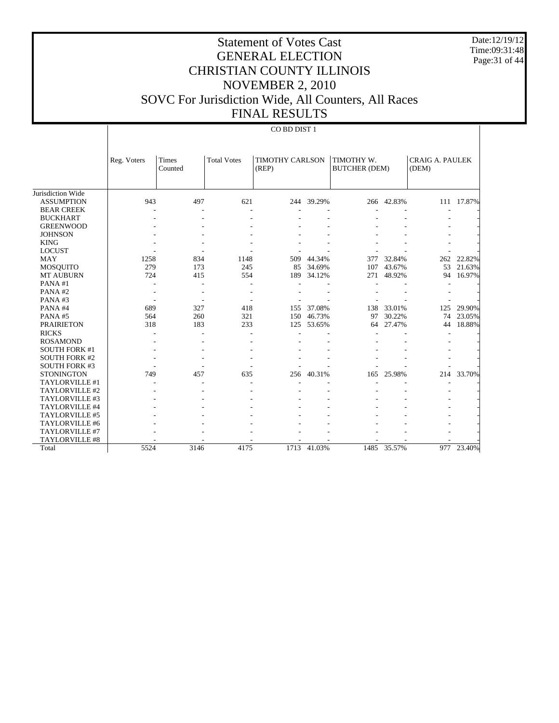Date:12/19/12 Time:09:31:48 Page:31 of 44

# Statement of Votes Cast GENERAL ELECTION CHRISTIAN COUNTY ILLINOIS NOVEMBER 2, 2010 SOVC For Jurisdiction Wide, All Counters, All Races FINAL RESULTS

#### CO BD DIST 1

|                       | Reg. Voters | <b>Times</b><br>Counted | <b>Total Votes</b>       | <b>TIMOTHY CARLSON</b><br>(REP) |            | TIMOTHY W.<br><b>BUTCHER (DEM)</b> |        | <b>CRAIG A. PAULEK</b><br>(DEM) |        |
|-----------------------|-------------|-------------------------|--------------------------|---------------------------------|------------|------------------------------------|--------|---------------------------------|--------|
|                       |             |                         |                          |                                 |            |                                    |        |                                 |        |
| Jurisdiction Wide     |             |                         |                          |                                 |            |                                    |        |                                 |        |
| <b>ASSUMPTION</b>     | 943         | 497                     | 621                      |                                 | 244 39.29% | 266                                | 42.83% | 111                             | 17.87% |
| <b>BEAR CREEK</b>     |             | ٠                       | $\overline{\phantom{a}}$ |                                 |            |                                    |        |                                 |        |
| <b>BUCKHART</b>       |             |                         |                          |                                 |            |                                    |        |                                 |        |
| <b>GREENWOOD</b>      |             |                         |                          |                                 |            |                                    |        |                                 |        |
| <b>JOHNSON</b>        |             |                         |                          |                                 |            |                                    |        |                                 |        |
| <b>KING</b>           |             |                         |                          |                                 |            |                                    |        |                                 |        |
| <b>LOCUST</b>         |             |                         |                          |                                 |            |                                    |        |                                 |        |
| <b>MAY</b>            | 1258        | 834                     | 1148                     | 509                             | 44.34%     | 377                                | 32.84% | 262                             | 22.82% |
| MOSQUITO              | 279         | 173                     | 245                      | 85                              | 34.69%     | 107                                | 43.67% | 53                              | 21.63% |
| <b>MT AUBURN</b>      | 724         | 415                     | 554                      | 189                             | 34.12%     | 271                                | 48.92% | 94                              | 16.97% |
| PANA#1                |             |                         |                          |                                 |            |                                    |        |                                 |        |
| PANA#2                |             |                         |                          |                                 |            |                                    |        |                                 |        |
| PANA#3                |             |                         |                          |                                 |            |                                    |        |                                 |        |
| PANA#4                | 689         | 327                     | 418                      | 155                             | 37.08%     | 138                                | 33.01% | 125                             | 29.90% |
| PANA#5                | 564         | 260                     | 321                      | 150                             | 46.73%     | 97                                 | 30.22% | 74                              | 23.05% |
| <b>PRAIRIETON</b>     | 318         | 183                     | 233                      | 125                             | 53.65%     | 64                                 | 27.47% | 44                              | 18.88% |
| <b>RICKS</b>          |             |                         |                          |                                 |            |                                    |        |                                 |        |
| <b>ROSAMOND</b>       |             |                         |                          |                                 |            |                                    |        |                                 |        |
| <b>SOUTH FORK #1</b>  |             |                         |                          |                                 |            |                                    |        |                                 |        |
| <b>SOUTH FORK #2</b>  |             |                         |                          |                                 |            |                                    |        |                                 |        |
| <b>SOUTH FORK #3</b>  |             |                         |                          |                                 |            |                                    |        |                                 |        |
| <b>STONINGTON</b>     | 749         | 457                     | 635                      | 256                             | 40.31%     | 165                                | 25.98% | 214                             | 33.70% |
| TAYLORVILLE #1        |             |                         |                          |                                 |            |                                    |        |                                 |        |
| TAYLORVILLE #2        |             |                         |                          |                                 |            |                                    |        |                                 |        |
| TAYLORVILLE #3        |             |                         |                          |                                 |            |                                    |        |                                 |        |
| TAYLORVILLE #4        |             |                         |                          |                                 |            |                                    |        |                                 |        |
| TAYLORVILLE #5        |             |                         |                          |                                 |            |                                    |        |                                 |        |
| TAYLORVILLE #6        |             |                         |                          |                                 |            |                                    |        |                                 |        |
| TAYLORVILLE #7        |             |                         |                          |                                 |            |                                    |        |                                 |        |
| <b>TAYLORVILLE #8</b> |             |                         |                          |                                 |            |                                    |        |                                 |        |
| Total                 | 5524        | 3146                    | 4175                     | 1713                            | 41.03%     | 1485                               | 35.57% | 977                             | 23.40% |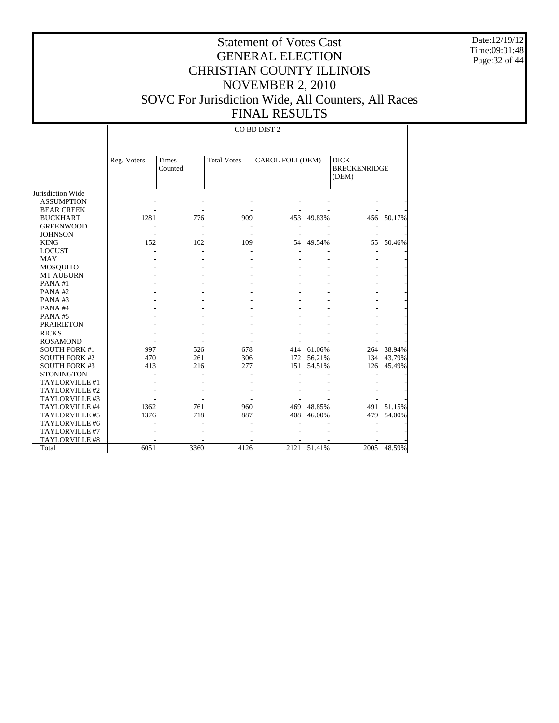Date:12/19/12 Time:09:31:48 Page:32 of 44

# Statement of Votes Cast GENERAL ELECTION CHRISTIAN COUNTY ILLINOIS NOVEMBER 2, 2010 SOVC For Jurisdiction Wide, All Counters, All Races FINAL RESULTS

CO BD DIST 2

|                      | Reg. Voters | Times<br>Counted | <b>Total Votes</b> | CAROL FOLI (DEM) |        | <b>DICK</b><br><b>BRECKENRIDGE</b><br>(DEM) |        |
|----------------------|-------------|------------------|--------------------|------------------|--------|---------------------------------------------|--------|
| Jurisdiction Wide    |             |                  |                    |                  |        |                                             |        |
| <b>ASSUMPTION</b>    |             |                  |                    |                  |        |                                             |        |
| <b>BEAR CREEK</b>    |             |                  |                    |                  |        |                                             |        |
| <b>BUCKHART</b>      | 1281        | 776              | 909                | 453              | 49.83% | 456                                         | 50.17% |
| <b>GREENWOOD</b>     |             |                  |                    |                  |        |                                             |        |
| <b>JOHNSON</b>       |             |                  |                    |                  |        |                                             |        |
| <b>KING</b>          | 152         | 102              | 109                | 54               | 49.54% | 55                                          | 50.46% |
| <b>LOCUST</b>        |             |                  |                    |                  |        |                                             |        |
| <b>MAY</b>           |             |                  |                    |                  |        |                                             |        |
| MOSQUITO             |             |                  |                    |                  |        |                                             |        |
| <b>MT AUBURN</b>     |             |                  |                    |                  |        |                                             |        |
| PANA#1               |             |                  |                    |                  |        |                                             |        |
| PANA#2               |             |                  |                    |                  |        |                                             |        |
| PANA#3               |             |                  |                    |                  |        |                                             |        |
| PANA#4               |             |                  |                    |                  |        |                                             |        |
| PANA#5               |             |                  |                    |                  |        |                                             |        |
| <b>PRAIRIETON</b>    |             |                  |                    |                  |        |                                             |        |
| <b>RICKS</b>         |             |                  |                    |                  |        |                                             |        |
| <b>ROSAMOND</b>      |             |                  |                    |                  |        |                                             |        |
| <b>SOUTH FORK #1</b> | 997         | 526              | 678                | 414              | 61.06% | 264                                         | 38.94% |
| <b>SOUTH FORK #2</b> | 470         | 261              | 306                | 172              | 56.21% | 134                                         | 43.79% |
| <b>SOUTH FORK #3</b> | 413         | 216              | 277                | 151              | 54.51% | 126                                         | 45.49% |
| <b>STONINGTON</b>    |             |                  |                    |                  |        |                                             |        |
| TAYLORVILLE #1       |             |                  |                    |                  |        |                                             |        |
| TAYLORVILLE #2       |             |                  |                    |                  |        |                                             |        |
| TAYLORVILLE #3       |             |                  |                    |                  |        |                                             |        |
| TAYLORVILLE #4       | 1362        | 761              | 960                | 469              | 48.85% | 491                                         | 51.15% |
| TAYLORVILLE #5       | 1376        | 718              | 887                | 408              | 46.00% | 479                                         | 54.00% |
| TAYLORVILLE #6       |             |                  |                    |                  |        |                                             |        |
| TAYLORVILLE #7       |             |                  |                    |                  |        |                                             |        |
| TAYLORVILLE #8       |             |                  |                    |                  |        |                                             |        |
| Total                | 6051        | 3360             | 4126               | 2121             | 51.41% | 2005                                        | 48.59% |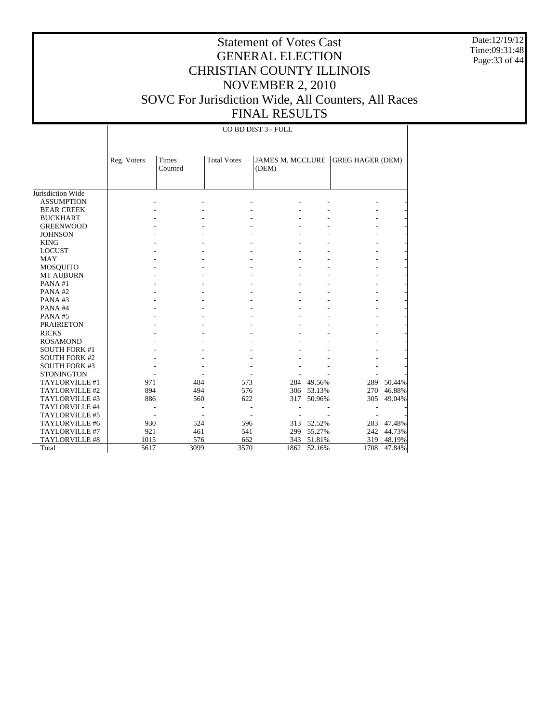Date:12/19/12 Time:09:31:48 Page:33 of 44

# Statement of Votes Cast GENERAL ELECTION CHRISTIAN COUNTY ILLINOIS NOVEMBER 2, 2010 SOVC For Jurisdiction Wide, All Counters, All Races FINAL RESULTS

CO BD DIST 3 - FULL

|                       | Reg. Voters | <b>Times</b><br>Counted | <b>Total Votes</b> | <b>JAMES M. MCCLURE</b><br>(DEM) |            | <b>GREG HAGER (DEM)</b> |        |
|-----------------------|-------------|-------------------------|--------------------|----------------------------------|------------|-------------------------|--------|
|                       |             |                         |                    |                                  |            |                         |        |
| Jurisdiction Wide     |             |                         |                    |                                  |            |                         |        |
| <b>ASSUMPTION</b>     |             |                         |                    |                                  |            |                         |        |
| <b>BEAR CREEK</b>     |             |                         |                    |                                  |            |                         |        |
| <b>BUCKHART</b>       |             |                         |                    |                                  |            |                         |        |
| <b>GREENWOOD</b>      |             |                         |                    |                                  |            |                         |        |
| <b>JOHNSON</b>        |             |                         |                    |                                  |            |                         |        |
| <b>KING</b>           |             |                         |                    |                                  |            |                         |        |
| <b>LOCUST</b>         |             |                         |                    |                                  |            |                         |        |
| <b>MAY</b>            |             |                         |                    |                                  |            |                         |        |
| <b>MOSQUITO</b>       |             |                         |                    |                                  |            |                         |        |
| <b>MT AUBURN</b>      |             |                         |                    |                                  |            |                         |        |
| PANA#1                |             |                         |                    |                                  |            |                         |        |
| PANA#2                |             |                         |                    |                                  |            |                         |        |
| PANA#3                |             |                         |                    |                                  |            |                         |        |
| PANA#4                |             |                         |                    |                                  |            |                         |        |
| PANA#5                |             |                         |                    |                                  |            |                         |        |
| <b>PRAIRIETON</b>     |             |                         |                    |                                  |            |                         |        |
| <b>RICKS</b>          |             |                         |                    |                                  |            |                         |        |
| <b>ROSAMOND</b>       |             |                         |                    |                                  |            |                         |        |
| <b>SOUTH FORK #1</b>  |             |                         |                    |                                  |            |                         |        |
| <b>SOUTH FORK #2</b>  |             |                         |                    |                                  |            |                         |        |
| <b>SOUTH FORK #3</b>  |             |                         |                    |                                  |            |                         |        |
| <b>STONINGTON</b>     |             |                         |                    |                                  |            |                         |        |
| TAYLORVILLE #1        | 971         | 484                     | 573                |                                  | 284 49.56% | 289                     | 50.44% |
| TAYLORVILLE #2        | 894         | 494                     | 576                | 306                              | 53.13%     | 270                     | 46.88% |
| TAYLORVILLE #3        | 886         | 560                     | 622                | 317                              | 50.96%     | 305                     | 49.04% |
| TAYLORVILLE #4        |             |                         |                    |                                  |            |                         |        |
| TAYLORVILLE #5        |             |                         |                    |                                  |            |                         |        |
| TAYLORVILLE #6        | 930         | 524                     | 596                | 313                              | 52.52%     | 283                     | 47.48% |
| <b>TAYLORVILLE #7</b> | 921         | 461                     | 541                | 299                              | 55.27%     | 242                     | 44.73% |
| <b>TAYLORVILLE #8</b> | 1015        | 576                     | 662                | 343                              | 51.81%     | 319                     | 48.19% |
| Total                 | 5617        | 3099                    | 3570               | 1862                             | 52.16%     | 1708                    | 47.84% |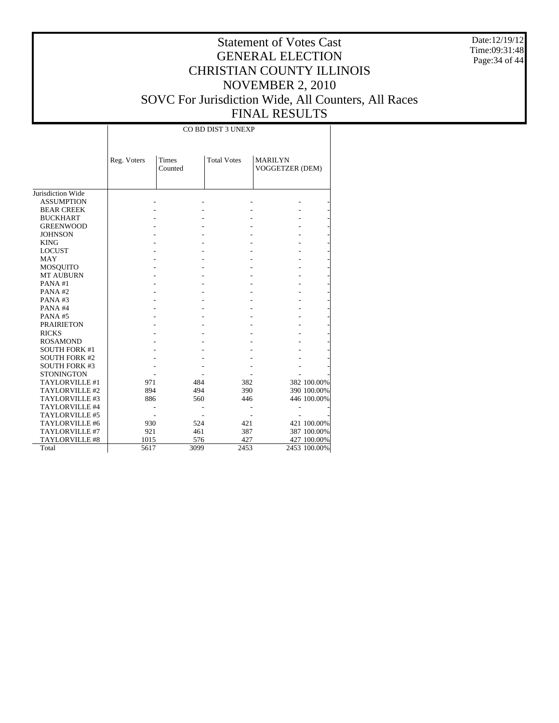Date:12/19/12 Time:09:31:48 Page:34 of 44

|                      |             |                  | CO BD DIST 3 UNEXP |                                   |              |
|----------------------|-------------|------------------|--------------------|-----------------------------------|--------------|
|                      | Reg. Voters | Times<br>Counted | <b>Total Votes</b> | <b>MARILYN</b><br>VOGGETZER (DEM) |              |
| Jurisdiction Wide    |             |                  |                    |                                   |              |
| <b>ASSUMPTION</b>    |             |                  |                    |                                   |              |
| <b>BEAR CREEK</b>    |             |                  |                    |                                   |              |
| <b>BUCKHART</b>      |             |                  |                    |                                   |              |
| <b>GREENWOOD</b>     |             |                  |                    |                                   |              |
| <b>JOHNSON</b>       |             |                  |                    |                                   |              |
| <b>KING</b>          |             |                  |                    |                                   |              |
| <b>LOCUST</b>        |             |                  |                    |                                   |              |
| <b>MAY</b>           |             |                  |                    |                                   |              |
| <b>MOSQUITO</b>      |             |                  |                    |                                   |              |
| <b>MT AUBURN</b>     |             |                  |                    |                                   |              |
| PANA#1               |             |                  |                    |                                   |              |
| PANA#2               |             |                  |                    |                                   |              |
| PANA#3               |             |                  |                    |                                   |              |
| PANA#4               |             |                  |                    |                                   |              |
| PANA#5               |             |                  |                    |                                   |              |
| <b>PRAIRIETON</b>    |             |                  |                    |                                   |              |
| <b>RICKS</b>         |             |                  |                    |                                   |              |
| <b>ROSAMOND</b>      |             |                  |                    |                                   |              |
| <b>SOUTH FORK #1</b> |             |                  |                    |                                   |              |
| <b>SOUTH FORK #2</b> |             |                  |                    |                                   |              |
| <b>SOUTH FORK #3</b> |             |                  |                    |                                   |              |
| <b>STONINGTON</b>    |             |                  |                    |                                   |              |
| TAYLORVILLE #1       | 971         | 484              | 382                |                                   | 382 100.00%  |
| TAYLORVILLE #2       | 894         | 494              | 390                |                                   | 390 100.00%  |
| TAYLORVILLE #3       | 886         | 560              | 446                |                                   | 446 100.00%  |
| TAYLORVILLE #4       |             |                  |                    |                                   |              |
| TAYLORVILLE #5       |             |                  |                    |                                   |              |
| TAYLORVILLE #6       | 930         | 524              | 421                |                                   | 421 100.00%  |
| TAYLORVILLE #7       | 921         | 461              | 387                |                                   | 387 100.00%  |
| TAYLORVILLE #8       | 1015        | 576              | 427                |                                   | 427 100.00%  |
| Total                | 5617        | 3099             | 2453               |                                   | 2453 100.00% |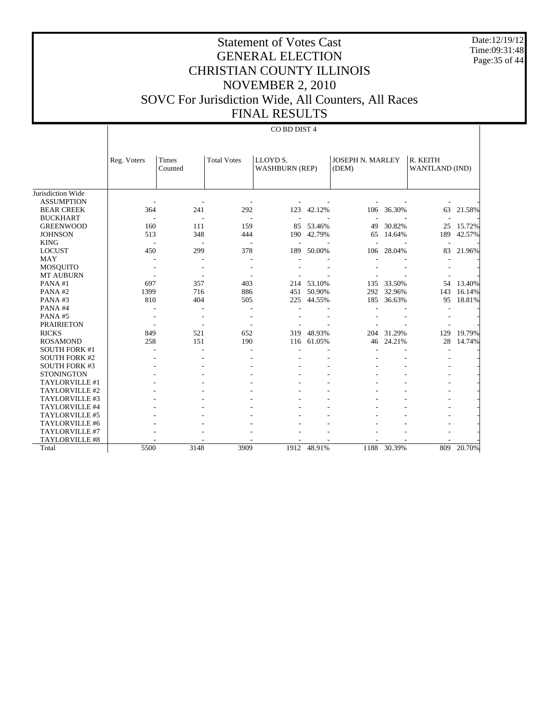Date:12/19/12 Time:09:31:48 Page:35 of 44

# Statement of Votes Cast GENERAL ELECTION CHRISTIAN COUNTY ILLINOIS NOVEMBER 2, 2010 SOVC For Jurisdiction Wide, All Counters, All Races FINAL RESULTS

#### CO BD DIST 4

|                       | Reg. Voters              | <b>Times</b>             | <b>Total Votes</b>       | LLOYD <sub>S</sub> .     |        | <b>JOSEPH N. MARLEY</b> |        | R. KEITH                 |        |
|-----------------------|--------------------------|--------------------------|--------------------------|--------------------------|--------|-------------------------|--------|--------------------------|--------|
|                       |                          | Counted                  |                          | <b>WASHBURN (REP)</b>    |        | (DEM)                   |        | WANTLAND (IND)           |        |
|                       |                          |                          |                          |                          |        |                         |        |                          |        |
| Jurisdiction Wide     |                          |                          |                          |                          |        |                         |        |                          |        |
| <b>ASSUMPTION</b>     |                          |                          |                          |                          |        |                         |        |                          |        |
| <b>BEAR CREEK</b>     | 364                      | 241                      | 292                      | 123                      | 42.12% | 106                     | 36.30% | 63                       | 21.58% |
| <b>BUCKHART</b>       | $\overline{\phantom{a}}$ | $\overline{\phantom{a}}$ | $\overline{\phantom{a}}$ | $\overline{\phantom{a}}$ |        |                         |        | $\overline{\phantom{a}}$ |        |
| <b>GREENWOOD</b>      | 160                      | 111                      | 159                      | 85                       | 53.46% | 49                      | 30.82% | 25                       | 15.72% |
| <b>JOHNSON</b>        | 513                      | 348                      | 444                      | 190                      | 42.79% | 65                      | 14.64% | 189                      | 42.57% |
| <b>KING</b>           | $\overline{\phantom{a}}$ | $\overline{\phantom{a}}$ | $\overline{\phantom{a}}$ |                          |        |                         |        |                          |        |
| <b>LOCUST</b>         | 450                      | 299                      | 378                      | 189                      | 50.00% | 106                     | 28.04% | 83                       | 21.96% |
| <b>MAY</b>            |                          |                          |                          |                          |        |                         |        |                          |        |
| <b>MOSQUITO</b>       |                          |                          |                          |                          |        |                         |        |                          |        |
| <b>MT AUBURN</b>      |                          |                          |                          |                          |        |                         |        |                          |        |
| PANA#1                | 697                      | 357                      | 403                      | 214                      | 53.10% | 135                     | 33.50% | 54                       | 13.40% |
| PANA#2                | 1399                     | 716                      | 886                      | 451                      | 50.90% | 292                     | 32.96% | 143                      | 16.14% |
| PANA#3                | 810                      | 404                      | 505                      | 225                      | 44.55% | 185                     | 36.63% | 95                       | 18.81% |
| PANA#4                |                          |                          | ٠                        |                          |        |                         |        |                          |        |
| PANA#5                |                          | $\overline{a}$           | $\overline{\phantom{a}}$ |                          |        |                         |        |                          |        |
| <b>PRAIRIETON</b>     |                          |                          |                          |                          |        |                         |        |                          |        |
| <b>RICKS</b>          | 849                      | 521                      | 652                      | 319                      | 48.93% | 204                     | 31.29% | 129                      | 19.79% |
| <b>ROSAMOND</b>       | 258                      | 151                      | 190                      | 116                      | 61.05% | 46                      | 24.21% | 28                       | 14.74% |
| <b>SOUTH FORK #1</b>  |                          |                          |                          |                          |        |                         |        |                          |        |
| <b>SOUTH FORK #2</b>  |                          |                          |                          |                          |        |                         |        |                          |        |
| <b>SOUTH FORK #3</b>  |                          |                          |                          |                          |        |                         |        |                          |        |
| <b>STONINGTON</b>     |                          |                          |                          |                          |        |                         |        |                          |        |
| TAYLORVILLE #1        |                          |                          |                          |                          |        |                         |        |                          |        |
| TAYLORVILLE #2        |                          |                          |                          |                          |        |                         |        |                          |        |
| TAYLORVILLE #3        |                          |                          |                          |                          |        |                         |        |                          |        |
| TAYLORVILLE #4        |                          |                          |                          |                          |        |                         |        |                          |        |
| TAYLORVILLE #5        |                          |                          |                          |                          |        |                         |        |                          |        |
| TAYLORVILLE #6        |                          |                          |                          |                          |        |                         |        |                          |        |
| TAYLORVILLE #7        |                          |                          |                          |                          |        |                         |        |                          |        |
| <b>TAYLORVILLE #8</b> |                          |                          |                          |                          |        |                         |        |                          |        |
| Total                 | 5500                     | 3148                     | 3909                     | 1912                     | 48.91% | 1188                    | 30.39% | 809                      | 20.70% |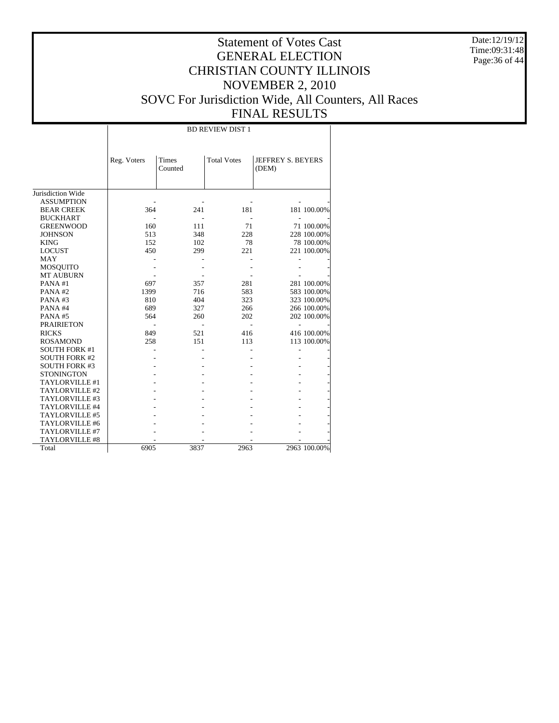Date:12/19/12 Time:09:31:48 Page:36 of 44

## Statement of Votes Cast GENERAL ELECTION CHRISTIAN COUNTY ILLINOIS NOVEMBER 2, 2010 SOVC For Jurisdiction Wide, All Counters, All Races FINAL RESULTS

Jurisdiction Wide ASSUMPTION BEAR CREEK BUCKHART GREENWOOD JOHNSON KING LOCUST MAY MOSQUITO MT AUBURN PANA #1 PANA #2 PANA #3 PANA #4 PANA #5 PRAIRIETON RICKS ROSAMOND SOUTH FORK #1 SOUTH FORK #2 SOUTH FORK #3 **STONINGTON**  TAYLORVILLE #1 TAYLORVILLE #2 TAYLORVILLE #3 TAYLORVILLE #4 TAYLORVILLE #5 TAYLORVILLE #6 TAYLORVILLE #7 TAYLORVILLE #8 Total Reg. Voters Times Counted Total Votes | JEFFREY S. BEYERS (DEM) BD REVIEW DIST 1 - - - - - 364 241 181 181 100.00% - - - - - 160 111 71 71 100.00%<br>513 348 228 228 100.00% 228 228 100.00%<br>78 78 100.00% 152 102 78 78 100.00%<br>450 299 221 221 100.00% 221 100.00% - - - - - - - - - - - - - - - 097 357 281 281 100.00%<br>1399 716 583 583 100.00% 016 583 583 100.00%<br>404 323 323 100.00% 810 404 323 323 100.00%<br>689 327 266 266 100.00% 689 327 266 266 100.00% 564 260 202 202 100.00% - - - - - 849 521 416 416 100.00%<br>258 151 113 113 100.00% 151 113 113 100.00% - - - - - - - - - - - - - - - - - - - - - - - - - - - - - - - - - - - - - - - - - - - - - - - - - - - - - - - - - - - - 6905 3837 2963 2963 100.00%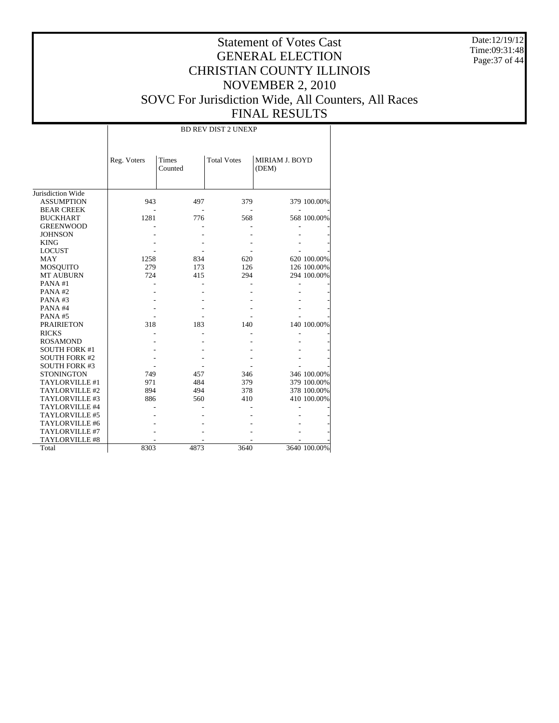Date:12/19/12 Time:09:31:48 Page:37 of 44

|                       |             |                  | <b>BD REV DIST 2 UNEXP</b> |                         |              |
|-----------------------|-------------|------------------|----------------------------|-------------------------|--------------|
|                       | Reg. Voters | Times<br>Counted | <b>Total Votes</b>         | MIRIAM J. BOYD<br>(DEM) |              |
| Jurisdiction Wide     |             |                  |                            |                         |              |
| <b>ASSUMPTION</b>     | 943         | 497              | 379                        |                         | 379 100.00%  |
| <b>BEAR CREEK</b>     |             |                  |                            |                         |              |
| <b>BUCKHART</b>       | 1281        | 776              | 568                        |                         | 568 100.00%  |
| <b>GREENWOOD</b>      |             |                  |                            |                         |              |
| <b>JOHNSON</b>        |             |                  |                            |                         |              |
| <b>KING</b>           |             |                  |                            |                         |              |
| <b>LOCUST</b>         |             |                  |                            |                         |              |
| MAY                   | 1258        | 834              | 620                        |                         | 620 100.00%  |
| <b>MOSQUITO</b>       | 279         | 173              | 126                        |                         | 126 100.00%  |
| <b>MT AUBURN</b>      | 724         | 415              | 294                        |                         | 294 100.00%  |
| PANA#1                |             |                  |                            |                         |              |
| PANA#2                |             |                  |                            |                         |              |
| PANA#3                |             |                  |                            |                         |              |
| PANA#4                |             |                  |                            |                         |              |
| PANA#5                |             |                  |                            |                         |              |
| <b>PRAIRIETON</b>     | 318         | 183              | 140                        |                         | 140 100.00%  |
| <b>RICKS</b>          |             |                  |                            |                         |              |
| <b>ROSAMOND</b>       |             |                  |                            |                         |              |
| <b>SOUTH FORK #1</b>  |             |                  |                            |                         |              |
| <b>SOUTH FORK #2</b>  |             |                  |                            |                         |              |
| <b>SOUTH FORK #3</b>  |             |                  |                            |                         |              |
| <b>STONINGTON</b>     | 749         | 457              | 346                        |                         | 346 100.00%  |
| TAYLORVILLE #1        | 971         | 484              | 379                        |                         | 379 100.00%  |
| TAYLORVILLE #2        | 894         | 494              | 378                        |                         | 378 100.00%  |
| TAYLORVILLE #3        | 886         | 560              | 410                        |                         | 410 100.00%  |
| TAYLORVILLE #4        |             |                  |                            |                         |              |
| TAYLORVILLE #5        |             |                  |                            |                         |              |
| TAYLORVILLE #6        |             |                  |                            |                         |              |
| TAYLORVILLE #7        |             |                  |                            |                         |              |
| <b>TAYLORVILLE #8</b> |             |                  |                            |                         |              |
| Total                 | 8303        | 4873             | 3640                       |                         | 3640 100.00% |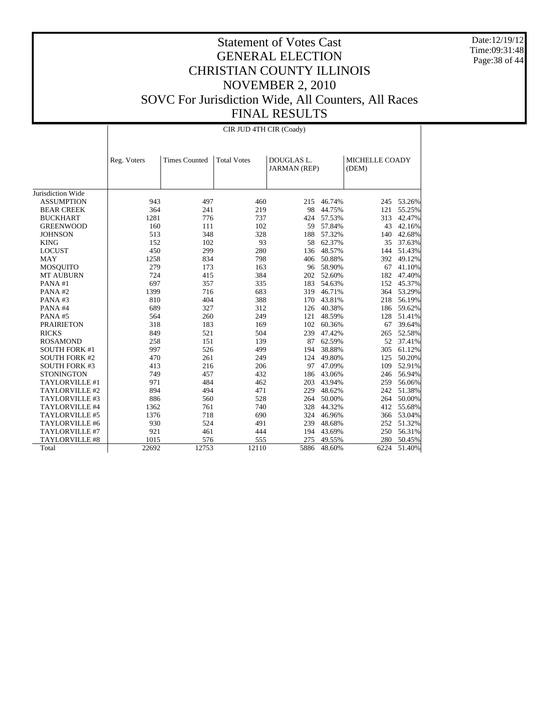Date:12/19/12 Time:09:31:48 Page:38 of 44

|                       |             |                      | CIR JUD 4TH CIR (Coady) |                                   |            |                         |            |
|-----------------------|-------------|----------------------|-------------------------|-----------------------------------|------------|-------------------------|------------|
|                       | Reg. Voters | <b>Times Counted</b> | <b>Total Votes</b>      | DOUGLAS L.<br><b>JARMAN</b> (REP) |            | MICHELLE COADY<br>(DEM) |            |
| Jurisdiction Wide     |             |                      |                         |                                   |            |                         |            |
| <b>ASSUMPTION</b>     | 943         | 497                  | 460                     | 215                               | 46.74%     |                         | 245 53.26% |
| <b>BEAR CREEK</b>     | 364         | 241                  | 219                     | 98                                | 44.75%     | 121                     | 55.25%     |
| <b>BUCKHART</b>       | 1281        | 776                  | 737                     | 424                               | 57.53%     | 313                     | 42.47%     |
| <b>GREENWOOD</b>      | 160         | 111                  | 102                     | 59                                | 57.84%     | 43                      | 42.16%     |
| <b>JOHNSON</b>        | 513         | 348                  | 328                     | 188                               | 57.32%     | 140                     | 42.68%     |
| <b>KING</b>           | 152         | 102                  | 93                      |                                   | 58 62.37%  | 35                      | 37.63%     |
| <b>LOCUST</b>         | 450         | 299                  | 280                     |                                   | 136 48.57% | 144                     | 51.43%     |
| MAY                   | 1258        | 834                  | 798                     |                                   | 406 50.88% | 392                     | 49.12%     |
| <b>MOSQUITO</b>       | 279         | 173                  | 163                     |                                   | 96 58.90%  | 67                      | 41.10%     |
| <b>MT AUBURN</b>      | 724         | 415                  | 384                     |                                   | 202 52.60% | 182                     | 47.40%     |
| PANA#1                | 697         | 357                  | 335                     | 183                               | 54.63%     | 152                     | 45.37%     |
| PANA#2                | 1399        | 716                  | 683                     |                                   | 319 46.71% | 364                     | 53.29%     |
| PANA#3                | 810         | 404                  | 388                     |                                   | 170 43.81% | 218                     | 56.19%     |
| PANA#4                | 689         | 327                  | 312                     |                                   | 126 40.38% | 186                     | 59.62%     |
| PANA#5                | 564         | 260                  | 249                     |                                   | 121 48.59% | 128                     | 51.41%     |
| <b>PRAIRIETON</b>     | 318         | 183                  | 169                     |                                   | 102 60.36% | 67                      | 39.64%     |
| <b>RICKS</b>          | 849         | 521                  | 504                     |                                   | 239 47.42% | 265                     | 52.58%     |
| <b>ROSAMOND</b>       | 258         | 151                  | 139                     | 87                                | 62.59%     | 52                      | 37.41%     |
| <b>SOUTH FORK #1</b>  | 997         | 526                  | 499                     | 194                               | 38.88%     | 305                     | 61.12%     |
| <b>SOUTH FORK #2</b>  | 470         | 261                  | 249                     | 124                               | 49.80%     | 125                     | 50.20%     |
| <b>SOUTH FORK #3</b>  | 413         | 216                  | 206                     | 97                                | 47.09%     | 109                     | 52.91%     |
| <b>STONINGTON</b>     | 749         | 457                  | 432                     |                                   | 186 43.06% | 246                     | 56.94%     |
| TAYLORVILLE #1        | 971         | 484                  | 462                     | 203                               | 43.94%     |                         | 259 56.06% |
| TAYLORVILLE #2        | 894         | 494                  | 471                     |                                   | 229 48.62% | 242                     | 51.38%     |
| TAYLORVILLE #3        | 886         | 560                  | 528                     | 264                               | 50.00%     | 264                     | 50.00%     |
| TAYLORVILLE #4        | 1362        | 761                  | 740                     | 328                               | 44.32%     | 412                     | 55.68%     |
| TAYLORVILLE #5        | 1376        | 718                  | 690                     | 324                               | 46.96%     | 366                     | 53.04%     |
| TAYLORVILLE #6        | 930         | 524                  | 491                     | 239                               | 48.68%     | 252                     | 51.32%     |
| TAYLORVILLE #7        | 921         | 461                  | 444                     | 194                               | 43.69%     | 250                     | 56.31%     |
| <b>TAYLORVILLE #8</b> | 1015        | 576                  | 555                     | 275                               | 49.55%     | 280                     | 50.45%     |
| Total                 | 22692       | 12753                | 12110                   | 5886                              | 48.60%     | 6224                    | 51.40%     |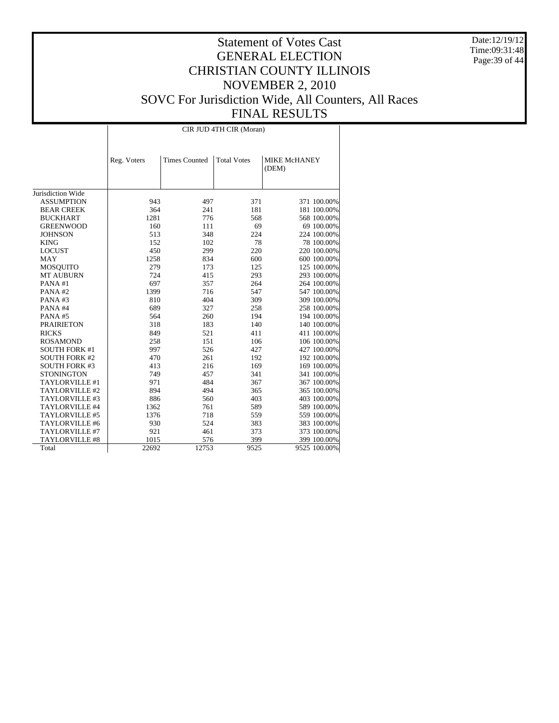Date:12/19/12 Time:09:31:48 Page:39 of 44

|                             |             |                      | CIR JUD 4TH CIR (Moran) |                              |
|-----------------------------|-------------|----------------------|-------------------------|------------------------------|
|                             | Reg. Voters | <b>Times Counted</b> | <b>Total Votes</b>      | <b>MIKE McHANEY</b><br>(DEM) |
| Jurisdiction Wide           |             |                      |                         |                              |
| <b>ASSUMPTION</b>           | 943         | 497                  | 371                     | 371 100.00%                  |
| <b>BEAR CREEK</b>           | 364         | 241                  | 181                     | 181 100.00%                  |
| <b>BUCKHART</b>             | 1281        | 776                  | 568                     | 568 100.00%                  |
| <b>GREENWOOD</b>            | 160         | 111                  | 69                      | 69 100.00%                   |
| <b>JOHNSON</b>              | 513         | 348                  | 224                     |                              |
|                             | 152         | 102                  | 78                      | 224 100.00%                  |
| <b>KING</b>                 | 450         | 299                  | 220                     | 78 100.00%<br>220 100.00%    |
| <b>LOCUST</b><br><b>MAY</b> | 1258        | 834                  |                         |                              |
|                             | 279         | 173                  | 600<br>125              | 600 100.00%                  |
| <b>MOSQUITO</b>             | 724         |                      | 293                     | 125 100.00%                  |
| <b>MT AUBURN</b><br>PANA#1  | 697         | 415<br>357           | 264                     | 293 100.00%                  |
|                             | 1399        |                      |                         | 264 100.00%                  |
| PANA#2                      |             | 716                  | 547                     | 547 100.00%                  |
| PANA#3                      | 810         | 404                  | 309                     | 309 100.00%                  |
| PANA#4                      | 689         | 327                  | 258                     | 258 100.00%                  |
| PANA#5                      | 564         | 260                  | 194                     | 194 100.00%                  |
| <b>PRAIRIETON</b>           | 318         | 183                  | 140                     | 140 100.00%                  |
| <b>RICKS</b>                | 849         | 521                  | 411                     | 411 100.00%                  |
| <b>ROSAMOND</b>             | 258         | 151                  | 106                     | 106 100.00%                  |
| <b>SOUTH FORK #1</b>        | 997         | 526                  | 427                     | 427 100.00%                  |
| <b>SOUTH FORK #2</b>        | 470         | 261                  | 192                     | 192 100.00%                  |
| <b>SOUTH FORK #3</b>        | 413         | 216                  | 169                     | 169 100.00%                  |
| <b>STONINGTON</b>           | 749         | 457                  | 341                     | 341 100.00%                  |
| TAYLORVILLE #1              | 971         | 484                  | 367                     | 367 100.00%                  |
| TAYLORVILLE #2              | 894         | 494                  | 365                     | 365 100.00%                  |
| TAYLORVILLE #3              | 886         | 560                  | 403                     | 403 100.00%                  |
| TAYLORVILLE #4              | 1362        | 761                  | 589                     | 589 100.00%                  |
| TAYLORVILLE #5              | 1376        | 718                  | 559                     | 559 100.00%                  |
| TAYLORVILLE #6              | 930         | 524                  | 383                     | 383 100.00%                  |
| TAYLORVILLE #7              | 921         | 461                  | 373                     | 373 100.00%                  |
| <b>TAYLORVILLE #8</b>       | 1015        | 576                  | 399                     | 399 100.00%                  |
| Total                       | 22692       | 12753                | 9525                    | 9525 100.00%                 |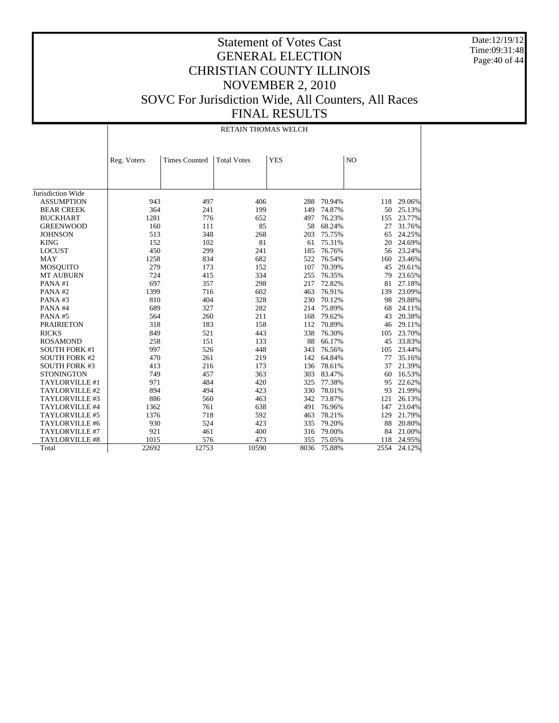Date:12/19/12 Time:09:31:48 Page:40 of 44

|                       |             | <b>RETAIN THOMAS WELCH</b> |                    |            |        |                |        |  |  |
|-----------------------|-------------|----------------------------|--------------------|------------|--------|----------------|--------|--|--|
|                       | Reg. Voters | <b>Times Counted</b>       | <b>Total Votes</b> | <b>YES</b> |        | N <sub>O</sub> |        |  |  |
|                       |             |                            |                    |            |        |                |        |  |  |
| Jurisdiction Wide     |             |                            |                    |            |        |                |        |  |  |
| <b>ASSUMPTION</b>     | 943         | 497                        | 406                | 288        | 70.94% | 118            | 29.06% |  |  |
| <b>BEAR CREEK</b>     | 364         | 241                        | 199                | 149        | 74.87% | 50             | 25.13% |  |  |
| <b>BUCKHART</b>       | 1281        | 776                        | 652                | 497        | 76.23% | 155            | 23.77% |  |  |
| <b>GREENWOOD</b>      | 160         | 111                        | 85                 | 58         | 68.24% | 27             | 31.76% |  |  |
| <b>JOHNSON</b>        | 513         | 348                        | 268                | 203        | 75.75% | 65             | 24.25% |  |  |
| <b>KING</b>           | 152         | 102                        | 81                 | 61         | 75.31% | 20             | 24.69% |  |  |
| <b>LOCUST</b>         | 450         | 299                        | 241                | 185        | 76.76% | 56             | 23.24% |  |  |
| MAY                   | 1258        | 834                        | 682                | 522        | 76.54% | 160            | 23.46% |  |  |
| <b>MOSQUITO</b>       | 279         | 173                        | 152                | 107        | 70.39% | 45             | 29.61% |  |  |
| <b>MT AUBURN</b>      | 724         | 415                        | 334                | 255        | 76.35% | 79             | 23.65% |  |  |
| PANA#1                | 697         | 357                        | 298                | 217        | 72.82% | 81             | 27.18% |  |  |
| PANA#2                | 1399        | 716                        | 602                | 463        | 76.91% | 139            | 23.09% |  |  |
| PANA#3                | 810         | 404                        | 328                | 230        | 70.12% | 98             | 29.88% |  |  |
| PANA#4                | 689         | 327                        | 282                | 214        | 75.89% | 68             | 24.11% |  |  |
| PANA#5                | 564         | 260                        | 211                | 168        | 79.62% | 43             | 20.38% |  |  |
| <b>PRAIRIETON</b>     | 318         | 183                        | 158                | 112        | 70.89% | 46             | 29.11% |  |  |
| <b>RICKS</b>          | 849         | 521                        | 443                | 338        | 76.30% | 105            | 23.70% |  |  |
| <b>ROSAMOND</b>       | 258         | 151                        | 133                | 88         | 66.17% | 45             | 33.83% |  |  |
| <b>SOUTH FORK #1</b>  | 997         | 526                        | 448                | 343        | 76.56% | 105            | 23.44% |  |  |
| <b>SOUTH FORK #2</b>  | 470         | 261                        | 219                | 142        | 64.84% | 77             | 35.16% |  |  |
| <b>SOUTH FORK #3</b>  | 413         | 216                        | 173                | 136        | 78.61% | 37             | 21.39% |  |  |
| <b>STONINGTON</b>     | 749         | 457                        | 363                | 303        | 83.47% | 60             | 16.53% |  |  |
| <b>TAYLORVILLE #1</b> | 971         | 484                        | 420                | 325        | 77.38% | 95             | 22.62% |  |  |
| TAYLORVILLE #2        | 894         | 494                        | 423                | 330        | 78.01% | 93             | 21.99% |  |  |
| TAYLORVILLE #3        | 886         | 560                        | 463                | 342        | 73.87% | 121            | 26.13% |  |  |
| TAYLORVILLE #4        | 1362        | 761                        | 638                | 491        | 76.96% | 147            | 23.04% |  |  |
| TAYLORVILLE #5        | 1376        | 718                        | 592                | 463        | 78.21% | 129            | 21.79% |  |  |
| TAYLORVILLE #6        | 930         | 524                        | 423                | 335        | 79.20% | 88             | 20.80% |  |  |
| TAYLORVILLE #7        | 921         | 461                        | 400                | 316        | 79.00% | 84             | 21.00% |  |  |
| <b>TAYLORVILLE #8</b> | 1015        | 576                        | 473                | 355        | 75.05% | 118            | 24.95% |  |  |
| Total                 | 22692       | 12753                      | 10590              | 8036       | 75.88% | 2554           | 24.12% |  |  |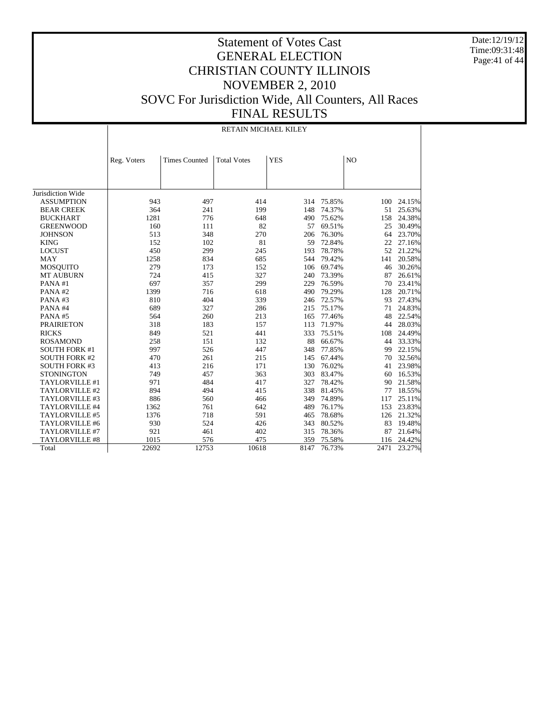Date:12/19/12 Time:09:31:48 Page:41 of 44

|                       |             |                      | RETAIN MICHAEL KILEY |            |            |                |        |
|-----------------------|-------------|----------------------|----------------------|------------|------------|----------------|--------|
|                       | Reg. Voters | <b>Times Counted</b> | <b>Total Votes</b>   | <b>YES</b> |            | N <sub>O</sub> |        |
|                       |             |                      |                      |            |            |                |        |
|                       |             |                      |                      |            |            |                |        |
| Jurisdiction Wide     |             |                      |                      |            |            |                |        |
| <b>ASSUMPTION</b>     | 943         | 497                  | 414                  |            | 314 75.85% | 100            | 24.15% |
| <b>BEAR CREEK</b>     | 364         | 241                  | 199                  | 148        | 74.37%     | 51             | 25.63% |
| <b>BUCKHART</b>       | 1281        | 776                  | 648                  | 490        | 75.62%     | 158            | 24.38% |
| <b>GREENWOOD</b>      | 160         | 111                  | 82                   | 57         | 69.51%     | 25             | 30.49% |
| <b>JOHNSON</b>        | 513         | 348                  | 270                  | 206        | 76.30%     | 64             | 23.70% |
| <b>KING</b>           | 152         | 102                  | 81                   | 59         | 72.84%     | 22             | 27.16% |
| <b>LOCUST</b>         | 450         | 299                  | 245                  | 193        | 78.78%     | 52             | 21.22% |
| MAY                   | 1258        | 834                  | 685                  |            | 544 79.42% | 141            | 20.58% |
| <b>MOSQUITO</b>       | 279         | 173                  | 152                  |            | 106 69.74% | 46             | 30.26% |
| <b>MT AUBURN</b>      | 724         | 415                  | 327                  | 240        | 73.39%     | 87             | 26.61% |
| PANA#1                | 697         | 357                  | 299                  | 229        | 76.59%     | 70             | 23.41% |
| PANA#2                | 1399        | 716                  | 618                  | 490        | 79.29%     | 128            | 20.71% |
| PANA#3                | 810         | 404                  | 339                  | 246        | 72.57%     | 93             | 27.43% |
| PANA#4                | 689         | 327                  | 286                  | 215        | 75.17%     | 71             | 24.83% |
| PANA#5                | 564         | 260                  | 213                  | 165        | 77.46%     | 48             | 22.54% |
| <b>PRAIRIETON</b>     | 318         | 183                  | 157                  | 113        | 71.97%     | 44             | 28.03% |
| <b>RICKS</b>          | 849         | 521                  | 441                  | 333        | 75.51%     | 108            | 24.49% |
| <b>ROSAMOND</b>       | 258         | 151                  | 132                  | 88         | 66.67%     | 44             | 33.33% |
| <b>SOUTH FORK #1</b>  | 997         | 526                  | 447                  | 348        | 77.85%     | 99             | 22.15% |
| <b>SOUTH FORK #2</b>  | 470         | 261                  | 215                  |            | 145 67.44% | 70             | 32.56% |
| <b>SOUTH FORK #3</b>  | 413         | 216                  | 171                  | 130        | 76.02%     | 41             | 23.98% |
| <b>STONINGTON</b>     | 749         | 457                  | 363                  | 303        | 83.47%     | 60             | 16.53% |
| TAYLORVILLE #1        | 971         | 484                  | 417                  | 327        | 78.42%     | 90             | 21.58% |
| TAYLORVILLE #2        | 894         | 494                  | 415                  | 338        | 81.45%     | 77             | 18.55% |
| TAYLORVILLE #3        | 886         | 560                  | 466                  | 349        | 74.89%     | 117            | 25.11% |
| TAYLORVILLE #4        | 1362        | 761                  | 642                  | 489        | 76.17%     | 153            | 23.83% |
| TAYLORVILLE #5        | 1376        | 718                  | 591                  | 465        | 78.68%     | 126            | 21.32% |
| TAYLORVILLE #6        | 930         | 524                  | 426                  | 343        | 80.52%     | 83             | 19.48% |
| TAYLORVILLE #7        | 921         | 461                  | 402                  | 315        | 78.36%     | 87             | 21.64% |
| <b>TAYLORVILLE #8</b> | 1015        | 576                  | 475                  | 359        | 75.58%     | 116            | 24.42% |
| Total                 | 22692       | 12753                | 10618                | 8147       | 76.73%     | 2471           | 23.27% |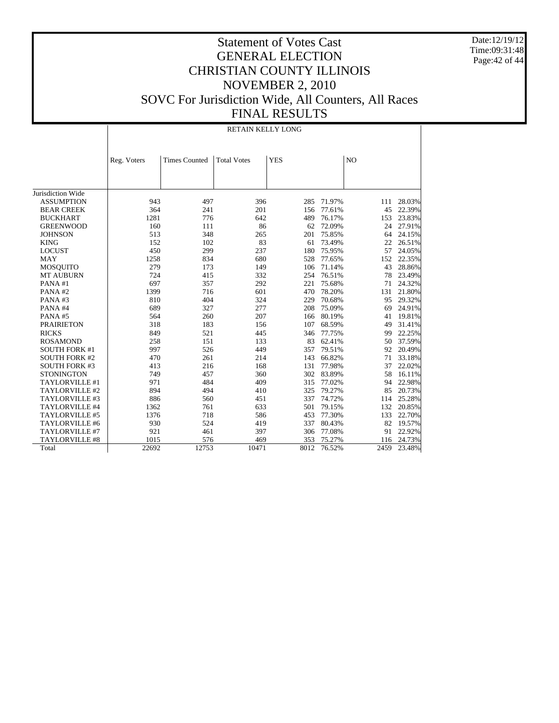Date:12/19/12 Time:09:31:48 Page:42 of 44

|                      |             | RETAIN KELLY LONG    |                    |            |        |      |        |
|----------------------|-------------|----------------------|--------------------|------------|--------|------|--------|
|                      | Reg. Voters | <b>Times Counted</b> | <b>Total Votes</b> | <b>YES</b> |        | NO   |        |
|                      |             |                      |                    |            |        |      |        |
|                      |             |                      |                    |            |        |      |        |
| Jurisdiction Wide    |             |                      |                    |            |        |      |        |
| <b>ASSUMPTION</b>    | 943         | 497                  | 396                | 285        | 71.97% | 111  | 28.03% |
| <b>BEAR CREEK</b>    | 364         | 241                  | 201                | 156        | 77.61% | 45   | 22.39% |
| <b>BUCKHART</b>      | 1281        | 776                  | 642                | 489        | 76.17% | 153  | 23.83% |
| <b>GREENWOOD</b>     | 160         | 111                  | 86                 | 62         | 72.09% | 24   | 27.91% |
| <b>JOHNSON</b>       | 513         | 348                  | 265                | 201        | 75.85% | 64   | 24.15% |
| <b>KING</b>          | 152         | 102                  | 83                 | 61         | 73.49% | 22   | 26.51% |
| <b>LOCUST</b>        | 450         | 299                  | 237                | 180        | 75.95% | 57   | 24.05% |
| <b>MAY</b>           | 1258        | 834                  | 680                | 528        | 77.65% | 152  | 22.35% |
| <b>MOSQUITO</b>      | 279         | 173                  | 149                | 106        | 71.14% | 43   | 28.86% |
| <b>MT AUBURN</b>     | 724         | 415                  | 332                | 254        | 76.51% | 78   | 23.49% |
| PANA#1               | 697         | 357                  | 292                | 221        | 75.68% | 71   | 24.32% |
| PANA#2               | 1399        | 716                  | 601                | 470        | 78.20% | 131  | 21.80% |
| PANA#3               | 810         | 404                  | 324                | 229        | 70.68% | 95   | 29.32% |
| PANA#4               | 689         | 327                  | 277                | 208        | 75.09% | 69   | 24.91% |
| PANA#5               | 564         | 260                  | 207                | 166        | 80.19% | 41   | 19.81% |
| <b>PRAIRIETON</b>    | 318         | 183                  | 156                | 107        | 68.59% | 49   | 31.41% |
| <b>RICKS</b>         | 849         | 521                  | 445                | 346        | 77.75% | 99   | 22.25% |
| <b>ROSAMOND</b>      | 258         | 151                  | 133                | 83         | 62.41% | 50   | 37.59% |
| <b>SOUTH FORK #1</b> | 997         | 526                  | 449                | 357        | 79.51% | 92   | 20.49% |
| <b>SOUTH FORK #2</b> | 470         | 261                  | 214                | 143        | 66.82% | 71   | 33.18% |
| <b>SOUTH FORK #3</b> | 413         | 216                  | 168                | 131        | 77.98% | 37   | 22.02% |
| <b>STONINGTON</b>    | 749         | 457                  | 360                | 302        | 83.89% | 58   | 16.11% |
| TAYLORVILLE #1       | 971         | 484                  | 409                | 315        | 77.02% | 94   | 22.98% |
| TAYLORVILLE #2       | 894         | 494                  | 410                | 325        | 79.27% | 85   | 20.73% |
| TAYLORVILLE #3       | 886         | 560                  | 451                | 337        | 74.72% | 114  | 25.28% |
| TAYLORVILLE #4       | 1362        | 761                  | 633                | 501        | 79.15% | 132  | 20.85% |
| TAYLORVILLE #5       | 1376        | 718                  | 586                | 453        | 77.30% | 133  | 22.70% |
| TAYLORVILLE #6       | 930         | 524                  | 419                | 337        | 80.43% | 82   | 19.57% |
| TAYLORVILLE #7       | 921         | 461                  | 397                | 306        | 77.08% | 91   | 22.92% |
| TAYLORVILLE #8       | 1015        | 576                  | 469                | 353        | 75.27% | 116  | 24.73% |
| Total                | 22692       | 12753                | 10471              | 8012       | 76.52% | 2459 | 23.48% |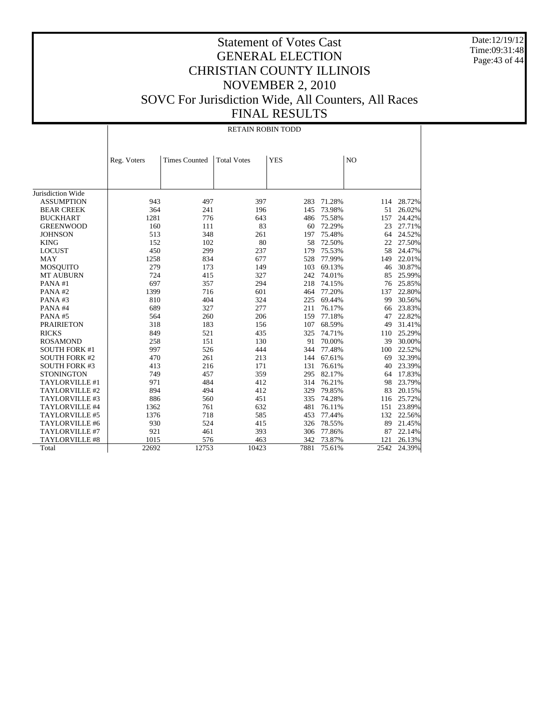Date:12/19/12 Time:09:31:48 Page:43 of 44

# Statement of Votes Cast GENERAL ELECTION CHRISTIAN COUNTY ILLINOIS NOVEMBER 2, 2010 SOVC For Jurisdiction Wide, All Counters, All Races FINAL RESULTS

RETAIN ROBIN TODD

|                      | Reg. Voters | <b>Times Counted</b> | <b>Total Votes</b> | <b>YES</b> |        | N <sub>O</sub> |        |
|----------------------|-------------|----------------------|--------------------|------------|--------|----------------|--------|
|                      |             |                      |                    |            |        |                |        |
|                      |             |                      |                    |            |        |                |        |
|                      |             |                      |                    |            |        |                |        |
| Jurisdiction Wide    |             |                      |                    |            |        |                |        |
| <b>ASSUMPTION</b>    | 943         | 497                  | 397                | 283        | 71.28% | 114            | 28.72% |
| <b>BEAR CREEK</b>    | 364         | 241                  | 196                | 145        | 73.98% | 51             | 26.02% |
| <b>BUCKHART</b>      | 1281        | 776                  | 643                | 486        | 75.58% | 157            | 24.42% |
| <b>GREENWOOD</b>     | 160         | 111                  | 83                 | 60         | 72.29% | 23             | 27.71% |
| <b>JOHNSON</b>       | 513         | 348                  | 261                | 197        | 75.48% | 64             | 24.52% |
| <b>KING</b>          | 152         | 102                  | 80                 | 58         | 72.50% | 22             | 27.50% |
| <b>LOCUST</b>        | 450         | 299                  | 237                | 179        | 75.53% | 58             | 24.47% |
| <b>MAY</b>           | 1258        | 834                  | 677                | 528        | 77.99% | 149            | 22.01% |
| <b>MOSQUITO</b>      | 279         | 173                  | 149                | 103        | 69.13% | 46             | 30.87% |
| <b>MT AUBURN</b>     | 724         | 415                  | 327                | 242        | 74.01% | 85             | 25.99% |
| PANA#1               | 697         | 357                  | 294                | 218        | 74.15% | 76             | 25.85% |
| PANA#2               | 1399        | 716                  | 601                | 464        | 77.20% | 137            | 22.80% |
| PANA#3               | 810         | 404                  | 324                | 225        | 69.44% | 99             | 30.56% |
| PANA#4               | 689         | 327                  | 277                | 211        | 76.17% | 66             | 23.83% |
| PANA#5               | 564         | 260                  | 206                | 159        | 77.18% | 47             | 22.82% |
| <b>PRAIRIETON</b>    | 318         | 183                  | 156                | 107        | 68.59% | 49             | 31.41% |
| <b>RICKS</b>         | 849         | 521                  | 435                | 325        | 74.71% | 110            | 25.29% |
| <b>ROSAMOND</b>      | 258         | 151                  | 130                | 91         | 70.00% | 39             | 30.00% |
| <b>SOUTH FORK #1</b> | 997         | 526                  | 444                | 344        | 77.48% | 100            | 22.52% |
| <b>SOUTH FORK #2</b> | 470         | 261                  | 213                | 144        | 67.61% | 69             | 32.39% |
| <b>SOUTH FORK #3</b> | 413         | 216                  | 171                | 131        | 76.61% | 40             | 23.39% |
| <b>STONINGTON</b>    | 749         | 457                  | 359                | 295        | 82.17% | 64             | 17.83% |
| TAYLORVILLE #1       | 971         | 484                  | 412                | 314        | 76.21% | 98             | 23.79% |
| TAYLORVILLE #2       | 894         | 494                  | 412                | 329        | 79.85% | 83             | 20.15% |
| TAYLORVILLE #3       | 886         | 560                  | 451                | 335        | 74.28% | 116            | 25.72% |
| TAYLORVILLE #4       | 1362        | 761                  | 632                | 481        | 76.11% | 151            | 23.89% |
| TAYLORVILLE #5       | 1376        | 718                  | 585                | 453        | 77.44% | 132            | 22.56% |
| TAYLORVILLE #6       | 930         | 524                  | 415                | 326        | 78.55% | 89             | 21.45% |
| TAYLORVILLE #7       | 921         | 461                  | 393                | 306        | 77.86% | 87             | 22.14% |
| TAYLORVILLE #8       | 1015        | 576                  | 463                | 342        | 73.87% | 121            | 26.13% |
| Total                | 22692       | 12753                | 10423              | 7881       | 75.61% | 2542           | 24.39% |